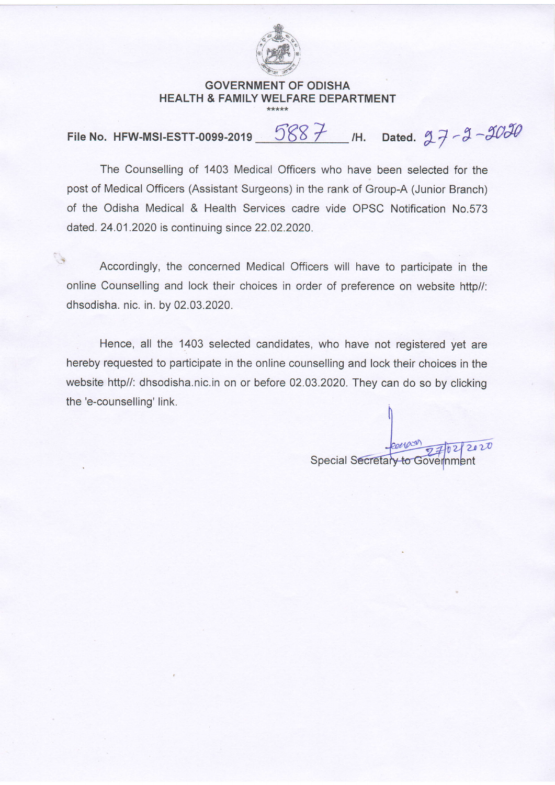

## GOVERNMENT OF ODISHA HEALTH & FAMILY WELFARE DEPARTMENT

File No. HFW-MSI-ESTT-0099-2019  $\underline{\hspace{1em}\int}887$  /H. Dated.  $27 - 3 - 3030$ 

The Counselling of 1403 Medical Officers who have been selected for the post of Medical Officers (Assistant Surgeons) in the rank of Group-A (Junior Branch) of the Odisha Medical & Health Services cadre vide OPSC Notification No.573 dated. 24.01.2020 is continuing since 22.02.2020.

Accordingly, the concerned Medical Officers will have to participate in the online Counselling and lock their choices in order of preference on website http//: dhsodisha. nic. in. by 02.03.2020.

Hence, all the 1403 selected candidates, who have not registered yet are hereby requested to participate in the online counselling and lock their choices in the website http//: dhsodisha.nic.in on or before 02.03.2020. They can do so by clicking the'e-counselling' link.

Special Secretary to Government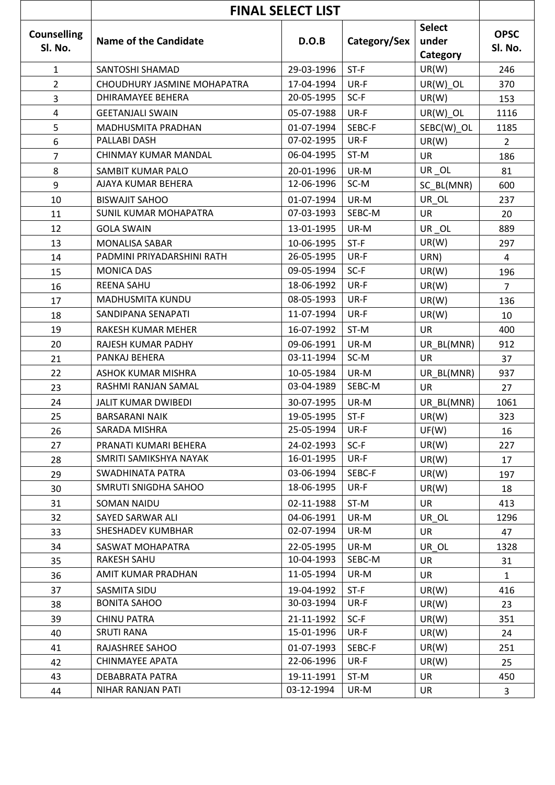|                               | <b>FINAL SELECT LIST</b>     |            |              |                                    |                        |  |
|-------------------------------|------------------------------|------------|--------------|------------------------------------|------------------------|--|
| <b>Counselling</b><br>Sl. No. | <b>Name of the Candidate</b> | D.O.B      | Category/Sex | <b>Select</b><br>under<br>Category | <b>OPSC</b><br>Sl. No. |  |
| $\mathbf{1}$                  | SANTOSHI SHAMAD              | 29-03-1996 | ST-F         | UR(W)                              | 246                    |  |
| $\overline{2}$                | CHOUDHURY JASMINE MOHAPATRA  | 17-04-1994 | UR-F         | UR(W) OL                           | 370                    |  |
| 3                             | <b>DHIRAMAYEE BEHERA</b>     | 20-05-1995 | SC-F         | UR(W)                              | 153                    |  |
| 4                             | <b>GEETANJALI SWAIN</b>      | 05-07-1988 | UR-F         | UR(W) OL                           | 1116                   |  |
| 5                             | MADHUSMITA PRADHAN           | 01-07-1994 | SEBC-F       | SEBC(W)_OL                         | 1185                   |  |
| 6                             | PALLABI DASH                 | 07-02-1995 | UR-F         | UR(W)                              | $\overline{2}$         |  |
| 7                             | CHINMAY KUMAR MANDAL         | 06-04-1995 | ST-M         | <b>UR</b>                          | 186                    |  |
| 8                             | SAMBIT KUMAR PALO            | 20-01-1996 | UR-M         | UR_OL                              | 81                     |  |
| 9                             | AJAYA KUMAR BEHERA           | 12-06-1996 | SC-M         | SC BL(MNR)                         | 600                    |  |
| 10                            | <b>BISWAJIT SAHOO</b>        | 01-07-1994 | UR-M         | UR_OL                              | 237                    |  |
| 11                            | <b>SUNIL KUMAR MOHAPATRA</b> | 07-03-1993 | SEBC-M       | <b>UR</b>                          | 20                     |  |
| 12                            | <b>GOLA SWAIN</b>            | 13-01-1995 | UR-M         | UR OL                              | 889                    |  |
| 13                            | <b>MONALISA SABAR</b>        | 10-06-1995 | $ST-F$       | UR(W)                              | 297                    |  |
| 14                            | PADMINI PRIYADARSHINI RATH   | 26-05-1995 | UR-F         | URN)                               | 4                      |  |
| 15                            | <b>MONICA DAS</b>            | 09-05-1994 | SC-F         | UR(W)                              | 196                    |  |
| 16                            | <b>REENA SAHU</b>            | 18-06-1992 | UR-F         | UR(W)                              | $\overline{7}$         |  |
| 17                            | MADHUSMITA KUNDU             | 08-05-1993 | UR-F         | UR(W)                              | 136                    |  |
| 18                            | SANDIPANA SENAPATI           | 11-07-1994 | UR-F         | UR(W)                              | 10                     |  |
| 19                            | RAKESH KUMAR MEHER           | 16-07-1992 | ST-M         | <b>UR</b>                          | 400                    |  |
| 20                            | RAJESH KUMAR PADHY           | 09-06-1991 | UR-M         | UR BL(MNR)                         | 912                    |  |
| 21                            | PANKAJ BEHERA                | 03-11-1994 | SC-M         | <b>UR</b>                          | 37                     |  |
| 22                            | <b>ASHOK KUMAR MISHRA</b>    | 10-05-1984 | UR-M         | UR BL(MNR)                         | 937                    |  |
| 23                            | RASHMI RANJAN SAMAL          | 03-04-1989 | SEBC-M       | <b>UR</b>                          | 27                     |  |
| 24                            | <b>JALIT KUMAR DWIBEDI</b>   | 30-07-1995 | UR-M         | UR_BL(MNR)                         | 1061                   |  |
| 25                            | <b>BARSARANI NAIK</b>        | 19-05-1995 | $ST-F$       | UR(W)                              | 323                    |  |
| 26                            | SARADA MISHRA                | 25-05-1994 | UR-F         | UF(W)                              | 16                     |  |
| 27                            | PRANATI KUMARI BEHERA        | 24-02-1993 | SC-F         | UR(W)                              | 227                    |  |
| 28                            | SMRITI SAMIKSHYA NAYAK       | 16-01-1995 | UR-F         | UR(W)                              | 17                     |  |
| 29                            | SWADHINATA PATRA             | 03-06-1994 | SEBC-F       | UR(W)                              | 197                    |  |
| 30                            | SMRUTI SNIGDHA SAHOO         | 18-06-1995 | UR-F         | UR(W)                              | 18                     |  |
| 31                            | SOMAN NAIDU                  | 02-11-1988 | ST-M         | <b>UR</b>                          | 413                    |  |
| 32                            | SAYED SARWAR ALI             | 04-06-1991 | UR-M         | UR OL                              | 1296                   |  |
| 33                            | SHESHADEV KUMBHAR            | 02-07-1994 | UR-M         | <b>UR</b>                          | 47                     |  |
| 34                            | SASWAT MOHAPATRA             | 22-05-1995 | UR-M         | UR OL                              | 1328                   |  |
| 35                            | RAKESH SAHU                  | 10-04-1993 | SEBC-M       | UR                                 | 31                     |  |
| 36                            | AMIT KUMAR PRADHAN           | 11-05-1994 | UR-M         | <b>UR</b>                          | $\mathbf{1}$           |  |
| 37                            | SASMITA SIDU                 | 19-04-1992 | $ST-F$       | UR(W)                              | 416                    |  |
| 38                            | <b>BONITA SAHOO</b>          | 30-03-1994 | UR-F         | UR(W)                              | 23                     |  |
| 39                            | <b>CHINU PATRA</b>           | 21-11-1992 | $SC-F$       | UR(W)                              | 351                    |  |
| 40                            | <b>SRUTI RANA</b>            | 15-01-1996 | UR-F         | UR(W)                              | 24                     |  |
| 41                            | RAJASHREE SAHOO              | 01-07-1993 | SEBC-F       | UR(W)                              | 251                    |  |
| 42                            | CHINMAYEE APATA              | 22-06-1996 | UR-F         | UR(W)                              | 25                     |  |
| 43                            | DEBABRATA PATRA              | 19-11-1991 | ST-M         | <b>UR</b>                          | 450                    |  |
| 44                            | NIHAR RANJAN PATI            | 03-12-1994 | UR-M         | <b>UR</b>                          | 3                      |  |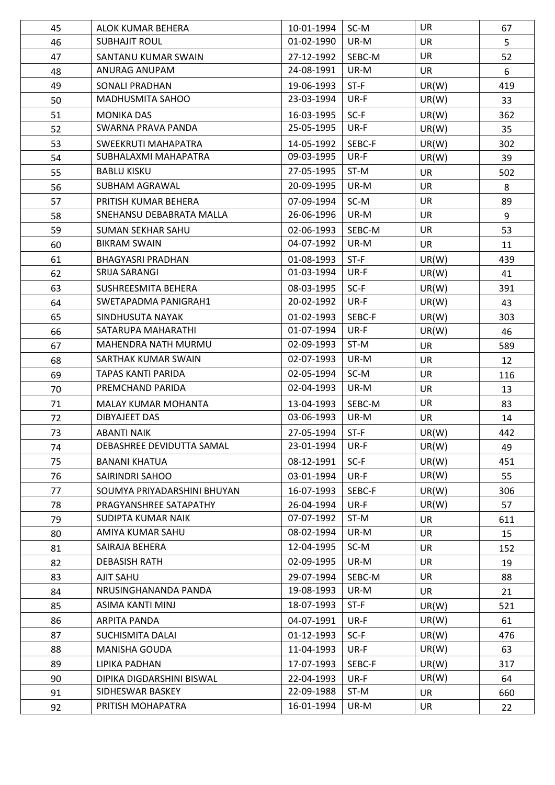| 45 | ALOK KUMAR BEHERA           | 10-01-1994 | SC-M   | <b>UR</b> | 67  |
|----|-----------------------------|------------|--------|-----------|-----|
| 46 | <b>SUBHAJIT ROUL</b>        | 01-02-1990 | UR-M   | <b>UR</b> | 5   |
| 47 | SANTANU KUMAR SWAIN         | 27-12-1992 | SEBC-M | <b>UR</b> | 52  |
| 48 | ANURAG ANUPAM               | 24-08-1991 | UR-M   | <b>UR</b> | 6   |
| 49 | <b>SONALI PRADHAN</b>       | 19-06-1993 | $ST-F$ | UR(W)     | 419 |
| 50 | MADHUSMITA SAHOO            | 23-03-1994 | UR-F   | UR(W)     | 33  |
| 51 | <b>MONIKA DAS</b>           | 16-03-1995 | $SC-F$ | UR(W)     | 362 |
| 52 | SWARNA PRAVA PANDA          | 25-05-1995 | UR-F   | UR(W)     | 35  |
| 53 | SWEEKRUTI MAHAPATRA         | 14-05-1992 | SEBC-F | UR(W)     | 302 |
| 54 | SUBHALAXMI MAHAPATRA        | 09-03-1995 | UR-F   | UR(W)     | 39  |
| 55 | <b>BABLU KISKU</b>          | 27-05-1995 | ST-M   | <b>UR</b> | 502 |
| 56 | SUBHAM AGRAWAL              | 20-09-1995 | UR-M   | <b>UR</b> | 8   |
| 57 | PRITISH KUMAR BEHERA        | 07-09-1994 | SC-M   | <b>UR</b> | 89  |
| 58 | SNEHANSU DEBABRATA MALLA    | 26-06-1996 | UR-M   | <b>UR</b> | 9   |
| 59 | SUMAN SEKHAR SAHU           | 02-06-1993 | SEBC-M | <b>UR</b> | 53  |
| 60 | <b>BIKRAM SWAIN</b>         | 04-07-1992 | UR-M   | <b>UR</b> | 11  |
| 61 | <b>BHAGYASRI PRADHAN</b>    | 01-08-1993 | $ST-F$ | UR(W)     | 439 |
| 62 | SRIJA SARANGI               | 01-03-1994 | UR-F   | UR(W)     | 41  |
| 63 | <b>SUSHREESMITA BEHERA</b>  | 08-03-1995 | $SC-F$ | UR(W)     | 391 |
| 64 | SWETAPADMA PANIGRAH1        | 20-02-1992 | UR-F   | UR(W)     | 43  |
| 65 | SINDHUSUTA NAYAK            | 01-02-1993 | SEBC-F | UR(W)     | 303 |
| 66 | SATARUPA MAHARATHI          | 01-07-1994 | UR-F   | UR(W)     | 46  |
| 67 | MAHENDRA NATH MURMU         | 02-09-1993 | ST-M   | <b>UR</b> | 589 |
| 68 | SARTHAK KUMAR SWAIN         | 02-07-1993 | UR-M   | <b>UR</b> | 12  |
| 69 | TAPAS KANTI PARIDA          | 02-05-1994 | SC-M   | <b>UR</b> | 116 |
| 70 | PREMCHAND PARIDA            | 02-04-1993 | UR-M   | <b>UR</b> | 13  |
| 71 | MALAY KUMAR MOHANTA         | 13-04-1993 | SEBC-M | <b>UR</b> | 83  |
| 72 | DIBYAJEET DAS               | 03-06-1993 | UR-M   | <b>UR</b> | 14  |
| 73 | ABANTI NAIK                 | 27-05-1994 | $ST-F$ | UR(W)     | 442 |
| 74 | DEBASHREE DEVIDUTTA SAMAL   | 23-01-1994 | UR-F   | UR(W)     | 49  |
| 75 | <b>BANANI KHATUA</b>        | 08-12-1991 | $SC-F$ | UR(W)     | 451 |
| 76 | SAIRINDRI SAHOO             | 03-01-1994 | UR-F   | UR(W)     | 55  |
| 77 | SOUMYA PRIYADARSHINI BHUYAN | 16-07-1993 | SEBC-F | UR(W)     | 306 |
| 78 | PRAGYANSHREE SATAPATHY      | 26-04-1994 | UR-F   | UR(W)     | 57  |
| 79 | SUDIPTA KUMAR NAIK          | 07-07-1992 | ST-M   | <b>UR</b> | 611 |
| 80 | AMIYA KUMAR SAHU            | 08-02-1994 | UR-M   | <b>UR</b> | 15  |
| 81 | SAIRAJA BEHERA              | 12-04-1995 | SC-M   | <b>UR</b> | 152 |
| 82 | <b>DEBASISH RATH</b>        | 02-09-1995 | UR-M   | <b>UR</b> | 19  |
| 83 | <b>AJIT SAHU</b>            | 29-07-1994 | SEBC-M | <b>UR</b> | 88  |
| 84 | NRUSINGHANANDA PANDA        | 19-08-1993 | UR-M   | <b>UR</b> | 21  |
| 85 | ASIMA KANTI MINJ            | 18-07-1993 | $ST-F$ | UR(W)     | 521 |
| 86 | ARPITA PANDA                | 04-07-1991 | UR-F   | UR(W)     | 61  |
| 87 | <b>SUCHISMITA DALAI</b>     | 01-12-1993 | $SC-F$ | UR(W)     | 476 |
| 88 | MANISHA GOUDA               | 11-04-1993 | UR-F   | UR(W)     | 63  |
| 89 | LIPIKA PADHAN               | 17-07-1993 | SEBC-F | UR(W)     | 317 |
| 90 | DIPIKA DIGDARSHINI BISWAL   | 22-04-1993 | UR-F   | UR(W)     | 64  |
| 91 | SIDHESWAR BASKEY            | 22-09-1988 | ST-M   | <b>UR</b> | 660 |
| 92 | PRITISH MOHAPATRA           | 16-01-1994 | UR-M   | <b>UR</b> | 22  |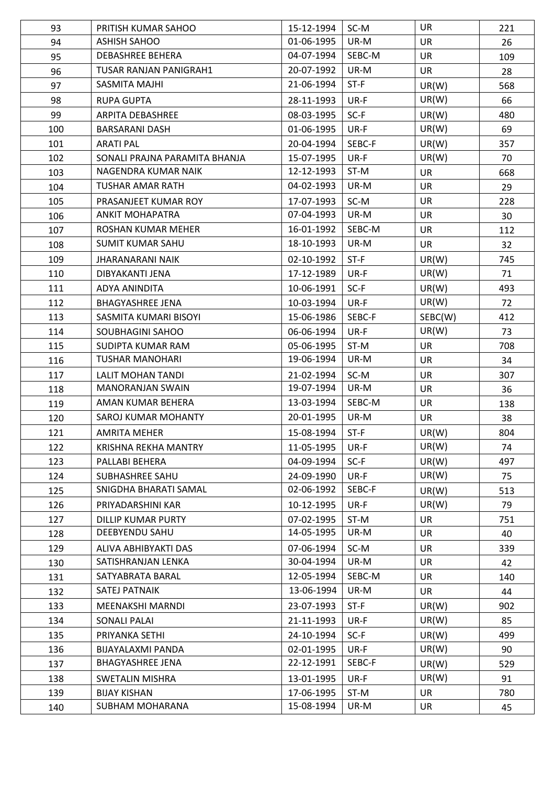| 93  | PRITISH KUMAR SAHOO           | 15-12-1994 | SC-M   | <b>UR</b> | 221 |
|-----|-------------------------------|------------|--------|-----------|-----|
| 94  | <b>ASHISH SAHOO</b>           | 01-06-1995 | UR-M   | <b>UR</b> | 26  |
| 95  | <b>DEBASHREE BEHERA</b>       | 04-07-1994 | SEBC-M | <b>UR</b> | 109 |
| 96  | TUSAR RANJAN PANIGRAH1        | 20-07-1992 | UR-M   | <b>UR</b> | 28  |
| 97  | <b>SASMITA MAJHI</b>          | 21-06-1994 | $ST-F$ | UR(W)     | 568 |
| 98  | <b>RUPA GUPTA</b>             | 28-11-1993 | UR-F   | UR(W)     | 66  |
| 99  | <b>ARPITA DEBASHREE</b>       | 08-03-1995 | $SC-F$ | UR(W)     | 480 |
| 100 | <b>BARSARANI DASH</b>         | 01-06-1995 | UR-F   | UR(W)     | 69  |
| 101 | <b>ARATI PAL</b>              | 20-04-1994 | SEBC-F | UR(W)     | 357 |
| 102 | SONALI PRAJNA PARAMITA BHANJA | 15-07-1995 | UR-F   | UR(W)     | 70  |
| 103 | NAGENDRA KUMAR NAIK           | 12-12-1993 | ST-M   | <b>UR</b> | 668 |
| 104 | TUSHAR AMAR RATH              | 04-02-1993 | UR-M   | <b>UR</b> | 29  |
| 105 | PRASANJEET KUMAR ROY          | 17-07-1993 | SC-M   | <b>UR</b> | 228 |
| 106 | <b>ANKIT MOHAPATRA</b>        | 07-04-1993 | UR-M   | <b>UR</b> | 30  |
| 107 | ROSHAN KUMAR MEHER            | 16-01-1992 | SEBC-M | <b>UR</b> | 112 |
| 108 | <b>SUMIT KUMAR SAHU</b>       | 18-10-1993 | UR-M   | <b>UR</b> | 32  |
| 109 | JHARANARANI NAIK              | 02-10-1992 | $ST-F$ | UR(W)     | 745 |
| 110 | DIBYAKANTI JENA               | 17-12-1989 | UR-F   | UR(W)     | 71  |
| 111 | ADYA ANINDITA                 | 10-06-1991 | $SC-F$ | UR(W)     | 493 |
| 112 | <b>BHAGYASHREE JENA</b>       | 10-03-1994 | UR-F   | UR(W)     | 72  |
| 113 | SASMITA KUMARI BISOYI         | 15-06-1986 | SEBC-F | SEBC(W)   | 412 |
| 114 | SOUBHAGINI SAHOO              | 06-06-1994 | UR-F   | UR(W)     | 73  |
| 115 | SUDIPTA KUMAR RAM             | 05-06-1995 | ST-M   | <b>UR</b> | 708 |
| 116 | <b>TUSHAR MANOHARI</b>        | 19-06-1994 | UR-M   | <b>UR</b> | 34  |
| 117 | <b>LALIT MOHAN TANDI</b>      | 21-02-1994 | SC-M   | <b>UR</b> | 307 |
| 118 | <b>MANORANJAN SWAIN</b>       | 19-07-1994 | UR-M   | <b>UR</b> | 36  |
| 119 | AMAN KUMAR BEHERA             | 13-03-1994 | SEBC-M | <b>UR</b> | 138 |
| 120 | <b>SAROJ KUMAR MOHANTY</b>    | 20-01-1995 | UR-M   | <b>UR</b> | 38  |
| 121 | <b>AMRITA MEHER</b>           | 15-08-1994 | $ST-F$ | UR(W)     | 804 |
| 122 | KRISHNA REKHA MANTRY          | 11-05-1995 | UR-F   | UR(W)     | 74  |
| 123 | PALLABI BEHERA                | 04-09-1994 | $SC-F$ | UR(W)     | 497 |
| 124 | SUBHASHREE SAHU               | 24-09-1990 | UR-F   | UR(W)     | 75  |
| 125 | SNIGDHA BHARATI SAMAL         | 02-06-1992 | SEBC-F | UR(W)     | 513 |
| 126 | PRIYADARSHINI KAR             | 10-12-1995 | UR-F   | UR(W)     | 79  |
| 127 | DILLIP KUMAR PURTY            | 07-02-1995 | ST-M   | <b>UR</b> | 751 |
| 128 | DEEBYENDU SAHU                | 14-05-1995 | UR-M   | <b>UR</b> | 40  |
| 129 | ALIVA ABHIBYAKTI DAS          | 07-06-1994 | SC-M   | <b>UR</b> | 339 |
| 130 | SATISHRANJAN LENKA            | 30-04-1994 | UR-M   | <b>UR</b> | 42  |
| 131 | SATYABRATA BARAL              | 12-05-1994 | SEBC-M | <b>UR</b> | 140 |
| 132 | <b>SATEJ PATNAIK</b>          | 13-06-1994 | UR-M   | <b>UR</b> | 44  |
| 133 | MEENAKSHI MARNDI              | 23-07-1993 | $ST-F$ | UR(W)     | 902 |
| 134 | SONALI PALAI                  | 21-11-1993 | UR-F   | UR(W)     | 85  |
| 135 | PRIYANKA SETHI                | 24-10-1994 | $SC-F$ | UR(W)     | 499 |
| 136 | BIJAYALAXMI PANDA             | 02-01-1995 | UR-F   | UR(W)     | 90  |
| 137 | <b>BHAGYASHREE JENA</b>       | 22-12-1991 | SEBC-F | UR(W)     | 529 |
| 138 | <b>SWETALIN MISHRA</b>        | 13-01-1995 | UR-F   | UR(W)     | 91  |
| 139 | <b>BIJAY KISHAN</b>           | 17-06-1995 | ST-M   | <b>UR</b> | 780 |
| 140 | SUBHAM MOHARANA               | 15-08-1994 | UR-M   | UR        | 45  |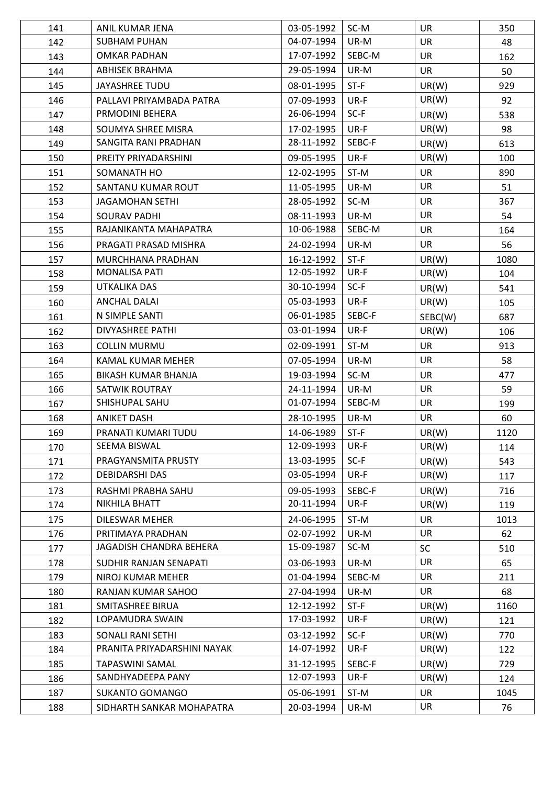| 141 | ANIL KUMAR JENA             | 03-05-1992 | SC-M   | <b>UR</b> | 350  |
|-----|-----------------------------|------------|--------|-----------|------|
| 142 | <b>SUBHAM PUHAN</b>         | 04-07-1994 | UR-M   | <b>UR</b> | 48   |
| 143 | OMKAR PADHAN                | 17-07-1992 | SEBC-M | <b>UR</b> | 162  |
| 144 | ABHISEK BRAHMA              | 29-05-1994 | UR-M   | <b>UR</b> | 50   |
| 145 | JAYASHREE TUDU              | 08-01-1995 | $ST-F$ | UR(W)     | 929  |
| 146 | PALLAVI PRIYAMBADA PATRA    | 07-09-1993 | UR-F   | UR(W)     | 92   |
| 147 | PRMODINI BEHERA             | 26-06-1994 | $SC-F$ | UR(W)     | 538  |
| 148 | SOUMYA SHREE MISRA          | 17-02-1995 | UR-F   | UR(W)     | 98   |
| 149 | SANGITA RANI PRADHAN        | 28-11-1992 | SEBC-F | UR(W)     | 613  |
| 150 | PREITY PRIYADARSHINI        | 09-05-1995 | UR-F   | UR(W)     | 100  |
| 151 | SOMANATH HO                 | 12-02-1995 | ST-M   | <b>UR</b> | 890  |
| 152 | SANTANU KUMAR ROUT          | 11-05-1995 | UR-M   | <b>UR</b> | 51   |
| 153 | JAGAMOHAN SETHI             | 28-05-1992 | SC-M   | <b>UR</b> | 367  |
| 154 | <b>SOURAV PADHI</b>         | 08-11-1993 | UR-M   | <b>UR</b> | 54   |
| 155 | RAJANIKANTA MAHAPATRA       | 10-06-1988 | SEBC-M | <b>UR</b> | 164  |
| 156 | PRAGATI PRASAD MISHRA       | 24-02-1994 | UR-M   | <b>UR</b> | 56   |
| 157 | MURCHHANA PRADHAN           | 16-12-1992 | $ST-F$ | UR(W)     | 1080 |
| 158 | <b>MONALISA PATI</b>        | 12-05-1992 | UR-F   | UR(W)     | 104  |
| 159 | UTKALIKA DAS                | 30-10-1994 | $SC-F$ | UR(W)     | 541  |
| 160 | <b>ANCHAL DALAI</b>         | 05-03-1993 | UR-F   | UR(W)     | 105  |
| 161 | N SIMPLE SANTI              | 06-01-1985 | SEBC-F | SEBC(W)   | 687  |
| 162 | DIVYASHREE PATHI            | 03-01-1994 | UR-F   | UR(W)     | 106  |
| 163 | <b>COLLIN MURMU</b>         | 02-09-1991 | ST-M   | <b>UR</b> | 913  |
| 164 | KAMAL KUMAR MEHER           | 07-05-1994 | UR-M   | <b>UR</b> | 58   |
| 165 | BIKASH KUMAR BHANJA         | 19-03-1994 | SC-M   | <b>UR</b> | 477  |
| 166 | SATWIK ROUTRAY              | 24-11-1994 | UR-M   | UR        | 59   |
| 167 | SHISHUPAL SAHU              | 01-07-1994 | SEBC-M | <b>UR</b> | 199  |
| 168 | <b>ANIKET DASH</b>          | 28-10-1995 | UR-M   | <b>UR</b> | 60   |
| 169 | PRANATI KUMARI TUDU         | 14-06-1989 | $ST-F$ | UR(W)     | 1120 |
| 170 | SEEMA BISWAL                | 12-09-1993 | UR-F   | UR(W)     | 114  |
| 171 | PRAGYANSMITA PRUSTY         | 13-03-1995 | $SC-F$ | UR(W)     | 543  |
| 172 | <b>DEBIDARSHI DAS</b>       | 03-05-1994 | UR-F   | UR(W)     | 117  |
| 173 | RASHMI PRABHA SAHU          | 09-05-1993 | SEBC-F | UR(W)     | 716  |
| 174 | NIKHILA BHATT               | 20-11-1994 | UR-F   | UR(W)     | 119  |
| 175 | DILESWAR MEHER              | 24-06-1995 | ST-M   | <b>UR</b> | 1013 |
| 176 | PRITIMAYA PRADHAN           | 02-07-1992 | UR-M   | <b>UR</b> | 62   |
| 177 | JAGADISH CHANDRA BEHERA     | 15-09-1987 | SC-M   | <b>SC</b> | 510  |
| 178 | SUDHIR RANJAN SENAPATI      | 03-06-1993 | UR-M   | <b>UR</b> | 65   |
| 179 | NIROJ KUMAR MEHER           | 01-04-1994 | SEBC-M | <b>UR</b> | 211  |
| 180 | RANJAN KUMAR SAHOO          | 27-04-1994 | UR-M   | <b>UR</b> | 68   |
| 181 | SMITASHREE BIRUA            | 12-12-1992 | $ST-F$ | UR(W)     | 1160 |
| 182 | LOPAMUDRA SWAIN             | 17-03-1992 | UR-F   | UR(W)     | 121  |
| 183 | SONALI RANI SETHI           | 03-12-1992 | $SC-F$ | UR(W)     | 770  |
| 184 | PRANITA PRIYADARSHINI NAYAK | 14-07-1992 | UR-F   | UR(W)     | 122  |
| 185 | TAPASWINI SAMAL             | 31-12-1995 | SEBC-F | UR(W)     | 729  |
| 186 | SANDHYADEEPA PANY           | 12-07-1993 | UR-F   | UR(W)     | 124  |
| 187 | <b>SUKANTO GOMANGO</b>      | 05-06-1991 | ST-M   | <b>UR</b> | 1045 |
| 188 | SIDHARTH SANKAR MOHAPATRA   | 20-03-1994 | UR-M   | UR        | 76   |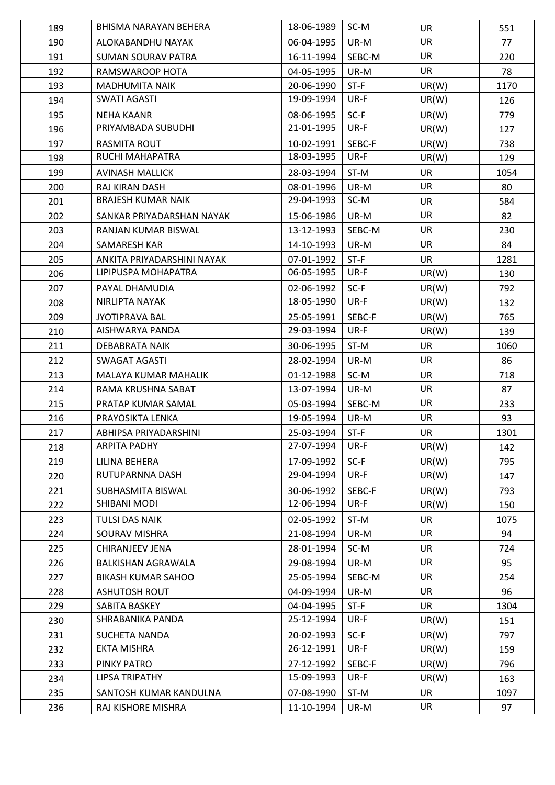| 189 | BHISMA NARAYAN BEHERA      | 18-06-1989 | SC-M   | <b>UR</b> | 551  |
|-----|----------------------------|------------|--------|-----------|------|
| 190 | ALOKABANDHU NAYAK          | 06-04-1995 | UR-M   | <b>UR</b> | 77   |
| 191 | <b>SUMAN SOURAV PATRA</b>  | 16-11-1994 | SEBC-M | <b>UR</b> | 220  |
| 192 | RAMSWAROOP HOTA            | 04-05-1995 | UR-M   | <b>UR</b> | 78   |
| 193 | <b>MADHUMITA NAIK</b>      | 20-06-1990 | $ST-F$ | UR(W)     | 1170 |
| 194 | <b>SWATI AGASTI</b>        | 19-09-1994 | UR-F   | UR(W)     | 126  |
| 195 | <b>NEHA KAANR</b>          | 08-06-1995 | $SC-F$ | UR(W)     | 779  |
| 196 | PRIYAMBADA SUBUDHI         | 21-01-1995 | UR-F   | UR(W)     | 127  |
| 197 | <b>RASMITA ROUT</b>        | 10-02-1991 | SEBC-F | UR(W)     | 738  |
| 198 | RUCHI MAHAPATRA            | 18-03-1995 | UR-F   | UR(W)     | 129  |
| 199 | <b>AVINASH MALLICK</b>     | 28-03-1994 | ST-M   | <b>UR</b> | 1054 |
| 200 | RAJ KIRAN DASH             | 08-01-1996 | UR-M   | UR        | 80   |
| 201 | <b>BRAJESH KUMAR NAIK</b>  | 29-04-1993 | SC-M   | <b>UR</b> | 584  |
| 202 | SANKAR PRIYADARSHAN NAYAK  | 15-06-1986 | UR-M   | <b>UR</b> | 82   |
| 203 | RANJAN KUMAR BISWAL        | 13-12-1993 | SEBC-M | <b>UR</b> | 230  |
| 204 | SAMARESH KAR               | 14-10-1993 | UR-M   | <b>UR</b> | 84   |
| 205 | ANKITA PRIYADARSHINI NAYAK | 07-01-1992 | $ST-F$ | <b>UR</b> | 1281 |
| 206 | LIPIPUSPA MOHAPATRA        | 06-05-1995 | UR-F   | UR(W)     |      |
|     |                            |            |        |           | 130  |
| 207 | PAYAL DHAMUDIA             | 02-06-1992 | $SC-F$ | UR(W)     | 792  |
| 208 | NIRLIPTA NAYAK             | 18-05-1990 | UR-F   | UR(W)     | 132  |
| 209 | <b>JYOTIPRAVA BAL</b>      | 25-05-1991 | SEBC-F | UR(W)     | 765  |
| 210 | AISHWARYA PANDA            | 29-03-1994 | UR-F   | UR(W)     | 139  |
| 211 | DEBABRATA NAIK             | 30-06-1995 | ST-M   | <b>UR</b> | 1060 |
| 212 | <b>SWAGAT AGASTI</b>       | 28-02-1994 | UR-M   | <b>UR</b> | 86   |
| 213 | MALAYA KUMAR MAHALIK       | 01-12-1988 | SC-M   | <b>UR</b> | 718  |
| 214 | RAMA KRUSHNA SABAT         | 13-07-1994 | UR-M   | UR        | 87   |
| 215 | PRATAP KUMAR SAMAL         | 05-03-1994 | SEBC-M | <b>UR</b> | 233  |
| 216 | PRAYOSIKTA LENKA           | 19-05-1994 | UR-M   | <b>UR</b> | 93   |
| 217 | ABHIPSA PRIYADARSHINI      | 25-03-1994 | $ST-F$ | UR        | 1301 |
| 218 | ARPITA PADHY               | 27-07-1994 | UR-F   | UR(W)     | 142  |
| 219 | LILINA BEHERA              | 17-09-1992 | $SC-F$ | UR(W)     | 795  |
| 220 | RUTUPARNNA DASH            | 29-04-1994 | UR-F   | UR(W)     | 147  |
| 221 | SUBHASMITA BISWAL          | 30-06-1992 | SEBC-F | UR(W)     | 793  |
| 222 | SHIBANI MODI               | 12-06-1994 | UR-F   | UR(W)     | 150  |
| 223 | TULSI DAS NAIK             | 02-05-1992 | ST-M   | <b>UR</b> | 1075 |
| 224 | SOURAV MISHRA              | 21-08-1994 | UR-M   | UR        | 94   |
| 225 | CHIRANJEEV JENA            | 28-01-1994 | SC-M   | <b>UR</b> | 724  |
| 226 | <b>BALKISHAN AGRAWALA</b>  | 29-08-1994 | UR-M   | UR        | 95   |
| 227 | <b>BIKASH KUMAR SAHOO</b>  | 25-05-1994 | SEBC-M | <b>UR</b> | 254  |
| 228 | <b>ASHUTOSH ROUT</b>       | 04-09-1994 | UR-M   | <b>UR</b> | 96   |
| 229 | SABITA BASKEY              | 04-04-1995 | $ST-F$ | UR        | 1304 |
| 230 | SHRABANIKA PANDA           | 25-12-1994 | UR-F   | UR(W)     | 151  |
| 231 | <b>SUCHETA NANDA</b>       | 20-02-1993 | $SC-F$ | UR(W)     | 797  |
| 232 | EKTA MISHRA                | 26-12-1991 | UR-F   | UR(W)     | 159  |
| 233 | PINKY PATRO                | 27-12-1992 | SEBC-F | UR(W)     | 796  |
| 234 | <b>LIPSA TRIPATHY</b>      | 15-09-1993 | UR-F   | UR(W)     | 163  |
| 235 | SANTOSH KUMAR KANDULNA     | 07-08-1990 | ST-M   | UR        | 1097 |
| 236 | RAJ KISHORE MISHRA         | 11-10-1994 | UR-M   | UR        | 97   |
|     |                            |            |        |           |      |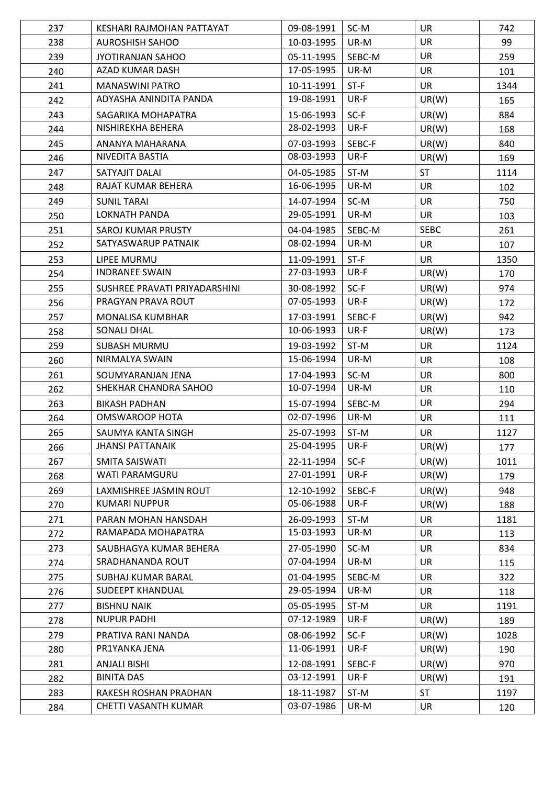| <b>UR</b><br>238<br>99<br><b>AUROSHISH SAHOO</b><br>10-03-1995<br>UR-M<br><b>UR</b><br>239<br>05-11-1995<br>259<br>JYOTIRANJAN SAHOO<br>SEBC-M<br>AZAD KUMAR DASH<br>17-05-1995<br>UR-M<br><b>UR</b><br>240<br>101<br><b>UR</b><br>241<br><b>MANASWINI PATRO</b><br>10-11-1991<br>$ST-F$<br>1344<br>19-08-1991<br>UR-F<br>ADYASHA ANINDITA PANDA<br>UR(W)<br>242<br>165<br>884<br>243<br>15-06-1993<br>$SC-F$<br>UR(W)<br>SAGARIKA MOHAPATRA<br>28-02-1993<br>UR-F<br>NISHIREKHA BEHERA<br>UR(W)<br>244<br>168<br>245<br>07-03-1993<br>SEBC-F<br>UR(W)<br>840<br>ANANYA MAHARANA<br>NIVEDITA BASTIA<br>08-03-1993<br>UR-F<br>UR(W)<br>246<br>169<br><b>ST</b><br>247<br>ST-M<br>SATYAJIT DALAI<br>04-05-1985<br>1114<br>RAJAT KUMAR BEHERA<br>16-06-1995<br>UR-M<br><b>UR</b><br>248<br>102<br>14-07-1994<br><b>UR</b><br>249<br><b>SUNIL TARAI</b><br>SC-M<br>750<br>LOKNATH PANDA<br>29-05-1991<br>UR-M<br><b>UR</b><br>250<br>103<br><b>SEBC</b><br>251<br>04-04-1985<br><b>SAROJ KUMAR PRUSTY</b><br>SEBC-M<br>261<br>08-02-1994<br>SATYASWARUP PATNAIK<br>UR-M<br>252<br><b>UR</b><br>107<br>253<br>11-09-1991<br>$ST-F$<br><b>UR</b><br>1350<br>LIPEE MURMU<br><b>INDRANEE SWAIN</b><br>27-03-1993<br>UR-F<br>UR(W)<br>254<br>170<br>255<br>SUSHREE PRAVATI PRIYADARSHINI<br>30-08-1992<br>$SC-F$<br>UR(W)<br>974<br>07-05-1993<br>UR-F<br>PRAGYAN PRAVA ROUT<br>UR(W)<br>256<br>172<br>257<br>17-03-1991<br>SEBC-F<br>MONALISA KUMBHAR<br>UR(W)<br>942<br><b>SONALI DHAL</b><br>10-06-1993<br>UR-F<br>UR(W)<br>258<br>173<br>259<br>ST-M<br><b>SUBASH MURMU</b><br>19-03-1992<br><b>UR</b><br>1124<br>NIRMALYA SWAIN<br>15-06-1994<br>UR-M<br><b>UR</b><br>260<br>108<br>SC-M<br><b>UR</b><br>261<br>17-04-1993<br>800<br>SOUMYARANJAN JENA<br>SHEKHAR CHANDRA SAHOO<br>10-07-1994<br>UR-M<br><b>UR</b><br>262<br>110<br><b>UR</b><br>263<br>15-07-1994<br>SEBC-M<br><b>BIKASH PADHAN</b><br>294<br><b>OMSWAROOP HOTA</b><br>02-07-1996<br>UR-M<br><b>UR</b><br>264<br>111<br>265<br>25-07-1993<br><b>UR</b><br>1127<br>SAUMYA KANTA SINGH<br>ST-M<br><b>JHANSI PATTANAIK</b><br>25-04-1995<br>UR-F<br>UR(W)<br>266<br>177<br>267<br>22-11-1994<br>$SC-F$<br>UR(W)<br>SMITA SAISWATI<br>1011<br>27-01-1991<br>UR-F<br>WATI PARAMGURU<br>UR(W)<br>268<br>179<br>269<br>LAXMISHREE JASMIN ROUT<br>12-10-1992<br>SEBC-F<br>UR(W)<br>948<br>05-06-1988<br><b>KUMARI NUPPUR</b><br>UR-F<br>UR(W)<br>270<br>188<br>271<br>PARAN MOHAN HANSDAH<br>26-09-1993<br>ST-M<br><b>UR</b><br>1181<br>RAMAPADA MOHAPATRA<br>15-03-1993<br>UR-M<br><b>UR</b><br>272<br>113<br><b>UR</b><br>273<br>SAUBHAGYA KUMAR BEHERA<br>27-05-1990<br>SC-M<br>834<br>SRADHANANDA ROUT<br>07-04-1994<br>UR-M<br><b>UR</b><br>274<br>115<br>275<br>01-04-1995<br><b>UR</b><br>SUBHAJ KUMAR BARAL<br>SEBC-M<br>322<br>29-05-1994<br><b>SUDEEPT KHANDUAL</b><br>UR-M<br><b>UR</b><br>276<br>118<br><b>UR</b><br>277<br><b>BISHNU NAIK</b><br>05-05-1995<br>ST-M<br>1191<br>07-12-1989<br>UR-F<br><b>NUPUR PADHI</b><br>UR(W)<br>278<br>189<br>279<br>PRATIVA RANI NANDA<br>08-06-1992<br>$SC-F$<br>UR(W)<br>1028<br>PR1YANKA JENA<br>11-06-1991<br>UR-F<br>UR(W)<br>280<br>190<br>281<br><b>ANJALI BISHI</b><br>12-08-1991<br>SEBC-F<br>UR(W)<br>970<br><b>BINITA DAS</b><br>03-12-1991<br>UR-F<br>UR(W) | 237        | KESHARI RAJMOHAN PATTAYAT | 09-08-1991 | SC-M | <b>UR</b> | 742         |
|--------------------------------------------------------------------------------------------------------------------------------------------------------------------------------------------------------------------------------------------------------------------------------------------------------------------------------------------------------------------------------------------------------------------------------------------------------------------------------------------------------------------------------------------------------------------------------------------------------------------------------------------------------------------------------------------------------------------------------------------------------------------------------------------------------------------------------------------------------------------------------------------------------------------------------------------------------------------------------------------------------------------------------------------------------------------------------------------------------------------------------------------------------------------------------------------------------------------------------------------------------------------------------------------------------------------------------------------------------------------------------------------------------------------------------------------------------------------------------------------------------------------------------------------------------------------------------------------------------------------------------------------------------------------------------------------------------------------------------------------------------------------------------------------------------------------------------------------------------------------------------------------------------------------------------------------------------------------------------------------------------------------------------------------------------------------------------------------------------------------------------------------------------------------------------------------------------------------------------------------------------------------------------------------------------------------------------------------------------------------------------------------------------------------------------------------------------------------------------------------------------------------------------------------------------------------------------------------------------------------------------------------------------------------------------------------------------------------------------------------------------------------------------------------------------------------------------------------------------------------------------------------------------------------------------------------------------------------------------------------------------------------------------------------------------------------------------------------------------------------------------------------------------------------------------------------------------------------------------------------------------------------------------|------------|---------------------------|------------|------|-----------|-------------|
|                                                                                                                                                                                                                                                                                                                                                                                                                                                                                                                                                                                                                                                                                                                                                                                                                                                                                                                                                                                                                                                                                                                                                                                                                                                                                                                                                                                                                                                                                                                                                                                                                                                                                                                                                                                                                                                                                                                                                                                                                                                                                                                                                                                                                                                                                                                                                                                                                                                                                                                                                                                                                                                                                                                                                                                                                                                                                                                                                                                                                                                                                                                                                                                                                                                                                |            |                           |            |      |           |             |
|                                                                                                                                                                                                                                                                                                                                                                                                                                                                                                                                                                                                                                                                                                                                                                                                                                                                                                                                                                                                                                                                                                                                                                                                                                                                                                                                                                                                                                                                                                                                                                                                                                                                                                                                                                                                                                                                                                                                                                                                                                                                                                                                                                                                                                                                                                                                                                                                                                                                                                                                                                                                                                                                                                                                                                                                                                                                                                                                                                                                                                                                                                                                                                                                                                                                                |            |                           |            |      |           |             |
|                                                                                                                                                                                                                                                                                                                                                                                                                                                                                                                                                                                                                                                                                                                                                                                                                                                                                                                                                                                                                                                                                                                                                                                                                                                                                                                                                                                                                                                                                                                                                                                                                                                                                                                                                                                                                                                                                                                                                                                                                                                                                                                                                                                                                                                                                                                                                                                                                                                                                                                                                                                                                                                                                                                                                                                                                                                                                                                                                                                                                                                                                                                                                                                                                                                                                |            |                           |            |      |           |             |
|                                                                                                                                                                                                                                                                                                                                                                                                                                                                                                                                                                                                                                                                                                                                                                                                                                                                                                                                                                                                                                                                                                                                                                                                                                                                                                                                                                                                                                                                                                                                                                                                                                                                                                                                                                                                                                                                                                                                                                                                                                                                                                                                                                                                                                                                                                                                                                                                                                                                                                                                                                                                                                                                                                                                                                                                                                                                                                                                                                                                                                                                                                                                                                                                                                                                                |            |                           |            |      |           |             |
|                                                                                                                                                                                                                                                                                                                                                                                                                                                                                                                                                                                                                                                                                                                                                                                                                                                                                                                                                                                                                                                                                                                                                                                                                                                                                                                                                                                                                                                                                                                                                                                                                                                                                                                                                                                                                                                                                                                                                                                                                                                                                                                                                                                                                                                                                                                                                                                                                                                                                                                                                                                                                                                                                                                                                                                                                                                                                                                                                                                                                                                                                                                                                                                                                                                                                |            |                           |            |      |           |             |
|                                                                                                                                                                                                                                                                                                                                                                                                                                                                                                                                                                                                                                                                                                                                                                                                                                                                                                                                                                                                                                                                                                                                                                                                                                                                                                                                                                                                                                                                                                                                                                                                                                                                                                                                                                                                                                                                                                                                                                                                                                                                                                                                                                                                                                                                                                                                                                                                                                                                                                                                                                                                                                                                                                                                                                                                                                                                                                                                                                                                                                                                                                                                                                                                                                                                                |            |                           |            |      |           |             |
|                                                                                                                                                                                                                                                                                                                                                                                                                                                                                                                                                                                                                                                                                                                                                                                                                                                                                                                                                                                                                                                                                                                                                                                                                                                                                                                                                                                                                                                                                                                                                                                                                                                                                                                                                                                                                                                                                                                                                                                                                                                                                                                                                                                                                                                                                                                                                                                                                                                                                                                                                                                                                                                                                                                                                                                                                                                                                                                                                                                                                                                                                                                                                                                                                                                                                |            |                           |            |      |           |             |
|                                                                                                                                                                                                                                                                                                                                                                                                                                                                                                                                                                                                                                                                                                                                                                                                                                                                                                                                                                                                                                                                                                                                                                                                                                                                                                                                                                                                                                                                                                                                                                                                                                                                                                                                                                                                                                                                                                                                                                                                                                                                                                                                                                                                                                                                                                                                                                                                                                                                                                                                                                                                                                                                                                                                                                                                                                                                                                                                                                                                                                                                                                                                                                                                                                                                                |            |                           |            |      |           |             |
|                                                                                                                                                                                                                                                                                                                                                                                                                                                                                                                                                                                                                                                                                                                                                                                                                                                                                                                                                                                                                                                                                                                                                                                                                                                                                                                                                                                                                                                                                                                                                                                                                                                                                                                                                                                                                                                                                                                                                                                                                                                                                                                                                                                                                                                                                                                                                                                                                                                                                                                                                                                                                                                                                                                                                                                                                                                                                                                                                                                                                                                                                                                                                                                                                                                                                |            |                           |            |      |           |             |
|                                                                                                                                                                                                                                                                                                                                                                                                                                                                                                                                                                                                                                                                                                                                                                                                                                                                                                                                                                                                                                                                                                                                                                                                                                                                                                                                                                                                                                                                                                                                                                                                                                                                                                                                                                                                                                                                                                                                                                                                                                                                                                                                                                                                                                                                                                                                                                                                                                                                                                                                                                                                                                                                                                                                                                                                                                                                                                                                                                                                                                                                                                                                                                                                                                                                                |            |                           |            |      |           |             |
|                                                                                                                                                                                                                                                                                                                                                                                                                                                                                                                                                                                                                                                                                                                                                                                                                                                                                                                                                                                                                                                                                                                                                                                                                                                                                                                                                                                                                                                                                                                                                                                                                                                                                                                                                                                                                                                                                                                                                                                                                                                                                                                                                                                                                                                                                                                                                                                                                                                                                                                                                                                                                                                                                                                                                                                                                                                                                                                                                                                                                                                                                                                                                                                                                                                                                |            |                           |            |      |           |             |
|                                                                                                                                                                                                                                                                                                                                                                                                                                                                                                                                                                                                                                                                                                                                                                                                                                                                                                                                                                                                                                                                                                                                                                                                                                                                                                                                                                                                                                                                                                                                                                                                                                                                                                                                                                                                                                                                                                                                                                                                                                                                                                                                                                                                                                                                                                                                                                                                                                                                                                                                                                                                                                                                                                                                                                                                                                                                                                                                                                                                                                                                                                                                                                                                                                                                                |            |                           |            |      |           |             |
|                                                                                                                                                                                                                                                                                                                                                                                                                                                                                                                                                                                                                                                                                                                                                                                                                                                                                                                                                                                                                                                                                                                                                                                                                                                                                                                                                                                                                                                                                                                                                                                                                                                                                                                                                                                                                                                                                                                                                                                                                                                                                                                                                                                                                                                                                                                                                                                                                                                                                                                                                                                                                                                                                                                                                                                                                                                                                                                                                                                                                                                                                                                                                                                                                                                                                |            |                           |            |      |           |             |
|                                                                                                                                                                                                                                                                                                                                                                                                                                                                                                                                                                                                                                                                                                                                                                                                                                                                                                                                                                                                                                                                                                                                                                                                                                                                                                                                                                                                                                                                                                                                                                                                                                                                                                                                                                                                                                                                                                                                                                                                                                                                                                                                                                                                                                                                                                                                                                                                                                                                                                                                                                                                                                                                                                                                                                                                                                                                                                                                                                                                                                                                                                                                                                                                                                                                                |            |                           |            |      |           |             |
|                                                                                                                                                                                                                                                                                                                                                                                                                                                                                                                                                                                                                                                                                                                                                                                                                                                                                                                                                                                                                                                                                                                                                                                                                                                                                                                                                                                                                                                                                                                                                                                                                                                                                                                                                                                                                                                                                                                                                                                                                                                                                                                                                                                                                                                                                                                                                                                                                                                                                                                                                                                                                                                                                                                                                                                                                                                                                                                                                                                                                                                                                                                                                                                                                                                                                |            |                           |            |      |           |             |
|                                                                                                                                                                                                                                                                                                                                                                                                                                                                                                                                                                                                                                                                                                                                                                                                                                                                                                                                                                                                                                                                                                                                                                                                                                                                                                                                                                                                                                                                                                                                                                                                                                                                                                                                                                                                                                                                                                                                                                                                                                                                                                                                                                                                                                                                                                                                                                                                                                                                                                                                                                                                                                                                                                                                                                                                                                                                                                                                                                                                                                                                                                                                                                                                                                                                                |            |                           |            |      |           |             |
|                                                                                                                                                                                                                                                                                                                                                                                                                                                                                                                                                                                                                                                                                                                                                                                                                                                                                                                                                                                                                                                                                                                                                                                                                                                                                                                                                                                                                                                                                                                                                                                                                                                                                                                                                                                                                                                                                                                                                                                                                                                                                                                                                                                                                                                                                                                                                                                                                                                                                                                                                                                                                                                                                                                                                                                                                                                                                                                                                                                                                                                                                                                                                                                                                                                                                |            |                           |            |      |           |             |
|                                                                                                                                                                                                                                                                                                                                                                                                                                                                                                                                                                                                                                                                                                                                                                                                                                                                                                                                                                                                                                                                                                                                                                                                                                                                                                                                                                                                                                                                                                                                                                                                                                                                                                                                                                                                                                                                                                                                                                                                                                                                                                                                                                                                                                                                                                                                                                                                                                                                                                                                                                                                                                                                                                                                                                                                                                                                                                                                                                                                                                                                                                                                                                                                                                                                                |            |                           |            |      |           |             |
|                                                                                                                                                                                                                                                                                                                                                                                                                                                                                                                                                                                                                                                                                                                                                                                                                                                                                                                                                                                                                                                                                                                                                                                                                                                                                                                                                                                                                                                                                                                                                                                                                                                                                                                                                                                                                                                                                                                                                                                                                                                                                                                                                                                                                                                                                                                                                                                                                                                                                                                                                                                                                                                                                                                                                                                                                                                                                                                                                                                                                                                                                                                                                                                                                                                                                |            |                           |            |      |           |             |
|                                                                                                                                                                                                                                                                                                                                                                                                                                                                                                                                                                                                                                                                                                                                                                                                                                                                                                                                                                                                                                                                                                                                                                                                                                                                                                                                                                                                                                                                                                                                                                                                                                                                                                                                                                                                                                                                                                                                                                                                                                                                                                                                                                                                                                                                                                                                                                                                                                                                                                                                                                                                                                                                                                                                                                                                                                                                                                                                                                                                                                                                                                                                                                                                                                                                                |            |                           |            |      |           |             |
|                                                                                                                                                                                                                                                                                                                                                                                                                                                                                                                                                                                                                                                                                                                                                                                                                                                                                                                                                                                                                                                                                                                                                                                                                                                                                                                                                                                                                                                                                                                                                                                                                                                                                                                                                                                                                                                                                                                                                                                                                                                                                                                                                                                                                                                                                                                                                                                                                                                                                                                                                                                                                                                                                                                                                                                                                                                                                                                                                                                                                                                                                                                                                                                                                                                                                |            |                           |            |      |           |             |
|                                                                                                                                                                                                                                                                                                                                                                                                                                                                                                                                                                                                                                                                                                                                                                                                                                                                                                                                                                                                                                                                                                                                                                                                                                                                                                                                                                                                                                                                                                                                                                                                                                                                                                                                                                                                                                                                                                                                                                                                                                                                                                                                                                                                                                                                                                                                                                                                                                                                                                                                                                                                                                                                                                                                                                                                                                                                                                                                                                                                                                                                                                                                                                                                                                                                                |            |                           |            |      |           |             |
|                                                                                                                                                                                                                                                                                                                                                                                                                                                                                                                                                                                                                                                                                                                                                                                                                                                                                                                                                                                                                                                                                                                                                                                                                                                                                                                                                                                                                                                                                                                                                                                                                                                                                                                                                                                                                                                                                                                                                                                                                                                                                                                                                                                                                                                                                                                                                                                                                                                                                                                                                                                                                                                                                                                                                                                                                                                                                                                                                                                                                                                                                                                                                                                                                                                                                |            |                           |            |      |           |             |
|                                                                                                                                                                                                                                                                                                                                                                                                                                                                                                                                                                                                                                                                                                                                                                                                                                                                                                                                                                                                                                                                                                                                                                                                                                                                                                                                                                                                                                                                                                                                                                                                                                                                                                                                                                                                                                                                                                                                                                                                                                                                                                                                                                                                                                                                                                                                                                                                                                                                                                                                                                                                                                                                                                                                                                                                                                                                                                                                                                                                                                                                                                                                                                                                                                                                                |            |                           |            |      |           |             |
|                                                                                                                                                                                                                                                                                                                                                                                                                                                                                                                                                                                                                                                                                                                                                                                                                                                                                                                                                                                                                                                                                                                                                                                                                                                                                                                                                                                                                                                                                                                                                                                                                                                                                                                                                                                                                                                                                                                                                                                                                                                                                                                                                                                                                                                                                                                                                                                                                                                                                                                                                                                                                                                                                                                                                                                                                                                                                                                                                                                                                                                                                                                                                                                                                                                                                |            |                           |            |      |           |             |
|                                                                                                                                                                                                                                                                                                                                                                                                                                                                                                                                                                                                                                                                                                                                                                                                                                                                                                                                                                                                                                                                                                                                                                                                                                                                                                                                                                                                                                                                                                                                                                                                                                                                                                                                                                                                                                                                                                                                                                                                                                                                                                                                                                                                                                                                                                                                                                                                                                                                                                                                                                                                                                                                                                                                                                                                                                                                                                                                                                                                                                                                                                                                                                                                                                                                                |            |                           |            |      |           |             |
|                                                                                                                                                                                                                                                                                                                                                                                                                                                                                                                                                                                                                                                                                                                                                                                                                                                                                                                                                                                                                                                                                                                                                                                                                                                                                                                                                                                                                                                                                                                                                                                                                                                                                                                                                                                                                                                                                                                                                                                                                                                                                                                                                                                                                                                                                                                                                                                                                                                                                                                                                                                                                                                                                                                                                                                                                                                                                                                                                                                                                                                                                                                                                                                                                                                                                |            |                           |            |      |           |             |
|                                                                                                                                                                                                                                                                                                                                                                                                                                                                                                                                                                                                                                                                                                                                                                                                                                                                                                                                                                                                                                                                                                                                                                                                                                                                                                                                                                                                                                                                                                                                                                                                                                                                                                                                                                                                                                                                                                                                                                                                                                                                                                                                                                                                                                                                                                                                                                                                                                                                                                                                                                                                                                                                                                                                                                                                                                                                                                                                                                                                                                                                                                                                                                                                                                                                                |            |                           |            |      |           |             |
|                                                                                                                                                                                                                                                                                                                                                                                                                                                                                                                                                                                                                                                                                                                                                                                                                                                                                                                                                                                                                                                                                                                                                                                                                                                                                                                                                                                                                                                                                                                                                                                                                                                                                                                                                                                                                                                                                                                                                                                                                                                                                                                                                                                                                                                                                                                                                                                                                                                                                                                                                                                                                                                                                                                                                                                                                                                                                                                                                                                                                                                                                                                                                                                                                                                                                |            |                           |            |      |           |             |
|                                                                                                                                                                                                                                                                                                                                                                                                                                                                                                                                                                                                                                                                                                                                                                                                                                                                                                                                                                                                                                                                                                                                                                                                                                                                                                                                                                                                                                                                                                                                                                                                                                                                                                                                                                                                                                                                                                                                                                                                                                                                                                                                                                                                                                                                                                                                                                                                                                                                                                                                                                                                                                                                                                                                                                                                                                                                                                                                                                                                                                                                                                                                                                                                                                                                                |            |                           |            |      |           |             |
|                                                                                                                                                                                                                                                                                                                                                                                                                                                                                                                                                                                                                                                                                                                                                                                                                                                                                                                                                                                                                                                                                                                                                                                                                                                                                                                                                                                                                                                                                                                                                                                                                                                                                                                                                                                                                                                                                                                                                                                                                                                                                                                                                                                                                                                                                                                                                                                                                                                                                                                                                                                                                                                                                                                                                                                                                                                                                                                                                                                                                                                                                                                                                                                                                                                                                |            |                           |            |      |           |             |
|                                                                                                                                                                                                                                                                                                                                                                                                                                                                                                                                                                                                                                                                                                                                                                                                                                                                                                                                                                                                                                                                                                                                                                                                                                                                                                                                                                                                                                                                                                                                                                                                                                                                                                                                                                                                                                                                                                                                                                                                                                                                                                                                                                                                                                                                                                                                                                                                                                                                                                                                                                                                                                                                                                                                                                                                                                                                                                                                                                                                                                                                                                                                                                                                                                                                                |            |                           |            |      |           |             |
|                                                                                                                                                                                                                                                                                                                                                                                                                                                                                                                                                                                                                                                                                                                                                                                                                                                                                                                                                                                                                                                                                                                                                                                                                                                                                                                                                                                                                                                                                                                                                                                                                                                                                                                                                                                                                                                                                                                                                                                                                                                                                                                                                                                                                                                                                                                                                                                                                                                                                                                                                                                                                                                                                                                                                                                                                                                                                                                                                                                                                                                                                                                                                                                                                                                                                |            |                           |            |      |           |             |
|                                                                                                                                                                                                                                                                                                                                                                                                                                                                                                                                                                                                                                                                                                                                                                                                                                                                                                                                                                                                                                                                                                                                                                                                                                                                                                                                                                                                                                                                                                                                                                                                                                                                                                                                                                                                                                                                                                                                                                                                                                                                                                                                                                                                                                                                                                                                                                                                                                                                                                                                                                                                                                                                                                                                                                                                                                                                                                                                                                                                                                                                                                                                                                                                                                                                                |            |                           |            |      |           |             |
|                                                                                                                                                                                                                                                                                                                                                                                                                                                                                                                                                                                                                                                                                                                                                                                                                                                                                                                                                                                                                                                                                                                                                                                                                                                                                                                                                                                                                                                                                                                                                                                                                                                                                                                                                                                                                                                                                                                                                                                                                                                                                                                                                                                                                                                                                                                                                                                                                                                                                                                                                                                                                                                                                                                                                                                                                                                                                                                                                                                                                                                                                                                                                                                                                                                                                |            |                           |            |      |           |             |
|                                                                                                                                                                                                                                                                                                                                                                                                                                                                                                                                                                                                                                                                                                                                                                                                                                                                                                                                                                                                                                                                                                                                                                                                                                                                                                                                                                                                                                                                                                                                                                                                                                                                                                                                                                                                                                                                                                                                                                                                                                                                                                                                                                                                                                                                                                                                                                                                                                                                                                                                                                                                                                                                                                                                                                                                                                                                                                                                                                                                                                                                                                                                                                                                                                                                                |            |                           |            |      |           |             |
|                                                                                                                                                                                                                                                                                                                                                                                                                                                                                                                                                                                                                                                                                                                                                                                                                                                                                                                                                                                                                                                                                                                                                                                                                                                                                                                                                                                                                                                                                                                                                                                                                                                                                                                                                                                                                                                                                                                                                                                                                                                                                                                                                                                                                                                                                                                                                                                                                                                                                                                                                                                                                                                                                                                                                                                                                                                                                                                                                                                                                                                                                                                                                                                                                                                                                |            |                           |            |      |           |             |
|                                                                                                                                                                                                                                                                                                                                                                                                                                                                                                                                                                                                                                                                                                                                                                                                                                                                                                                                                                                                                                                                                                                                                                                                                                                                                                                                                                                                                                                                                                                                                                                                                                                                                                                                                                                                                                                                                                                                                                                                                                                                                                                                                                                                                                                                                                                                                                                                                                                                                                                                                                                                                                                                                                                                                                                                                                                                                                                                                                                                                                                                                                                                                                                                                                                                                |            |                           |            |      |           |             |
|                                                                                                                                                                                                                                                                                                                                                                                                                                                                                                                                                                                                                                                                                                                                                                                                                                                                                                                                                                                                                                                                                                                                                                                                                                                                                                                                                                                                                                                                                                                                                                                                                                                                                                                                                                                                                                                                                                                                                                                                                                                                                                                                                                                                                                                                                                                                                                                                                                                                                                                                                                                                                                                                                                                                                                                                                                                                                                                                                                                                                                                                                                                                                                                                                                                                                |            |                           |            |      |           |             |
|                                                                                                                                                                                                                                                                                                                                                                                                                                                                                                                                                                                                                                                                                                                                                                                                                                                                                                                                                                                                                                                                                                                                                                                                                                                                                                                                                                                                                                                                                                                                                                                                                                                                                                                                                                                                                                                                                                                                                                                                                                                                                                                                                                                                                                                                                                                                                                                                                                                                                                                                                                                                                                                                                                                                                                                                                                                                                                                                                                                                                                                                                                                                                                                                                                                                                |            |                           |            |      |           |             |
|                                                                                                                                                                                                                                                                                                                                                                                                                                                                                                                                                                                                                                                                                                                                                                                                                                                                                                                                                                                                                                                                                                                                                                                                                                                                                                                                                                                                                                                                                                                                                                                                                                                                                                                                                                                                                                                                                                                                                                                                                                                                                                                                                                                                                                                                                                                                                                                                                                                                                                                                                                                                                                                                                                                                                                                                                                                                                                                                                                                                                                                                                                                                                                                                                                                                                |            |                           |            |      |           |             |
|                                                                                                                                                                                                                                                                                                                                                                                                                                                                                                                                                                                                                                                                                                                                                                                                                                                                                                                                                                                                                                                                                                                                                                                                                                                                                                                                                                                                                                                                                                                                                                                                                                                                                                                                                                                                                                                                                                                                                                                                                                                                                                                                                                                                                                                                                                                                                                                                                                                                                                                                                                                                                                                                                                                                                                                                                                                                                                                                                                                                                                                                                                                                                                                                                                                                                |            |                           |            |      |           |             |
|                                                                                                                                                                                                                                                                                                                                                                                                                                                                                                                                                                                                                                                                                                                                                                                                                                                                                                                                                                                                                                                                                                                                                                                                                                                                                                                                                                                                                                                                                                                                                                                                                                                                                                                                                                                                                                                                                                                                                                                                                                                                                                                                                                                                                                                                                                                                                                                                                                                                                                                                                                                                                                                                                                                                                                                                                                                                                                                                                                                                                                                                                                                                                                                                                                                                                |            |                           |            |      |           |             |
|                                                                                                                                                                                                                                                                                                                                                                                                                                                                                                                                                                                                                                                                                                                                                                                                                                                                                                                                                                                                                                                                                                                                                                                                                                                                                                                                                                                                                                                                                                                                                                                                                                                                                                                                                                                                                                                                                                                                                                                                                                                                                                                                                                                                                                                                                                                                                                                                                                                                                                                                                                                                                                                                                                                                                                                                                                                                                                                                                                                                                                                                                                                                                                                                                                                                                |            |                           |            |      |           |             |
|                                                                                                                                                                                                                                                                                                                                                                                                                                                                                                                                                                                                                                                                                                                                                                                                                                                                                                                                                                                                                                                                                                                                                                                                                                                                                                                                                                                                                                                                                                                                                                                                                                                                                                                                                                                                                                                                                                                                                                                                                                                                                                                                                                                                                                                                                                                                                                                                                                                                                                                                                                                                                                                                                                                                                                                                                                                                                                                                                                                                                                                                                                                                                                                                                                                                                |            |                           |            |      |           |             |
|                                                                                                                                                                                                                                                                                                                                                                                                                                                                                                                                                                                                                                                                                                                                                                                                                                                                                                                                                                                                                                                                                                                                                                                                                                                                                                                                                                                                                                                                                                                                                                                                                                                                                                                                                                                                                                                                                                                                                                                                                                                                                                                                                                                                                                                                                                                                                                                                                                                                                                                                                                                                                                                                                                                                                                                                                                                                                                                                                                                                                                                                                                                                                                                                                                                                                |            |                           |            |      |           |             |
|                                                                                                                                                                                                                                                                                                                                                                                                                                                                                                                                                                                                                                                                                                                                                                                                                                                                                                                                                                                                                                                                                                                                                                                                                                                                                                                                                                                                                                                                                                                                                                                                                                                                                                                                                                                                                                                                                                                                                                                                                                                                                                                                                                                                                                                                                                                                                                                                                                                                                                                                                                                                                                                                                                                                                                                                                                                                                                                                                                                                                                                                                                                                                                                                                                                                                |            |                           |            |      |           |             |
| CHETTI VASANTH KUMAR<br>03-07-1986<br>UR-M<br>UR<br>284<br>120                                                                                                                                                                                                                                                                                                                                                                                                                                                                                                                                                                                                                                                                                                                                                                                                                                                                                                                                                                                                                                                                                                                                                                                                                                                                                                                                                                                                                                                                                                                                                                                                                                                                                                                                                                                                                                                                                                                                                                                                                                                                                                                                                                                                                                                                                                                                                                                                                                                                                                                                                                                                                                                                                                                                                                                                                                                                                                                                                                                                                                                                                                                                                                                                                 | 282<br>283 | RAKESH ROSHAN PRADHAN     | 18-11-1987 | ST-M | <b>ST</b> | 191<br>1197 |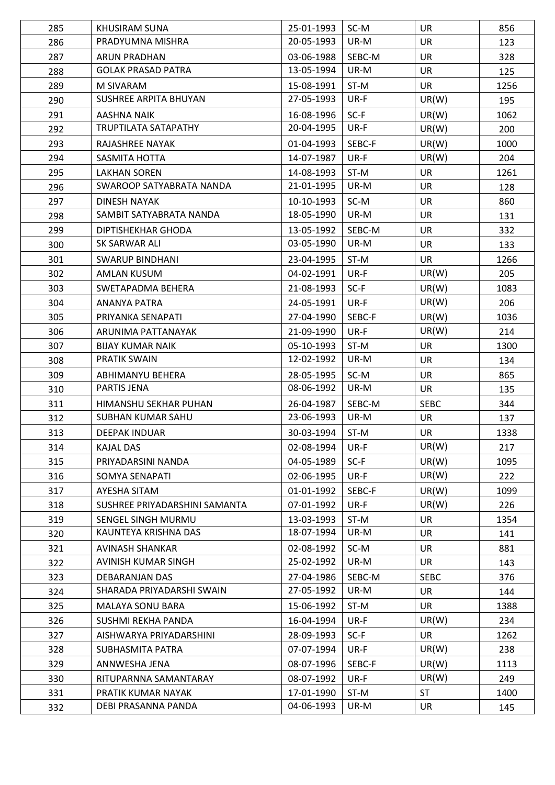| 285 | <b>KHUSIRAM SUNA</b>          | 25-01-1993 | SC-M   | <b>UR</b>   | 856  |
|-----|-------------------------------|------------|--------|-------------|------|
| 286 | PRADYUMNA MISHRA              | 20-05-1993 | UR-M   | <b>UR</b>   | 123  |
| 287 | <b>ARUN PRADHAN</b>           | 03-06-1988 | SEBC-M | <b>UR</b>   | 328  |
| 288 | <b>GOLAK PRASAD PATRA</b>     | 13-05-1994 | UR-M   | <b>UR</b>   | 125  |
| 289 | M SIVARAM                     | 15-08-1991 | ST-M   | <b>UR</b>   | 1256 |
| 290 | SUSHREE ARPITA BHUYAN         | 27-05-1993 | UR-F   | UR(W)       | 195  |
| 291 | <b>AASHNA NAIK</b>            | 16-08-1996 | $SC-F$ | UR(W)       | 1062 |
| 292 | TRUPTILATA SATAPATHY          | 20-04-1995 | UR-F   | UR(W)       | 200  |
| 293 | <b>RAJASHREE NAYAK</b>        | 01-04-1993 | SEBC-F | UR(W)       | 1000 |
| 294 | SASMITA HOTTA                 | 14-07-1987 | UR-F   | UR(W)       | 204  |
| 295 | <b>LAKHAN SOREN</b>           | 14-08-1993 | ST-M   | <b>UR</b>   | 1261 |
| 296 | SWAROOP SATYABRATA NANDA      | 21-01-1995 | UR-M   | UR          | 128  |
| 297 | <b>DINESH NAYAK</b>           | 10-10-1993 | SC-M   | <b>UR</b>   | 860  |
| 298 | SAMBIT SATYABRATA NANDA       | 18-05-1990 | UR-M   | UR          | 131  |
| 299 | DIPTISHEKHAR GHODA            | 13-05-1992 | SEBC-M | <b>UR</b>   | 332  |
| 300 | SK SARWAR ALI                 | 03-05-1990 | UR-M   | <b>UR</b>   | 133  |
| 301 | <b>SWARUP BINDHANI</b>        | 23-04-1995 | ST-M   | <b>UR</b>   | 1266 |
|     |                               |            |        |             |      |
| 302 | AMLAN KUSUM                   | 04-02-1991 | UR-F   | UR(W)       | 205  |
| 303 | SWETAPADMA BEHERA             | 21-08-1993 | $SC-F$ | UR(W)       | 1083 |
| 304 | <b>ANANYA PATRA</b>           | 24-05-1991 | UR-F   | UR(W)       | 206  |
| 305 | PRIYANKA SENAPATI             | 27-04-1990 | SEBC-F | UR(W)       | 1036 |
| 306 | ARUNIMA PATTANAYAK            | 21-09-1990 | UR-F   | UR(W)       | 214  |
| 307 | <b>BIJAY KUMAR NAIK</b>       | 05-10-1993 | ST-M   | <b>UR</b>   | 1300 |
| 308 | <b>PRATIK SWAIN</b>           | 12-02-1992 | UR-M   | UR          | 134  |
| 309 | ABHIMANYU BEHERA              | 28-05-1995 | SC-M   | <b>UR</b>   | 865  |
| 310 | PARTIS JENA                   | 08-06-1992 | UR-M   | <b>UR</b>   | 135  |
| 311 | HIMANSHU SEKHAR PUHAN         | 26-04-1987 | SEBC-M | <b>SEBC</b> | 344  |
| 312 | SUBHAN KUMAR SAHU             | 23-06-1993 | UR-M   | <b>UR</b>   | 137  |
| 313 | <b>DEEPAK INDUAR</b>          | 30-03-1994 | ST-M   | <b>UR</b>   | 1338 |
| 314 | <b>KAJAL DAS</b>              | 02-08-1994 | UR-F   | UR(W)       | 217  |
| 315 | PRIYADARSINI NANDA            | 04-05-1989 | $SC-F$ | UR(W)       | 1095 |
| 316 | SOMYA SENAPATI                | 02-06-1995 | UR-F   | UR(W)       | 222  |
| 317 | AYESHA SITAM                  | 01-01-1992 | SEBC-F | UR(W)       | 1099 |
| 318 | SUSHREE PRIYADARSHINI SAMANTA | 07-01-1992 | UR-F   | UR(W)       | 226  |
| 319 | SENGEL SINGH MURMU            | 13-03-1993 | ST-M   | <b>UR</b>   | 1354 |
| 320 | KAUNTEYA KRISHNA DAS          | 18-07-1994 | UR-M   | UR          | 141  |
| 321 | <b>AVINASH SHANKAR</b>        | 02-08-1992 | SC-M   | <b>UR</b>   | 881  |
| 322 | AVINISH KUMAR SINGH           | 25-02-1992 | UR-M   | UR          | 143  |
| 323 | DEBARANJAN DAS                | 27-04-1986 | SEBC-M | <b>SEBC</b> | 376  |
| 324 | SHARADA PRIYADARSHI SWAIN     | 27-05-1992 | UR-M   | <b>UR</b>   | 144  |
| 325 | MALAYA SONU BARA              | 15-06-1992 | ST-M   | <b>UR</b>   | 1388 |
| 326 | SUSHMI REKHA PANDA            | 16-04-1994 | UR-F   | UR(W)       | 234  |
| 327 | AISHWARYA PRIYADARSHINI       | 28-09-1993 | $SC-F$ | <b>UR</b>   | 1262 |
| 328 | SUBHASMITA PATRA              | 07-07-1994 | UR-F   | UR(W)       | 238  |
| 329 | ANNWESHA JENA                 | 08-07-1996 | SEBC-F | UR(W)       | 1113 |
| 330 | RITUPARNNA SAMANTARAY         | 08-07-1992 | UR-F   | UR(W)       | 249  |
| 331 | PRATIK KUMAR NAYAK            | 17-01-1990 | ST-M   | <b>ST</b>   | 1400 |
| 332 | DEBI PRASANNA PANDA           | 04-06-1993 | UR-M   | UR          | 145  |
|     |                               |            |        |             |      |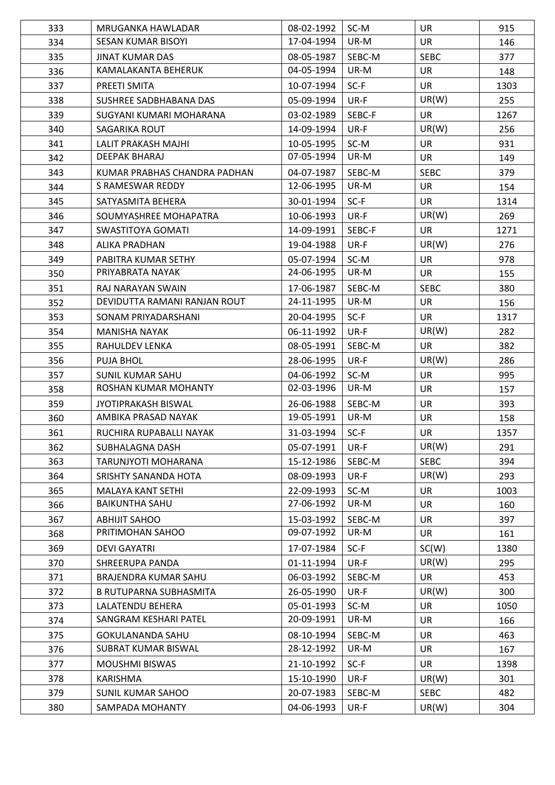| 333 | MRUGANKA HAWLADAR             | 08-02-1992               | SC-M         | <b>UR</b>   | 915  |
|-----|-------------------------------|--------------------------|--------------|-------------|------|
| 334 | <b>SESAN KUMAR BISOYI</b>     | 17-04-1994               | UR-M         | <b>UR</b>   | 146  |
| 335 | <b>JINAT KUMAR DAS</b>        | 08-05-1987               | SEBC-M       | <b>SEBC</b> | 377  |
| 336 | KAMALAKANTA BEHERUK           | 04-05-1994               | UR-M         | <b>UR</b>   | 148  |
| 337 | PREETI SMITA                  | 10-07-1994               | $SC-F$       | <b>UR</b>   | 1303 |
| 338 | SUSHREE SADBHABANA DAS        | 05-09-1994               | UR-F         | UR(W)       | 255  |
| 339 | SUGYANI KUMARI MOHARANA       | 03-02-1989               | SEBC-F       | <b>UR</b>   | 1267 |
| 340 | SAGARIKA ROUT                 | 14-09-1994               | UR-F         | UR(W)       | 256  |
| 341 | <b>LALIT PRAKASH MAJHI</b>    | 10-05-1995               | SC-M         | <b>UR</b>   | 931  |
| 342 | <b>DEEPAK BHARAJ</b>          | 07-05-1994               | UR-M         | <b>UR</b>   | 149  |
| 343 | KUMAR PRABHAS CHANDRA PADHAN  | 04-07-1987               | SEBC-M       | <b>SEBC</b> | 379  |
| 344 | S RAMESWAR REDDY              | 12-06-1995               | UR-M         | UR          | 154  |
| 345 | SATYASMITA BEHERA             | 30-01-1994               | $SC-F$       | <b>UR</b>   | 1314 |
| 346 | SOUMYASHREE MOHAPATRA         | 10-06-1993               | UR-F         | UR(W)       | 269  |
| 347 | SWASTITOYA GOMATI             | 14-09-1991               | SEBC-F       | <b>UR</b>   | 1271 |
| 348 | <b>ALIKA PRADHAN</b>          | 19-04-1988               | UR-F         | UR(W)       | 276  |
|     |                               |                          |              |             |      |
| 349 | PABITRA KUMAR SETHY           | 05-07-1994<br>24-06-1995 | SC-M<br>UR-M | <b>UR</b>   | 978  |
| 350 | PRIYABRATA NAYAK              |                          |              | <b>UR</b>   | 155  |
| 351 | RAJ NARAYAN SWAIN             | 17-06-1987               | SEBC-M       | <b>SEBC</b> | 380  |
| 352 | DEVIDUTTA RAMANI RANJAN ROUT  | 24-11-1995               | UR-M         | <b>UR</b>   | 156  |
| 353 | SONAM PRIYADARSHANI           | 20-04-1995               | $SC-F$       | <b>UR</b>   | 1317 |
| 354 | <b>MANISHA NAYAK</b>          | 06-11-1992               | UR-F         | UR(W)       | 282  |
| 355 | RAHULDEV LENKA                | 08-05-1991               | SEBC-M       | <b>UR</b>   | 382  |
| 356 | PUJA BHOL                     | 28-06-1995               | UR-F         | UR(W)       | 286  |
| 357 | <b>SUNIL KUMAR SAHU</b>       | 04-06-1992               | SC-M         | <b>UR</b>   | 995  |
| 358 | ROSHAN KUMAR MOHANTY          | 02-03-1996               | UR-M         | <b>UR</b>   | 157  |
| 359 | <b>JYOTIPRAKASH BISWAL</b>    | 26-06-1988               | SEBC-M       | <b>UR</b>   | 393  |
| 360 | AMBIKA PRASAD NAYAK           | 19-05-1991               | UR-M         | <b>UR</b>   | 158  |
| 361 | RUCHIRA RUPABALLI NAYAK       | 31-03-1994               | $SC-F$       | <b>UR</b>   | 1357 |
| 362 | SUBHALAGNA DASH               | 05-07-1991               | UR-F         | UR(W)       | 291  |
| 363 | TARUNJYOTI MOHARANA           | 15-12-1986               | SEBC-M       | <b>SEBC</b> | 394  |
| 364 | SRISHTY SANANDA HOTA          | 08-09-1993               | UR-F         | UR(W)       | 293  |
| 365 | <b>MALAYA KANT SETHI</b>      | 22-09-1993               | SC-M         | <b>UR</b>   | 1003 |
| 366 | <b>BAIKUNTHA SAHU</b>         | 27-06-1992               | UR-M         | UR          | 160  |
| 367 | <b>ABHIJIT SAHOO</b>          | 15-03-1992               | SEBC-M       | <b>UR</b>   | 397  |
| 368 | PRITIMOHAN SAHOO              | 09-07-1992               | UR-M         | <b>UR</b>   | 161  |
| 369 | <b>DEVI GAYATRI</b>           | 17-07-1984               | $SC-F$       | SC(W)       | 1380 |
| 370 | SHREERUPA PANDA               | 01-11-1994               | UR-F         | UR(W)       | 295  |
| 371 | BRAJENDRA KUMAR SAHU          | 06-03-1992               | SEBC-M       | <b>UR</b>   | 453  |
| 372 | <b>B RUTUPARNA SUBHASMITA</b> | 26-05-1990               | UR-F         | UR(W)       | 300  |
| 373 | LALATENDU BEHERA              | 05-01-1993               | SC-M         | <b>UR</b>   | 1050 |
| 374 | SANGRAM KESHARI PATEL         | 20-09-1991               | UR-M         | <b>UR</b>   | 166  |
| 375 | <b>GOKULANANDA SAHU</b>       | 08-10-1994               | SEBC-M       | <b>UR</b>   | 463  |
| 376 | <b>SUBRAT KUMAR BISWAL</b>    | 28-12-1992               | UR-M         | <b>UR</b>   | 167  |
| 377 | <b>MOUSHMI BISWAS</b>         | 21-10-1992               | $SC-F$       | <b>UR</b>   | 1398 |
| 378 | <b>KARISHMA</b>               | 15-10-1990               | UR-F         | UR(W)       | 301  |
| 379 | <b>SUNIL KUMAR SAHOO</b>      | 20-07-1983               | SEBC-M       | <b>SEBC</b> | 482  |
|     |                               |                          |              |             |      |
| 380 | SAMPADA MOHANTY               | 04-06-1993               | UR-F         | UR(W)       | 304  |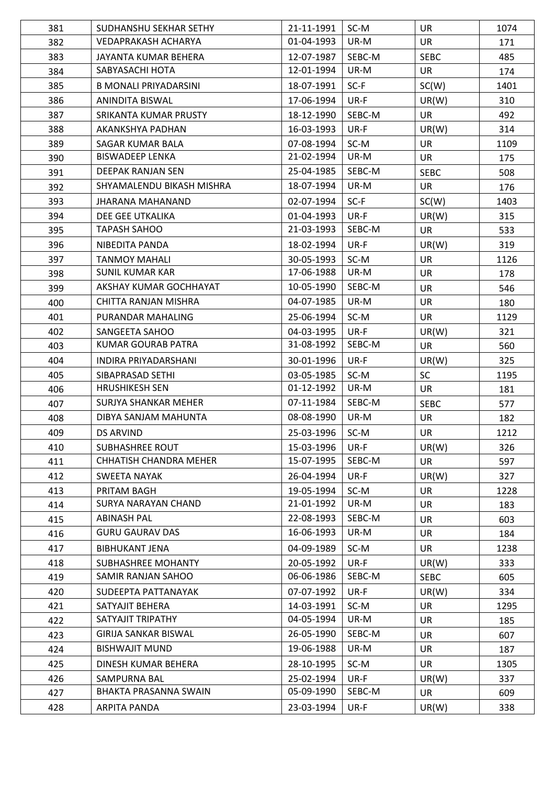| 381 | SUDHANSHU SEKHAR SETHY        | 21-11-1991 | SC-M   | UR.         | 1074 |
|-----|-------------------------------|------------|--------|-------------|------|
| 382 | VEDAPRAKASH ACHARYA           | 01-04-1993 | UR-M   | <b>UR</b>   | 171  |
| 383 | JAYANTA KUMAR BEHERA          | 12-07-1987 | SEBC-M | <b>SEBC</b> | 485  |
| 384 | SABYASACHI HOTA               | 12-01-1994 | UR-M   | <b>UR</b>   | 174  |
| 385 | <b>B MONALI PRIYADARSINI</b>  | 18-07-1991 | $SC-F$ | SC(W)       | 1401 |
| 386 | ANINDITA BISWAL               | 17-06-1994 | UR-F   | UR(W)       | 310  |
| 387 | SRIKANTA KUMAR PRUSTY         | 18-12-1990 | SEBC-M | UR          | 492  |
| 388 | AKANKSHYA PADHAN              | 16-03-1993 | UR-F   | UR(W)       | 314  |
| 389 | SAGAR KUMAR BALA              | 07-08-1994 | SC-M   | <b>UR</b>   | 1109 |
| 390 | <b>BISWADEEP LENKA</b>        | 21-02-1994 | UR-M   | UR.         | 175  |
| 391 | DEEPAK RANJAN SEN             | 25-04-1985 | SEBC-M | <b>SEBC</b> | 508  |
| 392 | SHYAMALENDU BIKASH MISHRA     | 18-07-1994 | UR-M   | UR          | 176  |
| 393 | JHARANA MAHANAND              | 02-07-1994 | $SC-F$ | SC(W)       | 1403 |
| 394 | DEE GEE UTKALIKA              | 01-04-1993 | UR-F   | UR(W)       | 315  |
| 395 | <b>TAPASH SAHOO</b>           | 21-03-1993 | SEBC-M | UR          | 533  |
| 396 | NIBEDITA PANDA                | 18-02-1994 | UR-F   | UR(W)       | 319  |
| 397 | <b>TANMOY MAHALI</b>          | 30-05-1993 | SC-M   | <b>UR</b>   | 1126 |
| 398 | <b>SUNIL KUMAR KAR</b>        | 17-06-1988 | UR-M   | <b>UR</b>   | 178  |
| 399 | AKSHAY KUMAR GOCHHAYAT        | 10-05-1990 | SEBC-M | <b>UR</b>   | 546  |
| 400 | CHITTA RANJAN MISHRA          | 04-07-1985 | UR-M   | <b>UR</b>   | 180  |
| 401 | PURANDAR MAHALING             | 25-06-1994 | SC-M   | <b>UR</b>   | 1129 |
| 402 | SANGEETA SAHOO                | 04-03-1995 | UR-F   | UR(W)       | 321  |
| 403 | KUMAR GOURAB PATRA            | 31-08-1992 | SEBC-M | <b>UR</b>   | 560  |
| 404 | INDIRA PRIYADARSHANI          | 30-01-1996 | UR-F   | UR(W)       | 325  |
| 405 | SIBAPRASAD SETHI              | 03-05-1985 | SC-M   | <b>SC</b>   | 1195 |
| 406 | <b>HRUSHIKESH SEN</b>         | 01-12-1992 | UR-M   | UR          | 181  |
| 407 | <b>SURJYA SHANKAR MEHER</b>   | 07-11-1984 | SEBC-M | <b>SEBC</b> | 577  |
| 408 | DIBYA SANJAM MAHUNTA          | 08-08-1990 | UR-M   | <b>UR</b>   | 182  |
| 409 | <b>DS ARVIND</b>              | 25-03-1996 | SC-M   | UR          | 1212 |
| 410 | <b>SUBHASHREE ROUT</b>        | 15-03-1996 | UR-F   | UR(W)       | 326  |
| 411 | <b>CHHATISH CHANDRA MEHER</b> | 15-07-1995 | SEBC-M | <b>UR</b>   | 597  |
| 412 | <b>SWEETA NAYAK</b>           | 26-04-1994 | UR-F   | UR(W)       | 327  |
| 413 | PRITAM BAGH                   | 19-05-1994 | SC-M   | <b>UR</b>   | 1228 |
| 414 | SURYA NARAYAN CHAND           | 21-01-1992 | UR-M   | UR          | 183  |
| 415 | <b>ABINASH PAL</b>            | 22-08-1993 | SEBC-M | <b>UR</b>   | 603  |
| 416 | <b>GURU GAURAV DAS</b>        | 16-06-1993 | UR-M   | UR          | 184  |
| 417 | <b>BIBHUKANT JENA</b>         | 04-09-1989 | SC-M   | <b>UR</b>   | 1238 |
| 418 | SUBHASHREE MOHANTY            | 20-05-1992 | UR-F   | UR(W)       | 333  |
| 419 | SAMIR RANJAN SAHOO            | 06-06-1986 | SEBC-M | <b>SEBC</b> | 605  |
| 420 | SUDEEPTA PATTANAYAK           | 07-07-1992 | UR-F   | UR(W)       | 334  |
| 421 | SATYAJIT BEHERA               | 14-03-1991 | SC-M   | <b>UR</b>   | 1295 |
| 422 | SATYAJIT TRIPATHY             | 04-05-1994 | UR-M   | <b>UR</b>   | 185  |
| 423 | <b>GIRIJA SANKAR BISWAL</b>   | 26-05-1990 | SEBC-M | UR          | 607  |
| 424 | <b>BISHWAJIT MUND</b>         | 19-06-1988 | UR-M   | <b>UR</b>   | 187  |
| 425 | DINESH KUMAR BEHERA           | 28-10-1995 | SC-M   | <b>UR</b>   | 1305 |
| 426 | SAMPURNA BAL                  | 25-02-1994 | UR-F   | UR(W)       | 337  |
| 427 | BHAKTA PRASANNA SWAIN         | 05-09-1990 | SEBC-M | <b>UR</b>   | 609  |
| 428 | ARPITA PANDA                  | 23-03-1994 | UR-F   | UR(W)       | 338  |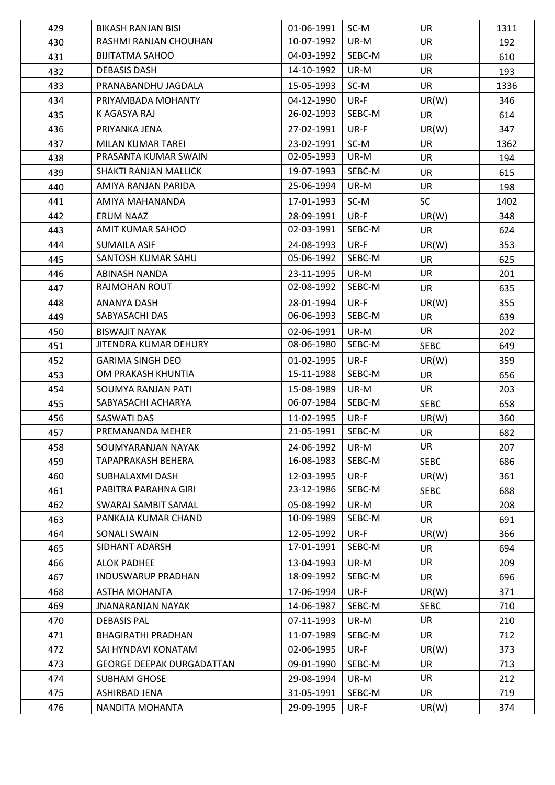| 429 | <b>BIKASH RANJAN BISI</b>        | 01-06-1991 | SC-M   | <b>UR</b>   | 1311 |
|-----|----------------------------------|------------|--------|-------------|------|
| 430 | RASHMI RANJAN CHOUHAN            | 10-07-1992 | UR-M   | <b>UR</b>   | 192  |
| 431 | <b>BIJITATMA SAHOO</b>           | 04-03-1992 | SEBC-M | <b>UR</b>   | 610  |
| 432 | <b>DEBASIS DASH</b>              | 14-10-1992 | UR-M   | <b>UR</b>   | 193  |
| 433 | PRANABANDHU JAGDALA              | 15-05-1993 | SC-M   | <b>UR</b>   | 1336 |
| 434 | PRIYAMBADA MOHANTY               | 04-12-1990 | UR-F   | UR(W)       | 346  |
| 435 | K AGASYA RAJ                     | 26-02-1993 | SEBC-M | <b>UR</b>   | 614  |
| 436 | PRIYANKA JENA                    | 27-02-1991 | UR-F   | UR(W)       | 347  |
| 437 | <b>MILAN KUMAR TAREI</b>         | 23-02-1991 | SC-M   | <b>UR</b>   | 1362 |
| 438 | PRASANTA KUMAR SWAIN             | 02-05-1993 | UR-M   | <b>UR</b>   | 194  |
| 439 | SHAKTI RANJAN MALLICK            | 19-07-1993 | SEBC-M | <b>UR</b>   | 615  |
| 440 | AMIYA RANJAN PARIDA              | 25-06-1994 | UR-M   | UR          | 198  |
| 441 | AMIYA MAHANANDA                  | 17-01-1993 | SC-M   | SC          | 1402 |
| 442 | <b>ERUM NAAZ</b>                 | 28-09-1991 | UR-F   | UR(W)       | 348  |
| 443 | AMIT KUMAR SAHOO                 | 02-03-1991 | SEBC-M | <b>UR</b>   | 624  |
| 444 | <b>SUMAILA ASIF</b>              | 24-08-1993 | UR-F   | UR(W)       | 353  |
| 445 | SANTOSH KUMAR SAHU               | 05-06-1992 | SEBC-M | <b>UR</b>   | 625  |
| 446 | <b>ABINASH NANDA</b>             | 23-11-1995 | UR-M   | UR          | 201  |
| 447 | RAJMOHAN ROUT                    | 02-08-1992 | SEBC-M | <b>UR</b>   | 635  |
| 448 | ANANYA DASH                      | 28-01-1994 | UR-F   | UR(W)       | 355  |
| 449 | SABYASACHI DAS                   | 06-06-1993 | SEBC-M | <b>UR</b>   | 639  |
| 450 | <b>BISWAJIT NAYAK</b>            | 02-06-1991 | UR-M   | UR          | 202  |
| 451 | JITENDRA KUMAR DEHURY            | 08-06-1980 | SEBC-M | <b>SEBC</b> | 649  |
| 452 | <b>GARIMA SINGH DEO</b>          | 01-02-1995 | UR-F   | UR(W)       | 359  |
| 453 | OM PRAKASH KHUNTIA               | 15-11-1988 | SEBC-M | <b>UR</b>   | 656  |
| 454 | SOUMYA RANJAN PATI               | 15-08-1989 | UR-M   | <b>UR</b>   | 203  |
| 455 | SABYASACHI ACHARYA               | 06-07-1984 | SEBC-M | <b>SEBC</b> | 658  |
| 456 | <b>SASWATI DAS</b>               | 11-02-1995 | UR-F   | UR(W)       | 360  |
| 457 | PREMANANDA MEHER                 | 21-05-1991 | SEBC-M | <b>UR</b>   | 682  |
| 458 | SOUMYARANJAN NAYAK               | 24-06-1992 | UR-M   | UR          | 207  |
| 459 | TAPAPRAKASH BEHERA               | 16-08-1983 | SEBC-M | <b>SEBC</b> | 686  |
| 460 | SUBHALAXMI DASH                  | 12-03-1995 | UR-F   | UR(W)       | 361  |
| 461 | PABITRA PARAHNA GIRI             | 23-12-1986 | SEBC-M | <b>SEBC</b> | 688  |
| 462 | SWARAJ SAMBIT SAMAL              | 05-08-1992 | UR-M   | UR          | 208  |
| 463 | PANKAJA KUMAR CHAND              | 10-09-1989 | SEBC-M | <b>UR</b>   | 691  |
| 464 | <b>SONALI SWAIN</b>              | 12-05-1992 | UR-F   | UR(W)       | 366  |
| 465 | SIDHANT ADARSH                   | 17-01-1991 | SEBC-M | <b>UR</b>   | 694  |
| 466 | <b>ALOK PADHEE</b>               | 13-04-1993 | UR-M   | <b>UR</b>   | 209  |
| 467 | <b>INDUSWARUP PRADHAN</b>        | 18-09-1992 | SEBC-M | <b>UR</b>   | 696  |
| 468 | ASTHA MOHANTA                    | 17-06-1994 | UR-F   | UR(W)       | 371  |
| 469 | <b>JNANARANJAN NAYAK</b>         | 14-06-1987 | SEBC-M | <b>SEBC</b> | 710  |
| 470 | <b>DEBASIS PAL</b>               | 07-11-1993 | UR-M   | <b>UR</b>   | 210  |
| 471 | <b>BHAGIRATHI PRADHAN</b>        | 11-07-1989 | SEBC-M | <b>UR</b>   | 712  |
| 472 | SAI HYNDAVI KONATAM              | 02-06-1995 | UR-F   | UR(W)       | 373  |
| 473 | <b>GEORGE DEEPAK DURGADATTAN</b> | 09-01-1990 | SEBC-M | <b>UR</b>   | 713  |
| 474 | SUBHAM GHOSE                     | 29-08-1994 | UR-M   | UR          | 212  |
| 475 | ASHIRBAD JENA                    | 31-05-1991 | SEBC-M | <b>UR</b>   | 719  |
| 476 | NANDITA MOHANTA                  | 29-09-1995 | UR-F   | UR(W)       | 374  |
|     |                                  |            |        |             |      |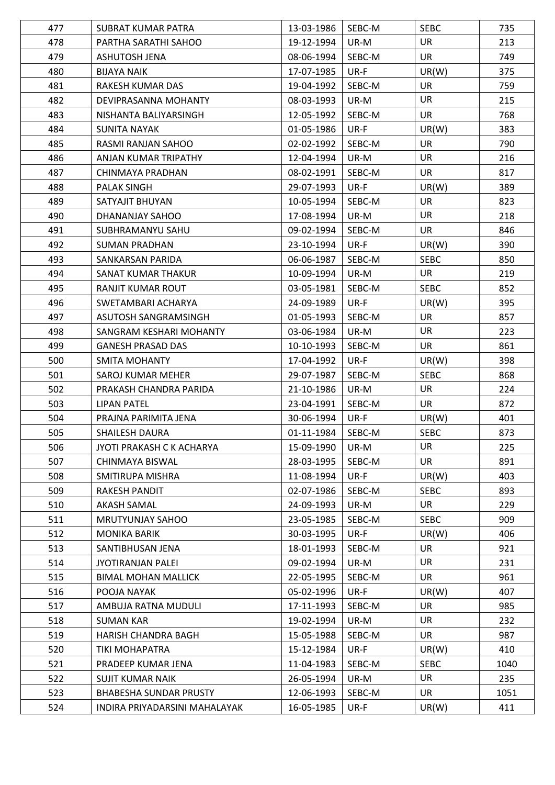| 477 | SUBRAT KUMAR PATRA            | 13-03-1986 | SEBC-M | <b>SEBC</b> | 735  |
|-----|-------------------------------|------------|--------|-------------|------|
| 478 | PARTHA SARATHI SAHOO          | 19-12-1994 | UR-M   | <b>UR</b>   | 213  |
| 479 | ASHUTOSH JENA                 | 08-06-1994 | SEBC-M | <b>UR</b>   | 749  |
| 480 | <b>BIJAYA NAIK</b>            | 17-07-1985 | UR-F   | UR(W)       | 375  |
| 481 | RAKESH KUMAR DAS              | 19-04-1992 | SEBC-M | <b>UR</b>   | 759  |
| 482 | DEVIPRASANNA MOHANTY          | 08-03-1993 | UR-M   | <b>UR</b>   | 215  |
| 483 | NISHANTA BALIYARSINGH         | 12-05-1992 | SEBC-M | <b>UR</b>   | 768  |
| 484 | SUNITA NAYAK                  | 01-05-1986 | UR-F   | UR(W)       | 383  |
| 485 | RASMI RANJAN SAHOO            | 02-02-1992 | SEBC-M | UR          | 790  |
| 486 | ANJAN KUMAR TRIPATHY          | 12-04-1994 | UR-M   | <b>UR</b>   | 216  |
| 487 | CHINMAYA PRADHAN              | 08-02-1991 | SEBC-M | <b>UR</b>   | 817  |
| 488 | PALAK SINGH                   | 29-07-1993 | UR-F   | UR(W)       | 389  |
| 489 | SATYAJIT BHUYAN               | 10-05-1994 | SEBC-M | <b>UR</b>   | 823  |
| 490 | DHANANJAY SAHOO               | 17-08-1994 | UR-M   | <b>UR</b>   | 218  |
| 491 | SUBHRAMANYU SAHU              | 09-02-1994 | SEBC-M | <b>UR</b>   | 846  |
| 492 | <b>SUMAN PRADHAN</b>          | 23-10-1994 | UR-F   | UR(W)       | 390  |
| 493 | SANKARSAN PARIDA              | 06-06-1987 | SEBC-M | <b>SEBC</b> | 850  |
| 494 | SANAT KUMAR THAKUR            | 10-09-1994 | UR-M   | <b>UR</b>   | 219  |
| 495 | <b>RANJIT KUMAR ROUT</b>      | 03-05-1981 | SEBC-M | <b>SEBC</b> | 852  |
| 496 | SWETAMBARI ACHARYA            | 24-09-1989 | UR-F   | UR(W)       | 395  |
| 497 | ASUTOSH SANGRAMSINGH          | 01-05-1993 | SEBC-M | <b>UR</b>   | 857  |
| 498 | SANGRAM KESHARI MOHANTY       | 03-06-1984 | UR-M   | UR          | 223  |
| 499 | <b>GANESH PRASAD DAS</b>      | 10-10-1993 | SEBC-M | <b>UR</b>   | 861  |
| 500 | <b>SMITA MOHANTY</b>          | 17-04-1992 | UR-F   | UR(W)       | 398  |
| 501 | SAROJ KUMAR MEHER             | 29-07-1987 | SEBC-M | <b>SEBC</b> | 868  |
| 502 | PRAKASH CHANDRA PARIDA        | 21-10-1986 | UR-M   | <b>UR</b>   | 224  |
| 503 | <b>LIPAN PATEL</b>            | 23-04-1991 | SEBC-M | <b>UR</b>   | 872  |
| 504 | PRAJNA PARIMITA JENA          | 30-06-1994 | UR-F   | UR(W)       | 401  |
| 505 | <b>SHAILESH DAURA</b>         | 01-11-1984 | SEBC-M | <b>SEBC</b> | 873  |
| 506 | JYOTI PRAKASH C K ACHARYA     | 15-09-1990 | UR-M   | UR          | 225  |
| 507 | CHINMAYA BISWAL               | 28-03-1995 | SEBC-M | <b>UR</b>   | 891  |
| 508 | SMITIRUPA MISHRA              | 11-08-1994 | UR-F   | UR(W)       | 403  |
| 509 | <b>RAKESH PANDIT</b>          | 02-07-1986 | SEBC-M | <b>SEBC</b> | 893  |
| 510 | AKASH SAMAL                   | 24-09-1993 | UR-M   | UR          | 229  |
| 511 | <b>MRUTYUNJAY SAHOO</b>       | 23-05-1985 | SEBC-M | <b>SEBC</b> | 909  |
| 512 | <b>MONIKA BARIK</b>           | 30-03-1995 | UR-F   | UR(W)       | 406  |
| 513 | SANTIBHUSAN JENA              | 18-01-1993 | SEBC-M | UR          | 921  |
| 514 | <b>JYOTIRANJAN PALEI</b>      | 09-02-1994 | UR-M   | <b>UR</b>   | 231  |
| 515 | <b>BIMAL MOHAN MALLICK</b>    | 22-05-1995 | SEBC-M | <b>UR</b>   | 961  |
| 516 | POOJA NAYAK                   | 05-02-1996 | UR-F   | UR(W)       | 407  |
| 517 | AMBUJA RATNA MUDULI           | 17-11-1993 | SEBC-M | <b>UR</b>   | 985  |
| 518 | <b>SUMAN KAR</b>              | 19-02-1994 | UR-M   | <b>UR</b>   | 232  |
| 519 | HARISH CHANDRA BAGH           | 15-05-1988 | SEBC-M | <b>UR</b>   | 987  |
| 520 | TIKI MOHAPATRA                | 15-12-1984 | UR-F   | UR(W)       | 410  |
| 521 | PRADEEP KUMAR JENA            | 11-04-1983 | SEBC-M | <b>SEBC</b> | 1040 |
| 522 | <b>SUJIT KUMAR NAIK</b>       | 26-05-1994 | UR-M   | UR          | 235  |
| 523 | <b>BHABESHA SUNDAR PRUSTY</b> | 12-06-1993 | SEBC-M | <b>UR</b>   | 1051 |
| 524 | INDIRA PRIYADARSINI MAHALAYAK | 16-05-1985 | UR-F   | UR(W)       | 411  |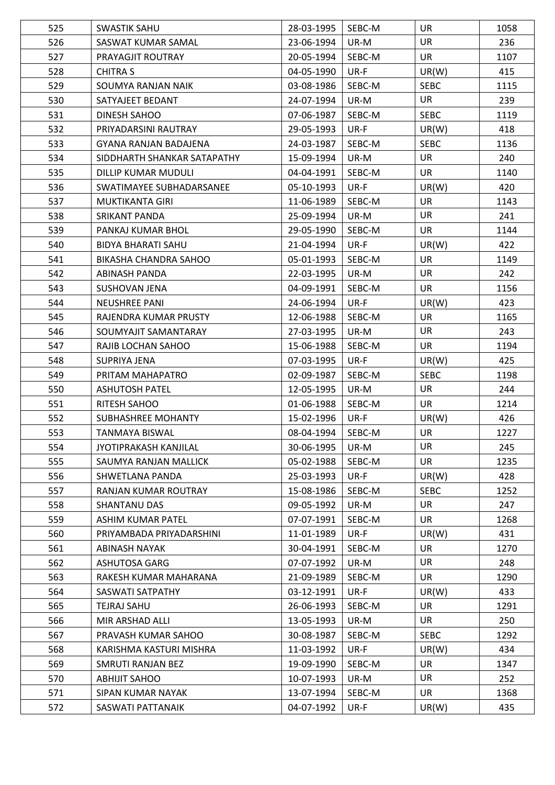| 525 | <b>SWASTIK SAHU</b>          | 28-03-1995 | SEBC-M | <b>UR</b>   | 1058 |
|-----|------------------------------|------------|--------|-------------|------|
| 526 | SASWAT KUMAR SAMAL           | 23-06-1994 | UR-M   | <b>UR</b>   | 236  |
| 527 | PRAYAGJIT ROUTRAY            | 20-05-1994 | SEBC-M | <b>UR</b>   | 1107 |
| 528 | <b>CHITRA S</b>              | 04-05-1990 | UR-F   | UR(W)       | 415  |
| 529 | SOUMYA RANJAN NAIK           | 03-08-1986 | SEBC-M | <b>SEBC</b> | 1115 |
| 530 | SATYAJEET BEDANT             | 24-07-1994 | UR-M   | <b>UR</b>   | 239  |
| 531 | DINESH SAHOO                 | 07-06-1987 | SEBC-M | <b>SEBC</b> | 1119 |
| 532 | PRIYADARSINI RAUTRAY         | 29-05-1993 | UR-F   | UR(W)       | 418  |
| 533 | <b>GYANA RANJAN BADAJENA</b> | 24-03-1987 | SEBC-M | <b>SEBC</b> | 1136 |
| 534 | SIDDHARTH SHANKAR SATAPATHY  | 15-09-1994 | UR-M   | UR          | 240  |
| 535 | DILLIP KUMAR MUDULI          | 04-04-1991 | SEBC-M | <b>UR</b>   | 1140 |
| 536 | SWATIMAYEE SUBHADARSANEE     | 05-10-1993 | UR-F   | UR(W)       | 420  |
| 537 | MUKTIKANTA GIRI              | 11-06-1989 | SEBC-M | <b>UR</b>   | 1143 |
| 538 | <b>SRIKANT PANDA</b>         | 25-09-1994 | UR-M   | <b>UR</b>   | 241  |
| 539 | PANKAJ KUMAR BHOL            | 29-05-1990 | SEBC-M | <b>UR</b>   | 1144 |
| 540 | <b>BIDYA BHARATI SAHU</b>    | 21-04-1994 | UR-F   | UR(W)       | 422  |
| 541 | BIKASHA CHANDRA SAHOO        | 05-01-1993 | SEBC-M | <b>UR</b>   | 1149 |
| 542 | ABINASH PANDA                | 22-03-1995 | UR-M   | <b>UR</b>   | 242  |
| 543 | <b>SUSHOVAN JENA</b>         | 04-09-1991 | SEBC-M | <b>UR</b>   | 1156 |
| 544 | <b>NEUSHREE PANI</b>         | 24-06-1994 | UR-F   | UR(W)       | 423  |
| 545 | RAJENDRA KUMAR PRUSTY        | 12-06-1988 | SEBC-M | <b>UR</b>   | 1165 |
| 546 | SOUMYAJIT SAMANTARAY         | 27-03-1995 | UR-M   | UR          | 243  |
| 547 | RAJIB LOCHAN SAHOO           | 15-06-1988 | SEBC-M | <b>UR</b>   | 1194 |
| 548 | <b>SUPRIYA JENA</b>          | 07-03-1995 | UR-F   | UR(W)       | 425  |
| 549 | PRITAM MAHAPATRO             | 02-09-1987 | SEBC-M | <b>SEBC</b> | 1198 |
| 550 | <b>ASHUTOSH PATEL</b>        | 12-05-1995 | UR-M   | <b>UR</b>   | 244  |
| 551 | RITESH SAHOO                 | 01-06-1988 | SEBC-M | <b>UR</b>   | 1214 |
| 552 | SUBHASHREE MOHANTY           | 15-02-1996 | UR-F   | UR(W)       | 426  |
| 553 | <b>TANMAYA BISWAL</b>        | 08-04-1994 | SEBC-M | <b>UR</b>   | 1227 |
| 554 | JYOTIPRAKASH KANJILAL        | 30-06-1995 | UR-M   | UR          | 245  |
| 555 | SAUMYA RANJAN MALLICK        | 05-02-1988 | SEBC-M | <b>UR</b>   | 1235 |
| 556 | SHWETLANA PANDA              | 25-03-1993 | UR-F   | UR(W)       | 428  |
| 557 | RANJAN KUMAR ROUTRAY         | 15-08-1986 | SEBC-M | <b>SEBC</b> | 1252 |
| 558 | <b>SHANTANU DAS</b>          | 09-05-1992 | UR-M   | UR          | 247  |
| 559 | ASHIM KUMAR PATEL            | 07-07-1991 | SEBC-M | <b>UR</b>   | 1268 |
| 560 | PRIYAMBADA PRIYADARSHINI     | 11-01-1989 | UR-F   | UR(W)       | 431  |
| 561 | ABINASH NAYAK                | 30-04-1991 | SEBC-M | <b>UR</b>   | 1270 |
| 562 | <b>ASHUTOSA GARG</b>         | 07-07-1992 | UR-M   | <b>UR</b>   | 248  |
| 563 | RAKESH KUMAR MAHARANA        | 21-09-1989 | SEBC-M | <b>UR</b>   | 1290 |
| 564 | SASWATI SATPATHY             | 03-12-1991 | UR-F   | UR(W)       | 433  |
| 565 | TEJRAJ SAHU                  | 26-06-1993 | SEBC-M | <b>UR</b>   | 1291 |
| 566 | MIR ARSHAD ALLI              | 13-05-1993 | UR-M   | <b>UR</b>   | 250  |
| 567 | PRAVASH KUMAR SAHOO          | 30-08-1987 | SEBC-M | <b>SEBC</b> | 1292 |
| 568 | KARISHMA KASTURI MISHRA      | 11-03-1992 | UR-F   | UR(W)       | 434  |
| 569 | SMRUTI RANJAN BEZ            | 19-09-1990 | SEBC-M | <b>UR</b>   | 1347 |
| 570 | <b>ABHIJIT SAHOO</b>         | 10-07-1993 | UR-M   | UR          | 252  |
| 571 | SIPAN KUMAR NAYAK            | 13-07-1994 | SEBC-M | <b>UR</b>   | 1368 |
| 572 | SASWATI PATTANAIK            | 04-07-1992 | UR-F   | UR(W)       | 435  |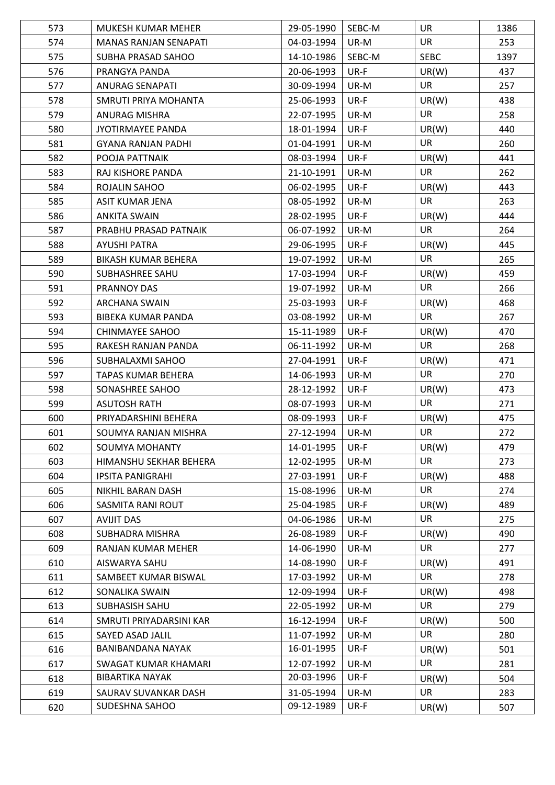| 573 | MUKESH KUMAR MEHER           | 29-05-1990 | SEBC-M | <b>UR</b>   | 1386 |
|-----|------------------------------|------------|--------|-------------|------|
| 574 | <b>MANAS RANJAN SENAPATI</b> | 04-03-1994 | UR-M   | UR          | 253  |
| 575 | SUBHA PRASAD SAHOO           | 14-10-1986 | SEBC-M | <b>SEBC</b> | 1397 |
| 576 | PRANGYA PANDA                | 20-06-1993 | UR-F   | UR(W)       | 437  |
| 577 | <b>ANURAG SENAPATI</b>       | 30-09-1994 | UR-M   | <b>UR</b>   | 257  |
| 578 | SMRUTI PRIYA MOHANTA         | 25-06-1993 | UR-F   | UR(W)       | 438  |
| 579 | <b>ANURAG MISHRA</b>         | 22-07-1995 | UR-M   | <b>UR</b>   | 258  |
| 580 | JYOTIRMAYEE PANDA            | 18-01-1994 | UR-F   | UR(W)       | 440  |
| 581 | <b>GYANA RANJAN PADHI</b>    | 01-04-1991 | UR-M   | <b>UR</b>   | 260  |
| 582 | POOJA PATTNAIK               | 08-03-1994 | UR-F   | UR(W)       | 441  |
| 583 | RAJ KISHORE PANDA            | 21-10-1991 | UR-M   | <b>UR</b>   | 262  |
| 584 | ROJALIN SAHOO                | 06-02-1995 | UR-F   | UR(W)       | 443  |
| 585 | ASIT KUMAR JENA              | 08-05-1992 | UR-M   | <b>UR</b>   | 263  |
| 586 | <b>ANKITA SWAIN</b>          | 28-02-1995 | UR-F   | UR(W)       | 444  |
| 587 | PRABHU PRASAD PATNAIK        | 06-07-1992 | UR-M   | <b>UR</b>   | 264  |
| 588 | <b>AYUSHI PATRA</b>          | 29-06-1995 | UR-F   | UR(W)       | 445  |
| 589 | <b>BIKASH KUMAR BEHERA</b>   | 19-07-1992 | UR-M   | <b>UR</b>   | 265  |
| 590 | SUBHASHREE SAHU              | 17-03-1994 | UR-F   | UR(W)       | 459  |
| 591 | PRANNOY DAS                  | 19-07-1992 | UR-M   | <b>UR</b>   | 266  |
| 592 | <b>ARCHANA SWAIN</b>         | 25-03-1993 | UR-F   | UR(W)       | 468  |
| 593 | <b>BIBEKA KUMAR PANDA</b>    | 03-08-1992 | UR-M   | <b>UR</b>   | 267  |
| 594 | CHINMAYEE SAHOO              | 15-11-1989 | UR-F   | UR(W)       | 470  |
| 595 | RAKESH RANJAN PANDA          | 06-11-1992 | UR-M   | <b>UR</b>   | 268  |
| 596 | SUBHALAXMI SAHOO             | 27-04-1991 | UR-F   | UR(W)       | 471  |
| 597 | TAPAS KUMAR BEHERA           | 14-06-1993 | UR-M   | <b>UR</b>   | 270  |
| 598 | SONASHREE SAHOO              | 28-12-1992 | UR-F   | UR(W)       | 473  |
| 599 | <b>ASUTOSH RATH</b>          | 08-07-1993 | UR-M   | <b>UR</b>   | 271  |
| 600 | PRIYADARSHINI BEHERA         | 08-09-1993 | UR-F   | UR(W)       | 475  |
| 601 | SOUMYA RANJAN MISHRA         | 27-12-1994 | UR-M   | <b>UR</b>   | 272  |
| 602 | <b>SOUMYA MOHANTY</b>        | 14-01-1995 | UR-F   | UR(W)       | 479  |
| 603 | HIMANSHU SEKHAR BEHERA       | 12-02-1995 | UR-M   | <b>UR</b>   | 273  |
| 604 | <b>IPSITA PANIGRAHI</b>      | 27-03-1991 | UR-F   | UR(W)       | 488  |
| 605 | NIKHIL BARAN DASH            | 15-08-1996 | UR-M   | <b>UR</b>   | 274  |
| 606 | SASMITA RANI ROUT            | 25-04-1985 | UR-F   | UR(W)       | 489  |
| 607 | <b>AVIJIT DAS</b>            | 04-06-1986 | UR-M   | <b>UR</b>   | 275  |
| 608 | <b>SUBHADRA MISHRA</b>       | 26-08-1989 | UR-F   | UR(W)       | 490  |
| 609 | RANJAN KUMAR MEHER           | 14-06-1990 | UR-M   | <b>UR</b>   | 277  |
| 610 | AISWARYA SAHU                | 14-08-1990 | UR-F   | UR(W)       | 491  |
| 611 | SAMBEET KUMAR BISWAL         | 17-03-1992 | UR-M   | <b>UR</b>   | 278  |
| 612 | SONALIKA SWAIN               | 12-09-1994 | UR-F   | UR(W)       | 498  |
| 613 | SUBHASISH SAHU               | 22-05-1992 | UR-M   | <b>UR</b>   | 279  |
| 614 | SMRUTI PRIYADARSINI KAR      | 16-12-1994 | UR-F   | UR(W)       | 500  |
| 615 | SAYED ASAD JALIL             | 11-07-1992 | UR-M   | <b>UR</b>   | 280  |
| 616 | BANIBANDANA NAYAK            | 16-01-1995 | UR-F   | UR(W)       | 501  |
| 617 | SWAGAT KUMAR KHAMARI         | 12-07-1992 | UR-M   | <b>UR</b>   | 281  |
| 618 | <b>BIBARTIKA NAYAK</b>       | 20-03-1996 | UR-F   | UR(W)       | 504  |
| 619 | SAURAV SUVANKAR DASH         | 31-05-1994 | UR-M   | <b>UR</b>   | 283  |
| 620 | SUDESHNA SAHOO               | 09-12-1989 | UR-F   | UR(W)       | 507  |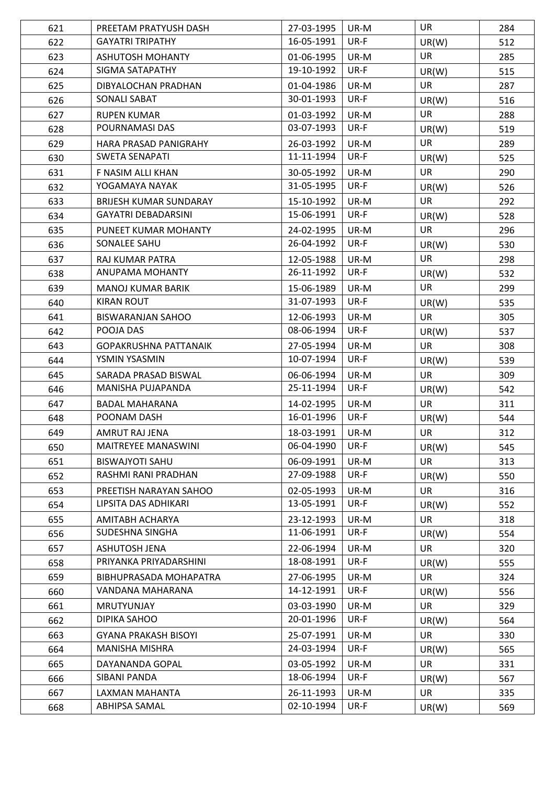| 621 | PREETAM PRATYUSH DASH                         | 27-03-1995               | UR-M         | <b>UR</b>          | 284        |
|-----|-----------------------------------------------|--------------------------|--------------|--------------------|------------|
| 622 | <b>GAYATRI TRIPATHY</b>                       | 16-05-1991               | UR-F         | UR(W)              | 512        |
| 623 | ASHUTOSH MOHANTY                              | 01-06-1995               | UR-M         | <b>UR</b>          | 285        |
| 624 | SIGMA SATAPATHY                               | 19-10-1992               | UR-F         | UR(W)              | 515        |
| 625 | DIBYALOCHAN PRADHAN                           | 01-04-1986               | UR-M         | <b>UR</b>          | 287        |
| 626 | SONALI SABAT                                  | 30-01-1993               | UR-F         | UR(W)              | 516        |
| 627 | <b>RUPEN KUMAR</b>                            | 01-03-1992               | UR-M         | <b>UR</b>          | 288        |
| 628 | POURNAMASI DAS                                | 03-07-1993               | UR-F         | UR(W)              | 519        |
| 629 | HARA PRASAD PANIGRAHY                         | 26-03-1992               | UR-M         | <b>UR</b>          | 289        |
| 630 | <b>SWETA SENAPATI</b>                         | 11-11-1994               | UR-F         | UR(W)              | 525        |
| 631 | F NASIM ALLI KHAN                             | 30-05-1992               | UR-M         | <b>UR</b>          | 290        |
| 632 | YOGAMAYA NAYAK                                | 31-05-1995               | UR-F         | UR(W)              | 526        |
| 633 | BRIJESH KUMAR SUNDARAY                        | 15-10-1992               | UR-M         | <b>UR</b>          | 292        |
| 634 | <b>GAYATRI DEBADARSINI</b>                    | 15-06-1991               | UR-F         | UR(W)              | 528        |
| 635 | PUNEET KUMAR MOHANTY                          | 24-02-1995               | UR-M         | <b>UR</b>          | 296        |
| 636 | SONALEE SAHU                                  | 26-04-1992               | UR-F         | UR(W)              | 530        |
| 637 | RAJ KUMAR PATRA                               | 12-05-1988               | UR-M         | <b>UR</b>          | 298        |
| 638 | ANUPAMA MOHANTY                               | 26-11-1992               | UR-F         | UR(W)              | 532        |
| 639 | <b>MANOJ KUMAR BARIK</b>                      | 15-06-1989               | UR-M         | <b>UR</b>          | 299        |
| 640 | <b>KIRAN ROUT</b>                             | 31-07-1993               | UR-F         |                    |            |
|     |                                               | 12-06-1993               | UR-M         | UR(W)<br><b>UR</b> | 535<br>305 |
| 641 | <b>BISWARANJAN SAHOO</b><br>POOJA DAS         | 08-06-1994               | UR-F         |                    |            |
| 642 |                                               |                          |              | UR(W)              | 537        |
| 643 | <b>GOPAKRUSHNA PATTANAIK</b><br>YSMIN YSASMIN | 27-05-1994<br>10-07-1994 | UR-M<br>UR-F | <b>UR</b>          | 308        |
| 644 |                                               |                          |              | UR(W)              | 539        |
| 645 | SARADA PRASAD BISWAL                          | 06-06-1994               | UR-M         | <b>UR</b>          | 309        |
| 646 | MANISHA PUJAPANDA                             | 25-11-1994               | UR-F         | UR(W)              | 542        |
| 647 | <b>BADAL MAHARANA</b>                         | 14-02-1995               | UR-M         | <b>UR</b>          | 311        |
| 648 | POONAM DASH                                   | 16-01-1996               | UR-F         | UR(W)              | 544        |
| 649 | AMRUT RAJ JENA                                | 18-03-1991               | UR-M         | UR                 | 312        |
| 650 | MAITREYEE MANASWINI                           | 06-04-1990               | UR-F         | UR(W)              | 545        |
| 651 | <b>BISWAJYOTI SAHU</b>                        | 06-09-1991               | UR-M         | <b>UR</b>          | 313        |
| 652 | RASHMI RANI PRADHAN                           | 27-09-1988               | UR-F         | UR(W)              | 550        |
| 653 | PREETISH NARAYAN SAHOO                        | 02-05-1993               | UR-M         | <b>UR</b>          | 316        |
| 654 | LIPSITA DAS ADHIKARI                          | 13-05-1991               | UR-F         | UR(W)              | 552        |
| 655 | AMITABH ACHARYA                               | 23-12-1993               | UR-M         | <b>UR</b>          | 318        |
| 656 | SUDESHNA SINGHA                               | 11-06-1991               | UR-F         | UR(W)              | 554        |
| 657 | <b>ASHUTOSH JENA</b>                          | 22-06-1994               | UR-M         | <b>UR</b>          | 320        |
| 658 | PRIYANKA PRIYADARSHINI                        | 18-08-1991               | UR-F         | UR(W)              | 555        |
| 659 | BIBHUPRASADA MOHAPATRA                        | 27-06-1995               | UR-M         | <b>UR</b>          | 324        |
| 660 | VANDANA MAHARANA                              | 14-12-1991               | UR-F         | UR(W)              | 556        |
| 661 | MRUTYUNJAY                                    | 03-03-1990               | UR-M         | <b>UR</b>          | 329        |
| 662 | DIPIKA SAHOO                                  | 20-01-1996               | UR-F         | UR(W)              | 564        |
| 663 | <b>GYANA PRAKASH BISOYI</b>                   | 25-07-1991               | UR-M         | <b>UR</b>          | 330        |
| 664 | MANISHA MISHRA                                | 24-03-1994               | UR-F         | UR(W)              | 565        |
| 665 | DAYANANDA GOPAL                               | 03-05-1992               | UR-M         | <b>UR</b>          | 331        |
| 666 | SIBANI PANDA                                  | 18-06-1994               | UR-F         | UR(W)              | 567        |
| 667 | LAXMAN MAHANTA                                | 26-11-1993               | UR-M         | <b>UR</b>          | 335        |
| 668 | ABHIPSA SAMAL                                 | 02-10-1994               | UR-F         | UR(W)              | 569        |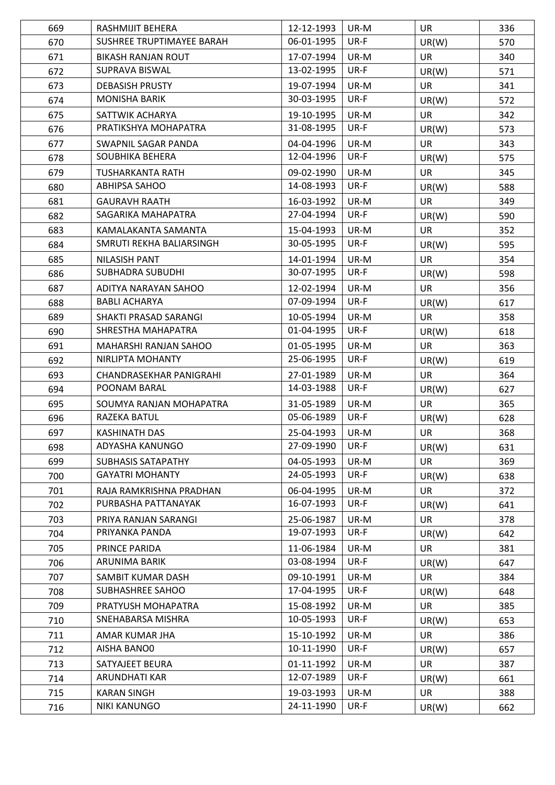| 669 | RASHMIJIT BEHERA          | 12-12-1993 | UR-M | <b>UR</b> | 336 |
|-----|---------------------------|------------|------|-----------|-----|
| 670 | SUSHREE TRUPTIMAYEE BARAH | 06-01-1995 | UR-F | UR(W)     | 570 |
| 671 | <b>BIKASH RANJAN ROUT</b> | 17-07-1994 | UR-M | <b>UR</b> | 340 |
| 672 | SUPRAVA BISWAL            | 13-02-1995 | UR-F | UR(W)     | 571 |
| 673 | <b>DEBASISH PRUSTY</b>    | 19-07-1994 | UR-M | <b>UR</b> | 341 |
| 674 | <b>MONISHA BARIK</b>      | 30-03-1995 | UR-F | UR(W)     | 572 |
| 675 | SATTWIK ACHARYA           | 19-10-1995 | UR-M | <b>UR</b> | 342 |
| 676 | PRATIKSHYA MOHAPATRA      | 31-08-1995 | UR-F | UR(W)     | 573 |
| 677 | SWAPNIL SAGAR PANDA       | 04-04-1996 | UR-M | <b>UR</b> | 343 |
| 678 | SOUBHIKA BEHERA           | 12-04-1996 | UR-F | UR(W)     | 575 |
| 679 | TUSHARKANTA RATH          | 09-02-1990 | UR-M | <b>UR</b> | 345 |
| 680 | <b>ABHIPSA SAHOO</b>      | 14-08-1993 | UR-F | UR(W)     | 588 |
| 681 | <b>GAURAVH RAATH</b>      | 16-03-1992 | UR-M | <b>UR</b> | 349 |
| 682 | SAGARIKA MAHAPATRA        | 27-04-1994 | UR-F | UR(W)     | 590 |
| 683 | KAMALAKANTA SAMANTA       | 15-04-1993 | UR-M | <b>UR</b> | 352 |
| 684 | SMRUTI REKHA BALIARSINGH  | 30-05-1995 | UR-F | UR(W)     | 595 |
| 685 | <b>NILASISH PANT</b>      | 14-01-1994 | UR-M | <b>UR</b> | 354 |
| 686 | <b>SUBHADRA SUBUDHI</b>   | 30-07-1995 | UR-F | UR(W)     | 598 |
| 687 | ADITYA NARAYAN SAHOO      | 12-02-1994 | UR-M | <b>UR</b> | 356 |
| 688 | <b>BABLI ACHARYA</b>      | 07-09-1994 | UR-F | UR(W)     | 617 |
| 689 | SHAKTI PRASAD SARANGI     | 10-05-1994 | UR-M | <b>UR</b> | 358 |
| 690 | SHRESTHA MAHAPATRA        | 01-04-1995 | UR-F | UR(W)     | 618 |
| 691 | MAHARSHI RANJAN SAHOO     | 01-05-1995 | UR-M | UR        | 363 |
| 692 | NIRLIPTA MOHANTY          | 25-06-1995 | UR-F | UR(W)     | 619 |
| 693 | CHANDRASEKHAR PANIGRAHI   | 27-01-1989 | UR-M | <b>UR</b> | 364 |
| 694 | POONAM BARAL              | 14-03-1988 | UR-F | UR(W)     | 627 |
| 695 | SOUMYA RANJAN MOHAPATRA   | 31-05-1989 | UR-M | <b>UR</b> | 365 |
| 696 | RAZEKA BATUL              | 05-06-1989 | UR-F | UR(W)     | 628 |
| 697 | <b>KASHINATH DAS</b>      | 25-04-1993 | UR-M | <b>UR</b> | 368 |
| 698 | ADYASHA KANUNGO           | 27-09-1990 | UR-F | UR(W)     | 631 |
| 699 | <b>SUBHASIS SATAPATHY</b> | 04-05-1993 | UR-M | <b>UR</b> | 369 |
| 700 | <b>GAYATRI MOHANTY</b>    | 24-05-1993 | UR-F | UR(W)     | 638 |
| 701 | RAJA RAMKRISHNA PRADHAN   | 06-04-1995 | UR-M | <b>UR</b> | 372 |
| 702 | PURBASHA PATTANAYAK       | 16-07-1993 | UR-F | UR(W)     | 641 |
| 703 | PRIYA RANJAN SARANGI      | 25-06-1987 | UR-M | <b>UR</b> | 378 |
| 704 | PRIYANKA PANDA            | 19-07-1993 | UR-F | UR(W)     | 642 |
| 705 | PRINCE PARIDA             | 11-06-1984 | UR-M | <b>UR</b> | 381 |
| 706 | ARUNIMA BARIK             | 03-08-1994 | UR-F | UR(W)     | 647 |
| 707 | SAMBIT KUMAR DASH         | 09-10-1991 | UR-M | <b>UR</b> | 384 |
| 708 | SUBHASHREE SAHOO          | 17-04-1995 | UR-F | UR(W)     | 648 |
| 709 | PRATYUSH MOHAPATRA        | 15-08-1992 | UR-M | <b>UR</b> | 385 |
| 710 | SNEHABARSA MISHRA         | 10-05-1993 | UR-F | UR(W)     | 653 |
| 711 | AMAR KUMAR JHA            | 15-10-1992 | UR-M | <b>UR</b> | 386 |
| 712 | AISHA BANO0               | 10-11-1990 | UR-F | UR(W)     | 657 |
| 713 | SATYAJEET BEURA           | 01-11-1992 | UR-M | <b>UR</b> | 387 |
| 714 | ARUNDHATI KAR             | 12-07-1989 | UR-F | UR(W)     | 661 |
| 715 | <b>KARAN SINGH</b>        | 19-03-1993 | UR-M | <b>UR</b> | 388 |
| 716 | NIKI KANUNGO              | 24-11-1990 | UR-F | UR(W)     | 662 |
|     |                           |            |      |           |     |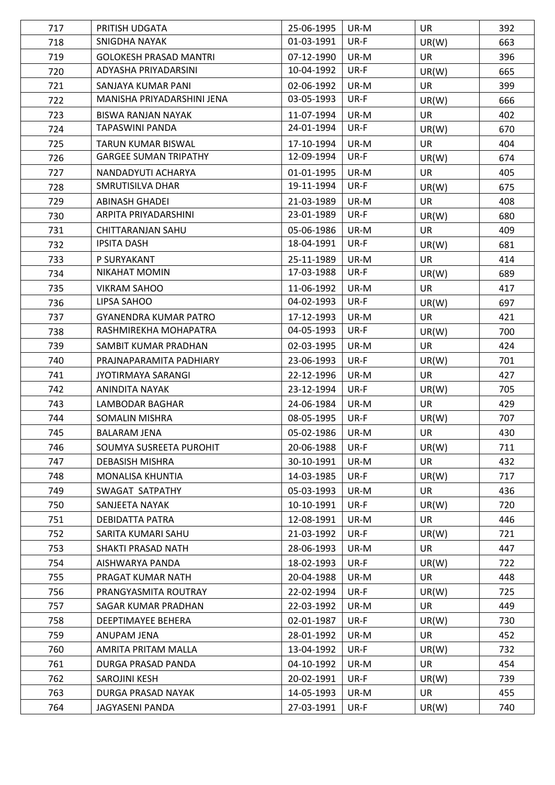| 717 | PRITISH UDGATA                | 25-06-1995 | UR-M | <b>UR</b> | 392 |
|-----|-------------------------------|------------|------|-----------|-----|
| 718 | SNIGDHA NAYAK                 | 01-03-1991 | UR-F | UR(W)     | 663 |
| 719 | <b>GOLOKESH PRASAD MANTRI</b> | 07-12-1990 | UR-M | <b>UR</b> | 396 |
| 720 | ADYASHA PRIYADARSINI          | 10-04-1992 | UR-F | UR(W)     | 665 |
| 721 | SANJAYA KUMAR PANI            | 02-06-1992 | UR-M | <b>UR</b> | 399 |
| 722 | MANISHA PRIYADARSHINI JENA    | 03-05-1993 | UR-F | UR(W)     | 666 |
| 723 | <b>BISWA RANJAN NAYAK</b>     | 11-07-1994 | UR-M | <b>UR</b> | 402 |
| 724 | TAPASWINI PANDA               | 24-01-1994 | UR-F | UR(W)     | 670 |
| 725 | <b>TARUN KUMAR BISWAL</b>     | 17-10-1994 | UR-M | <b>UR</b> | 404 |
| 726 | <b>GARGEE SUMAN TRIPATHY</b>  | 12-09-1994 | UR-F | UR(W)     | 674 |
| 727 | NANDADYUTI ACHARYA            | 01-01-1995 | UR-M | <b>UR</b> | 405 |
| 728 | SMRUTISILVA DHAR              | 19-11-1994 | UR-F | UR(W)     | 675 |
| 729 | <b>ABINASH GHADEI</b>         | 21-03-1989 | UR-M | <b>UR</b> | 408 |
| 730 | ARPITA PRIYADARSHINI          | 23-01-1989 | UR-F | UR(W)     | 680 |
| 731 | CHITTARANJAN SAHU             | 05-06-1986 | UR-M | <b>UR</b> | 409 |
| 732 | <b>IPSITA DASH</b>            | 18-04-1991 | UR-F | UR(W)     | 681 |
| 733 | P SURYAKANT                   | 25-11-1989 | UR-M | <b>UR</b> | 414 |
| 734 | <b>NIKAHAT MOMIN</b>          | 17-03-1988 | UR-F | UR(W)     | 689 |
| 735 | <b>VIKRAM SAHOO</b>           | 11-06-1992 | UR-M | <b>UR</b> | 417 |
| 736 | LIPSA SAHOO                   | 04-02-1993 | UR-F | UR(W)     | 697 |
| 737 | <b>GYANENDRA KUMAR PATRO</b>  | 17-12-1993 | UR-M | <b>UR</b> | 421 |
| 738 | RASHMIREKHA MOHAPATRA         | 04-05-1993 | UR-F | UR(W)     | 700 |
| 739 | SAMBIT KUMAR PRADHAN          | 02-03-1995 | UR-M | UR        | 424 |
| 740 | PRAJNAPARAMITA PADHIARY       | 23-06-1993 | UR-F | UR(W)     | 701 |
| 741 | <b>JYOTIRMAYA SARANGI</b>     | 22-12-1996 | UR-M | <b>UR</b> | 427 |
| 742 | ANINDITA NAYAK                | 23-12-1994 | UR-F | UR(W)     | 705 |
| 743 | <b>LAMBODAR BAGHAR</b>        | 24-06-1984 | UR-M | <b>UR</b> | 429 |
| 744 | SOMALIN MISHRA                | 08-05-1995 | UR-F | UR(W)     | 707 |
| 745 | <b>BALARAM JENA</b>           | 05-02-1986 | UR-M | <b>UR</b> | 430 |
| 746 | SOUMYA SUSREETA PUROHIT       | 20-06-1988 | UR-F | UR(W)     | 711 |
| 747 | <b>DEBASISH MISHRA</b>        | 30-10-1991 | UR-M | <b>UR</b> | 432 |
| 748 | MONALISA KHUNTIA              | 14-03-1985 | UR-F | UR(W)     | 717 |
| 749 | SWAGAT SATPATHY               | 05-03-1993 | UR-M | <b>UR</b> | 436 |
| 750 | SANJEETA NAYAK                | 10-10-1991 | UR-F | UR(W)     | 720 |
| 751 | DEBIDATTA PATRA               | 12-08-1991 | UR-M | <b>UR</b> | 446 |
| 752 | SARITA KUMARI SAHU            | 21-03-1992 | UR-F | UR(W)     | 721 |
| 753 | SHAKTI PRASAD NATH            | 28-06-1993 | UR-M | <b>UR</b> | 447 |
| 754 | AISHWARYA PANDA               | 18-02-1993 | UR-F | UR(W)     | 722 |
| 755 | PRAGAT KUMAR NATH             | 20-04-1988 | UR-M | <b>UR</b> | 448 |
| 756 | PRANGYASMITA ROUTRAY          | 22-02-1994 | UR-F | UR(W)     | 725 |
| 757 | SAGAR KUMAR PRADHAN           | 22-03-1992 | UR-M | <b>UR</b> | 449 |
| 758 | DEEPTIMAYEE BEHERA            | 02-01-1987 | UR-F | UR(W)     | 730 |
| 759 | ANUPAM JENA                   | 28-01-1992 | UR-M | UR        | 452 |
| 760 | AMRITA PRITAM MALLA           | 13-04-1992 | UR-F | UR(W)     | 732 |
| 761 | DURGA PRASAD PANDA            | 04-10-1992 | UR-M | <b>UR</b> | 454 |
| 762 | SAROJINI KESH                 | 20-02-1991 | UR-F | UR(W)     | 739 |
| 763 | DURGA PRASAD NAYAK            | 14-05-1993 | UR-M | <b>UR</b> | 455 |
| 764 | JAGYASENI PANDA               | 27-03-1991 | UR-F | UR(W)     | 740 |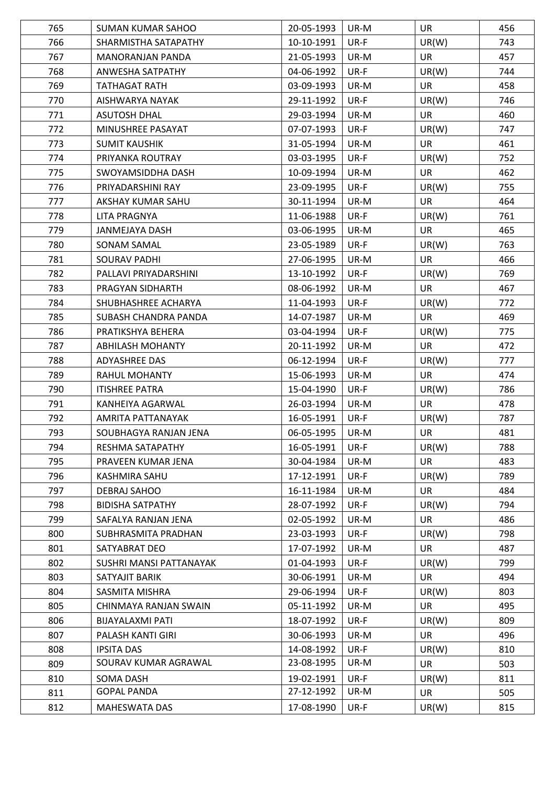| 765 | <b>SUMAN KUMAR SAHOO</b> | 20-05-1993 | UR-M | UR        | 456 |
|-----|--------------------------|------------|------|-----------|-----|
| 766 | SHARMISTHA SATAPATHY     | 10-10-1991 | UR-F | UR(W)     | 743 |
| 767 | <b>MANORANJAN PANDA</b>  | 21-05-1993 | UR-M | <b>UR</b> | 457 |
| 768 | ANWESHA SATPATHY         | 04-06-1992 | UR-F | UR(W)     | 744 |
| 769 | TATHAGAT RATH            | 03-09-1993 | UR-M | <b>UR</b> | 458 |
| 770 | AISHWARYA NAYAK          | 29-11-1992 | UR-F | UR(W)     | 746 |
| 771 | <b>ASUTOSH DHAL</b>      | 29-03-1994 | UR-M | <b>UR</b> | 460 |
| 772 | MINUSHREE PASAYAT        | 07-07-1993 | UR-F | UR(W)     | 747 |
| 773 | <b>SUMIT KAUSHIK</b>     | 31-05-1994 | UR-M | <b>UR</b> | 461 |
| 774 | PRIYANKA ROUTRAY         | 03-03-1995 | UR-F | UR(W)     | 752 |
| 775 | SWOYAMSIDDHA DASH        | 10-09-1994 | UR-M | <b>UR</b> | 462 |
| 776 | PRIYADARSHINI RAY        | 23-09-1995 | UR-F | UR(W)     | 755 |
| 777 | AKSHAY KUMAR SAHU        | 30-11-1994 | UR-M | <b>UR</b> | 464 |
| 778 | LITA PRAGNYA             | 11-06-1988 | UR-F | UR(W)     | 761 |
| 779 | JANMEJAYA DASH           | 03-06-1995 | UR-M | <b>UR</b> | 465 |
| 780 | <b>SONAM SAMAL</b>       | 23-05-1989 | UR-F | UR(W)     | 763 |
| 781 | <b>SOURAV PADHI</b>      | 27-06-1995 | UR-M | <b>UR</b> | 466 |
| 782 | PALLAVI PRIYADARSHINI    | 13-10-1992 | UR-F | UR(W)     | 769 |
| 783 | PRAGYAN SIDHARTH         | 08-06-1992 | UR-M | <b>UR</b> | 467 |
| 784 | SHUBHASHREE ACHARYA      | 11-04-1993 | UR-F | UR(W)     | 772 |
| 785 | SUBASH CHANDRA PANDA     | 14-07-1987 | UR-M | <b>UR</b> | 469 |
| 786 | PRATIKSHYA BEHERA        | 03-04-1994 | UR-F | UR(W)     | 775 |
| 787 | <b>ABHILASH MOHANTY</b>  | 20-11-1992 | UR-M | <b>UR</b> | 472 |
| 788 | ADYASHREE DAS            | 06-12-1994 | UR-F | UR(W)     | 777 |
| 789 | RAHUL MOHANTY            | 15-06-1993 | UR-M | <b>UR</b> | 474 |
| 790 | <b>ITISHREE PATRA</b>    | 15-04-1990 | UR-F | UR(W)     | 786 |
| 791 | KANHEIYA AGARWAL         | 26-03-1994 | UR-M | <b>UR</b> | 478 |
| 792 | AMRITA PATTANAYAK        | 16-05-1991 | UR-F | UR(W)     | 787 |
| 793 | SOUBHAGYA RANJAN JENA    | 06-05-1995 | UR-M | UR        | 481 |
| 794 | RESHMA SATAPATHY         | 16-05-1991 | UR-F | UR(W)     | 788 |
| 795 | PRAVEEN KUMAR JENA       | 30-04-1984 | UR-M | <b>UR</b> | 483 |
| 796 | KASHMIRA SAHU            | 17-12-1991 | UR-F | UR(W)     | 789 |
| 797 | DEBRAJ SAHOO             | 16-11-1984 | UR-M | <b>UR</b> | 484 |
| 798 | <b>BIDISHA SATPATHY</b>  | 28-07-1992 | UR-F | UR(W)     | 794 |
| 799 | SAFALYA RANJAN JENA      | 02-05-1992 | UR-M | <b>UR</b> | 486 |
| 800 | SUBHRASMITA PRADHAN      | 23-03-1993 | UR-F | UR(W)     | 798 |
| 801 | SATYABRAT DEO            | 17-07-1992 | UR-M | <b>UR</b> | 487 |
| 802 | SUSHRI MANSI PATTANAYAK  | 01-04-1993 | UR-F | UR(W)     | 799 |
| 803 | SATYAJIT BARIK           | 30-06-1991 | UR-M | <b>UR</b> | 494 |
| 804 | SASMITA MISHRA           | 29-06-1994 | UR-F | UR(W)     | 803 |
| 805 | CHINMAYA RANJAN SWAIN    | 05-11-1992 | UR-M | <b>UR</b> | 495 |
| 806 | BIJAYALAXMI PATI         | 18-07-1992 | UR-F | UR(W)     | 809 |
| 807 | PALASH KANTI GIRI        | 30-06-1993 | UR-M | <b>UR</b> | 496 |
| 808 | <b>IPSITA DAS</b>        | 14-08-1992 | UR-F | UR(W)     | 810 |
| 809 | SOURAV KUMAR AGRAWAL     | 23-08-1995 | UR-M | <b>UR</b> | 503 |
| 810 | SOMA DASH                | 19-02-1991 | UR-F | UR(W)     | 811 |
| 811 | <b>GOPAL PANDA</b>       | 27-12-1992 | UR-M | <b>UR</b> | 505 |
| 812 | <b>MAHESWATA DAS</b>     | 17-08-1990 | UR-F | UR(W)     | 815 |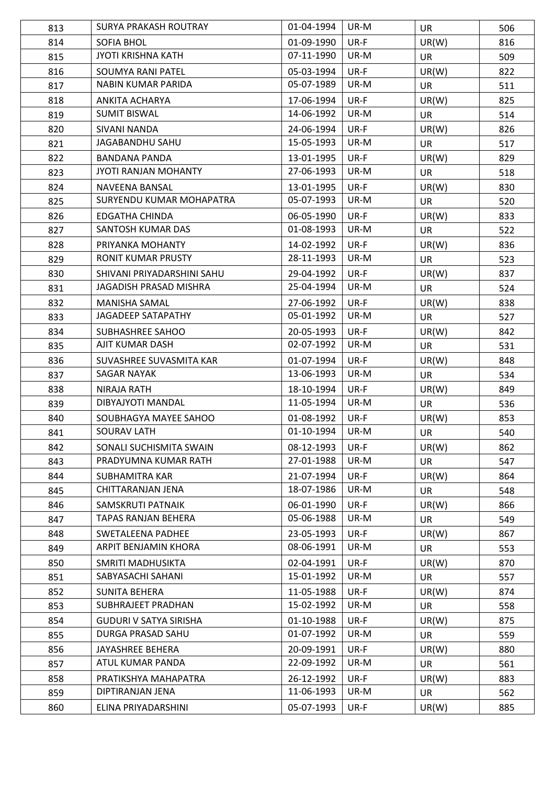| 813 | <b>SURYA PRAKASH ROUTRAY</b>  | 01-04-1994 | UR-M | <b>UR</b> | 506 |
|-----|-------------------------------|------------|------|-----------|-----|
| 814 | <b>SOFIA BHOL</b>             | 01-09-1990 | UR-F | UR(W)     | 816 |
| 815 | <b>JYOTI KRISHNA KATH</b>     | 07-11-1990 | UR-M | <b>UR</b> | 509 |
| 816 | <b>SOUMYA RANI PATEL</b>      | 05-03-1994 | UR-F | UR(W)     | 822 |
| 817 | NABIN KUMAR PARIDA            | 05-07-1989 | UR-M | <b>UR</b> | 511 |
| 818 | <b>ANKITA ACHARYA</b>         | 17-06-1994 | UR-F | UR(W)     | 825 |
| 819 | <b>SUMIT BISWAL</b>           | 14-06-1992 | UR-M | <b>UR</b> | 514 |
| 820 | <b>SIVANI NANDA</b>           | 24-06-1994 | UR-F | UR(W)     | 826 |
| 821 | JAGABANDHU SAHU               | 15-05-1993 | UR-M | <b>UR</b> | 517 |
| 822 | <b>BANDANA PANDA</b>          | 13-01-1995 | UR-F | UR(W)     | 829 |
| 823 | <b>JYOTI RANJAN MOHANTY</b>   | 27-06-1993 | UR-M | <b>UR</b> | 518 |
| 824 | NAVEENA BANSAL                | 13-01-1995 | UR-F | UR(W)     | 830 |
| 825 | SURYENDU KUMAR MOHAPATRA      | 05-07-1993 | UR-M | <b>UR</b> | 520 |
| 826 | <b>EDGATHA CHINDA</b>         | 06-05-1990 | UR-F | UR(W)     | 833 |
| 827 | SANTOSH KUMAR DAS             | 01-08-1993 | UR-M | <b>UR</b> | 522 |
| 828 | PRIYANKA MOHANTY              | 14-02-1992 | UR-F | UR(W)     | 836 |
| 829 | RONIT KUMAR PRUSTY            | 28-11-1993 | UR-M | <b>UR</b> | 523 |
| 830 | SHIVANI PRIYADARSHINI SAHU    | 29-04-1992 | UR-F | UR(W)     | 837 |
| 831 | JAGADISH PRASAD MISHRA        | 25-04-1994 | UR-M | <b>UR</b> | 524 |
| 832 | <b>MANISHA SAMAL</b>          | 27-06-1992 | UR-F | UR(W)     | 838 |
| 833 | JAGADEEP SATAPATHY            | 05-01-1992 | UR-M | <b>UR</b> | 527 |
| 834 | SUBHASHREE SAHOO              | 20-05-1993 | UR-F | UR(W)     | 842 |
| 835 | AJIT KUMAR DASH               | 02-07-1992 | UR-M | <b>UR</b> | 531 |
| 836 | SUVASHREE SUVASMITA KAR       | 01-07-1994 | UR-F | UR(W)     | 848 |
| 837 | <b>SAGAR NAYAK</b>            | 13-06-1993 | UR-M | <b>UR</b> | 534 |
| 838 | <b>NIRAJA RATH</b>            | 18-10-1994 | UR-F | UR(W)     | 849 |
| 839 | DIBYAJYOTI MANDAL             | 11-05-1994 | UR-M | <b>UR</b> | 536 |
| 840 | SOUBHAGYA MAYEE SAHOO         | 01-08-1992 | UR-F | UR(W)     | 853 |
| 841 | <b>SOURAV LATH</b>            | 01-10-1994 | UR-M | <b>UR</b> | 540 |
| 842 | SONALI SUCHISMITA SWAIN       | 08-12-1993 | UR-F | UR(W)     | 862 |
| 843 | PRADYUMNA KUMAR RATH          | 27-01-1988 | UR-M | <b>UR</b> | 547 |
| 844 | SUBHAMITRA KAR                | 21-07-1994 | UR-F | UR(W)     | 864 |
| 845 | CHITTARANJAN JENA             | 18-07-1986 | UR-M | <b>UR</b> | 548 |
| 846 | SAMSKRUTI PATNAIK             | 06-01-1990 | UR-F | UR(W)     | 866 |
| 847 | TAPAS RANJAN BEHERA           | 05-06-1988 | UR-M | <b>UR</b> | 549 |
| 848 | <b>SWETALEENA PADHEE</b>      | 23-05-1993 | UR-F | UR(W)     | 867 |
| 849 | ARPIT BENJAMIN KHORA          | 08-06-1991 | UR-M | <b>UR</b> | 553 |
| 850 | SMRITI MADHUSIKTA             | 02-04-1991 | UR-F | UR(W)     | 870 |
| 851 | SABYASACHI SAHANI             | 15-01-1992 | UR-M | <b>UR</b> | 557 |
| 852 | <b>SUNITA BEHERA</b>          | 11-05-1988 | UR-F | UR(W)     | 874 |
| 853 | SUBHRAJEET PRADHAN            | 15-02-1992 | UR-M | <b>UR</b> | 558 |
| 854 | <b>GUDURI V SATYA SIRISHA</b> | 01-10-1988 | UR-F | UR(W)     | 875 |
| 855 | DURGA PRASAD SAHU             | 01-07-1992 | UR-M | <b>UR</b> | 559 |
| 856 | JAYASHREE BEHERA              | 20-09-1991 | UR-F | UR(W)     | 880 |
| 857 | ATUL KUMAR PANDA              | 22-09-1992 | UR-M | <b>UR</b> | 561 |
| 858 | PRATIKSHYA MAHAPATRA          | 26-12-1992 | UR-F | UR(W)     | 883 |
| 859 | DIPTIRANJAN JENA              | 11-06-1993 | UR-M | <b>UR</b> | 562 |
| 860 | ELINA PRIYADARSHINI           | 05-07-1993 | UR-F | UR(W)     | 885 |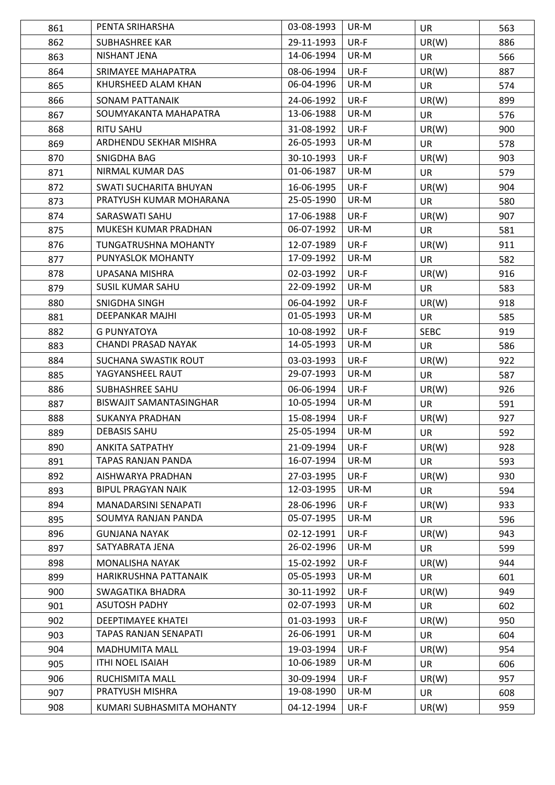| 861 | PENTA SRIHARSHA                | 03-08-1993 | UR-M | <b>UR</b>   | 563 |
|-----|--------------------------------|------------|------|-------------|-----|
| 862 | <b>SUBHASHREE KAR</b>          | 29-11-1993 | UR-F | UR(W)       | 886 |
| 863 | NISHANT JENA                   | 14-06-1994 | UR-M | <b>UR</b>   | 566 |
| 864 | SRIMAYEE MAHAPATRA             | 08-06-1994 | UR-F | UR(W)       | 887 |
| 865 | KHURSHEED ALAM KHAN            | 06-04-1996 | UR-M | <b>UR</b>   | 574 |
| 866 | SONAM PATTANAIK                | 24-06-1992 | UR-F | UR(W)       | 899 |
| 867 | SOUMYAKANTA MAHAPATRA          | 13-06-1988 | UR-M | <b>UR</b>   | 576 |
| 868 | <b>RITU SAHU</b>               | 31-08-1992 | UR-F | UR(W)       | 900 |
| 869 | ARDHENDU SEKHAR MISHRA         | 26-05-1993 | UR-M | <b>UR</b>   | 578 |
| 870 | SNIGDHA BAG                    | 30-10-1993 | UR-F | UR(W)       | 903 |
| 871 | NIRMAL KUMAR DAS               | 01-06-1987 | UR-M | <b>UR</b>   | 579 |
| 872 | SWATI SUCHARITA BHUYAN         | 16-06-1995 | UR-F | UR(W)       | 904 |
| 873 | PRATYUSH KUMAR MOHARANA        | 25-05-1990 | UR-M | <b>UR</b>   | 580 |
| 874 | SARASWATI SAHU                 | 17-06-1988 | UR-F | UR(W)       | 907 |
| 875 | MUKESH KUMAR PRADHAN           | 06-07-1992 | UR-M | <b>UR</b>   | 581 |
| 876 | <b>TUNGATRUSHNA MOHANTY</b>    | 12-07-1989 | UR-F | UR(W)       | 911 |
| 877 | PUNYASLOK MOHANTY              | 17-09-1992 | UR-M | <b>UR</b>   | 582 |
| 878 | UPASANA MISHRA                 | 02-03-1992 | UR-F | UR(W)       | 916 |
| 879 | <b>SUSIL KUMAR SAHU</b>        | 22-09-1992 | UR-M | UR          | 583 |
| 880 | SNIGDHA SINGH                  | 06-04-1992 | UR-F | UR(W)       | 918 |
| 881 | DEEPANKAR MAJHI                | 01-05-1993 | UR-M | <b>UR</b>   | 585 |
| 882 | <b>G PUNYATOYA</b>             | 10-08-1992 | UR-F | <b>SEBC</b> | 919 |
| 883 | CHANDI PRASAD NAYAK            | 14-05-1993 | UR-M | <b>UR</b>   | 586 |
| 884 | SUCHANA SWASTIK ROUT           | 03-03-1993 | UR-F | UR(W)       | 922 |
| 885 | YAGYANSHEEL RAUT               | 29-07-1993 | UR-M | UR          | 587 |
| 886 | <b>SUBHASHREE SAHU</b>         | 06-06-1994 | UR-F | UR(W)       | 926 |
| 887 | <b>BISWAJIT SAMANTASINGHAR</b> | 10-05-1994 | UR-M | <b>UR</b>   | 591 |
| 888 | <b>SUKANYA PRADHAN</b>         | 15-08-1994 | UR-F | UR(W)       | 927 |
| 889 | <b>DEBASIS SAHU</b>            | 25-05-1994 | UR-M | <b>UR</b>   | 592 |
| 890 | <b>ANKITA SATPATHY</b>         | 21-09-1994 | UR-F | UR(W)       | 928 |
| 891 | TAPAS RANJAN PANDA             | 16-07-1994 | UR-M | <b>UR</b>   | 593 |
| 892 | AISHWARYA PRADHAN              | 27-03-1995 | UR-F | UR(W)       | 930 |
| 893 | <b>BIPUL PRAGYAN NAIK</b>      | 12-03-1995 | UR-M | <b>UR</b>   | 594 |
| 894 | MANADARSINI SENAPATI           | 28-06-1996 | UR-F | UR(W)       | 933 |
| 895 | SOUMYA RANJAN PANDA            | 05-07-1995 | UR-M | <b>UR</b>   | 596 |
| 896 | <b>GUNJANA NAYAK</b>           | 02-12-1991 | UR-F | UR(W)       | 943 |
| 897 | SATYABRATA JENA                | 26-02-1996 | UR-M | <b>UR</b>   | 599 |
| 898 | MONALISHA NAYAK                | 15-02-1992 | UR-F | UR(W)       | 944 |
| 899 | HARIKRUSHNA PATTANAIK          | 05-05-1993 | UR-M | <b>UR</b>   | 601 |
| 900 | SWAGATIKA BHADRA               | 30-11-1992 | UR-F | UR(W)       | 949 |
| 901 | <b>ASUTOSH PADHY</b>           | 02-07-1993 | UR-M | <b>UR</b>   | 602 |
| 902 | <b>DEEPTIMAYEE KHATEI</b>      | 01-03-1993 | UR-F | UR(W)       | 950 |
| 903 | TAPAS RANJAN SENAPATI          | 26-06-1991 | UR-M | UR          | 604 |
| 904 | <b>MADHUMITA MALL</b>          | 19-03-1994 | UR-F | UR(W)       | 954 |
| 905 | <b>ITHI NOEL ISAIAH</b>        | 10-06-1989 | UR-M | <b>UR</b>   | 606 |
| 906 | RUCHISMITA MALL                | 30-09-1994 | UR-F | UR(W)       | 957 |
| 907 | PRATYUSH MISHRA                | 19-08-1990 | UR-M | <b>UR</b>   | 608 |
| 908 | KUMARI SUBHASMITA MOHANTY      | 04-12-1994 | UR-F | UR(W)       | 959 |
|     |                                |            |      |             |     |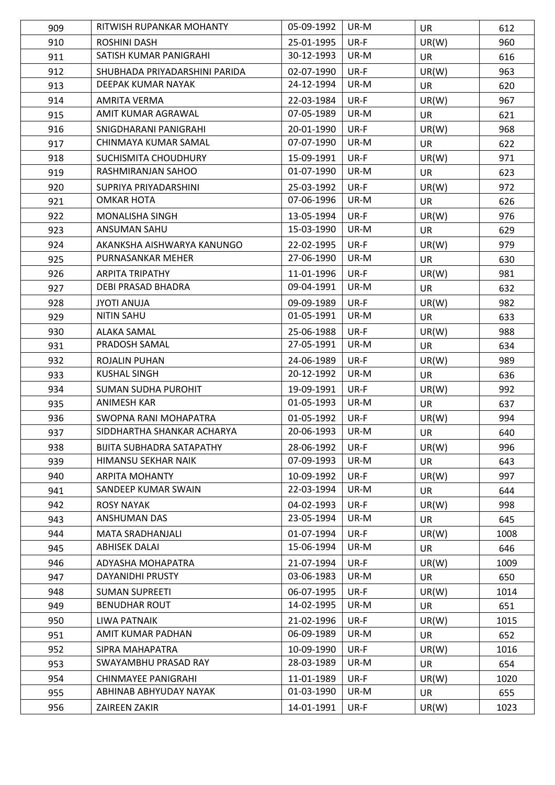| 909 | RITWISH RUPANKAR MOHANTY         | 05-09-1992 | UR-M | <b>UR</b> | 612  |
|-----|----------------------------------|------------|------|-----------|------|
| 910 | ROSHINI DASH                     | 25-01-1995 | UR-F | UR(W)     | 960  |
| 911 | SATISH KUMAR PANIGRAHI           | 30-12-1993 | UR-M | <b>UR</b> | 616  |
| 912 | SHUBHADA PRIYADARSHINI PARIDA    | 02-07-1990 | UR-F | UR(W)     | 963  |
| 913 | DEEPAK KUMAR NAYAK               | 24-12-1994 | UR-M | <b>UR</b> | 620  |
| 914 | <b>AMRITA VERMA</b>              | 22-03-1984 | UR-F | UR(W)     | 967  |
| 915 | AMIT KUMAR AGRAWAL               | 07-05-1989 | UR-M | <b>UR</b> | 621  |
| 916 | SNIGDHARANI PANIGRAHI            | 20-01-1990 | UR-F | UR(W)     | 968  |
| 917 | CHINMAYA KUMAR SAMAL             | 07-07-1990 | UR-M | <b>UR</b> | 622  |
| 918 | SUCHISMITA CHOUDHURY             | 15-09-1991 | UR-F | UR(W)     | 971  |
| 919 | RASHMIRANJAN SAHOO               | 01-07-1990 | UR-M | <b>UR</b> | 623  |
| 920 | SUPRIYA PRIYADARSHINI            | 25-03-1992 | UR-F | UR(W)     | 972  |
| 921 | <b>OMKAR HOTA</b>                | 07-06-1996 | UR-M | <b>UR</b> | 626  |
| 922 | <b>MONALISHA SINGH</b>           | 13-05-1994 | UR-F | UR(W)     | 976  |
| 923 | ANSUMAN SAHU                     | 15-03-1990 | UR-M | <b>UR</b> | 629  |
| 924 | AKANKSHA AISHWARYA KANUNGO       | 22-02-1995 | UR-F | UR(W)     | 979  |
| 925 | PURNASANKAR MEHER                | 27-06-1990 | UR-M | <b>UR</b> | 630  |
| 926 | <b>ARPITA TRIPATHY</b>           | 11-01-1996 | UR-F | UR(W)     | 981  |
| 927 | DEBI PRASAD BHADRA               | 09-04-1991 | UR-M | <b>UR</b> | 632  |
| 928 | <b>JYOTI ANUJA</b>               | 09-09-1989 | UR-F | UR(W)     | 982  |
| 929 | <b>NITIN SAHU</b>                | 01-05-1991 | UR-M | <b>UR</b> | 633  |
| 930 | <b>ALAKA SAMAL</b>               | 25-06-1988 | UR-F | UR(W)     | 988  |
| 931 | PRADOSH SAMAL                    | 27-05-1991 | UR-M | <b>UR</b> | 634  |
| 932 | ROJALIN PUHAN                    | 24-06-1989 | UR-F | UR(W)     | 989  |
| 933 | <b>KUSHAL SINGH</b>              | 20-12-1992 | UR-M | UR        | 636  |
| 934 | <b>SUMAN SUDHA PUROHIT</b>       | 19-09-1991 | UR-F | UR(W)     | 992  |
| 935 | <b>ANIMESH KAR</b>               | 01-05-1993 | UR-M | UR        | 637  |
| 936 | SWOPNA RANI MOHAPATRA            | 01-05-1992 | UR-F | UR(W)     | 994  |
| 937 | SIDDHARTHA SHANKAR ACHARYA       | 20-06-1993 | UR-M | <b>UR</b> | 640  |
| 938 | <b>BIJITA SUBHADRA SATAPATHY</b> | 28-06-1992 | UR-F | UR(W)     | 996  |
| 939 | HIMANSU SEKHAR NAIK              | 07-09-1993 | UR-M | <b>UR</b> | 643  |
| 940 | <b>ARPITA MOHANTY</b>            | 10-09-1992 | UR-F | UR(W)     | 997  |
| 941 | SANDEEP KUMAR SWAIN              | 22-03-1994 | UR-M | <b>UR</b> | 644  |
| 942 | <b>ROSY NAYAK</b>                | 04-02-1993 | UR-F | UR(W)     | 998  |
| 943 | <b>ANSHUMAN DAS</b>              | 23-05-1994 | UR-M | <b>UR</b> | 645  |
| 944 | <b>MATA SRADHANJALI</b>          | 01-07-1994 | UR-F | UR(W)     | 1008 |
| 945 | <b>ABHISEK DALAI</b>             | 15-06-1994 | UR-M | <b>UR</b> | 646  |
| 946 | ADYASHA MOHAPATRA                | 21-07-1994 | UR-F | UR(W)     | 1009 |
| 947 | DAYANIDHI PRUSTY                 | 03-06-1983 | UR-M | UR        | 650  |
| 948 | <b>SUMAN SUPREETI</b>            | 06-07-1995 | UR-F | UR(W)     | 1014 |
| 949 | <b>BENUDHAR ROUT</b>             | 14-02-1995 | UR-M | <b>UR</b> | 651  |
| 950 | LIWA PATNAIK                     | 21-02-1996 | UR-F | UR(W)     | 1015 |
| 951 | AMIT KUMAR PADHAN                | 06-09-1989 | UR-M | <b>UR</b> | 652  |
| 952 | SIPRA MAHAPATRA                  | 10-09-1990 | UR-F | UR(W)     | 1016 |
| 953 | SWAYAMBHU PRASAD RAY             | 28-03-1989 | UR-M | UR        | 654  |
| 954 | <b>CHINMAYEE PANIGRAHI</b>       | 11-01-1989 | UR-F | UR(W)     | 1020 |
| 955 | ABHINAB ABHYUDAY NAYAK           | 01-03-1990 | UR-M | <b>UR</b> | 655  |
| 956 | ZAIREEN ZAKIR                    | 14-01-1991 | UR-F | UR(W)     | 1023 |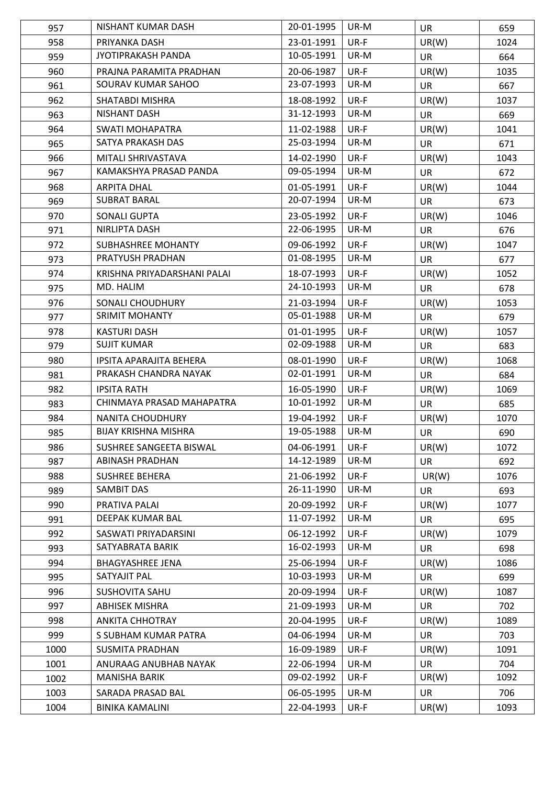| 957  | NISHANT KUMAR DASH          | 20-01-1995 | UR-M | <b>UR</b> | 659  |
|------|-----------------------------|------------|------|-----------|------|
| 958  | PRIYANKA DASH               | 23-01-1991 | UR-F | UR(W)     | 1024 |
| 959  | JYOTIPRAKASH PANDA          | 10-05-1991 | UR-M | <b>UR</b> | 664  |
| 960  | PRAJNA PARAMITA PRADHAN     | 20-06-1987 | UR-F | UR(W)     | 1035 |
| 961  | SOURAV KUMAR SAHOO          | 23-07-1993 | UR-M | <b>UR</b> | 667  |
| 962  | SHATABDI MISHRA             | 18-08-1992 | UR-F | UR(W)     | 1037 |
| 963  | NISHANT DASH                | 31-12-1993 | UR-M | <b>UR</b> | 669  |
| 964  | <b>SWATI MOHAPATRA</b>      | 11-02-1988 | UR-F | UR(W)     | 1041 |
| 965  | SATYA PRAKASH DAS           | 25-03-1994 | UR-M | <b>UR</b> | 671  |
| 966  | MITALI SHRIVASTAVA          | 14-02-1990 | UR-F | UR(W)     | 1043 |
| 967  | KAMAKSHYA PRASAD PANDA      | 09-05-1994 | UR-M | <b>UR</b> | 672  |
| 968  | <b>ARPITA DHAL</b>          | 01-05-1991 | UR-F | UR(W)     | 1044 |
| 969  | <b>SUBRAT BARAL</b>         | 20-07-1994 | UR-M | <b>UR</b> | 673  |
| 970  | <b>SONALI GUPTA</b>         | 23-05-1992 | UR-F | UR(W)     | 1046 |
| 971  | NIRLIPTA DASH               | 22-06-1995 | UR-M | <b>UR</b> | 676  |
| 972  | SUBHASHREE MOHANTY          | 09-06-1992 | UR-F | UR(W)     | 1047 |
| 973  | PRATYUSH PRADHAN            | 01-08-1995 | UR-M | <b>UR</b> | 677  |
| 974  | KRISHNA PRIYADARSHANI PALAI | 18-07-1993 | UR-F | UR(W)     | 1052 |
| 975  | MD. HALIM                   | 24-10-1993 | UR-M | <b>UR</b> | 678  |
| 976  | SONALI CHOUDHURY            | 21-03-1994 | UR-F | UR(W)     | 1053 |
| 977  | <b>SRIMIT MOHANTY</b>       | 05-01-1988 | UR-M | <b>UR</b> | 679  |
| 978  | <b>KASTURI DASH</b>         | 01-01-1995 | UR-F | UR(W)     | 1057 |
| 979  | <b>SUJIT KUMAR</b>          | 02-09-1988 | UR-M | <b>UR</b> | 683  |
| 980  | IPSITA APARAJITA BEHERA     | 08-01-1990 | UR-F | UR(W)     | 1068 |
| 981  | PRAKASH CHANDRA NAYAK       | 02-01-1991 | UR-M | <b>UR</b> | 684  |
| 982  | <b>IPSITA RATH</b>          | 16-05-1990 | UR-F | UR(W)     | 1069 |
| 983  | CHINMAYA PRASAD MAHAPATRA   | 10-01-1992 | UR-M | <b>UR</b> | 685  |
| 984  | <b>NANITA CHOUDHURY</b>     | 19-04-1992 | UR-F | UR(W)     | 1070 |
| 985  | <b>BIJAY KRISHNA MISHRA</b> | 19-05-1988 | UR-M | <b>UR</b> | 690  |
| 986  | SUSHREE SANGEETA BISWAL     | 04-06-1991 | UR-F | UR(W)     | 1072 |
| 987  | <b>ABINASH PRADHAN</b>      | 14-12-1989 | UR-M | <b>UR</b> | 692  |
| 988  | <b>SUSHREE BEHERA</b>       | 21-06-1992 | UR-F | UR(W)     | 1076 |
| 989  | <b>SAMBIT DAS</b>           | 26-11-1990 | UR-M | <b>UR</b> | 693  |
| 990  | PRATIVA PALAI               | 20-09-1992 | UR-F | UR(W)     | 1077 |
| 991  | DEEPAK KUMAR BAL            | 11-07-1992 | UR-M | <b>UR</b> | 695  |
| 992  | SASWATI PRIYADARSINI        | 06-12-1992 | UR-F | UR(W)     | 1079 |
| 993  | SATYABRATA BARIK            | 16-02-1993 | UR-M | <b>UR</b> | 698  |
| 994  | <b>BHAGYASHREE JENA</b>     | 25-06-1994 | UR-F | UR(W)     | 1086 |
| 995  | SATYAJIT PAL                | 10-03-1993 | UR-M | UR        | 699  |
| 996  | <b>SUSHOVITA SAHU</b>       | 20-09-1994 | UR-F | UR(W)     | 1087 |
| 997  | <b>ABHISEK MISHRA</b>       | 21-09-1993 | UR-M | <b>UR</b> | 702  |
| 998  | <b>ANKITA CHHOTRAY</b>      | 20-04-1995 | UR-F | UR(W)     | 1089 |
| 999  | S SUBHAM KUMAR PATRA        | 04-06-1994 | UR-M | <b>UR</b> | 703  |
| 1000 | <b>SUSMITA PRADHAN</b>      | 16-09-1989 | UR-F | UR(W)     | 1091 |
| 1001 | ANURAAG ANUBHAB NAYAK       | 22-06-1994 | UR-M | <b>UR</b> | 704  |
| 1002 | MANISHA BARIK               | 09-02-1992 | UR-F | UR(W)     | 1092 |
| 1003 | SARADA PRASAD BAL           | 06-05-1995 | UR-M | <b>UR</b> | 706  |
| 1004 | <b>BINIKA KAMALINI</b>      | 22-04-1993 | UR-F | UR(W)     | 1093 |
|      |                             |            |      |           |      |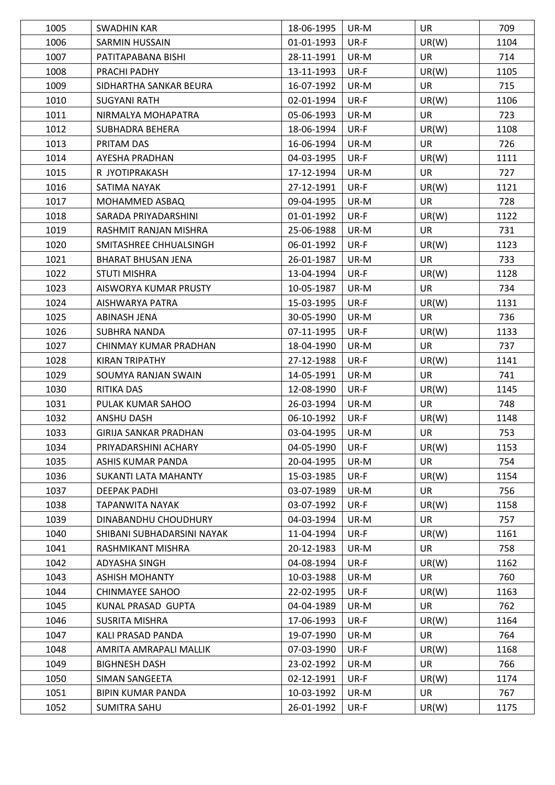| 1005 | <b>SWADHIN KAR</b>           | 18-06-1995 | UR-M | <b>UR</b> | 709  |
|------|------------------------------|------------|------|-----------|------|
| 1006 | <b>SARMIN HUSSAIN</b>        | 01-01-1993 | UR-F | UR(W)     | 1104 |
| 1007 | PATITAPABANA BISHI           | 28-11-1991 | UR-M | <b>UR</b> | 714  |
| 1008 | PRACHI PADHY                 | 13-11-1993 | UR-F | UR(W)     | 1105 |
| 1009 | SIDHARTHA SANKAR BEURA       | 16-07-1992 | UR-M | <b>UR</b> | 715  |
| 1010 | <b>SUGYANI RATH</b>          | 02-01-1994 | UR-F | UR(W)     | 1106 |
| 1011 | NIRMALYA MOHAPATRA           | 05-06-1993 | UR-M | <b>UR</b> | 723  |
| 1012 | SUBHADRA BEHERA              | 18-06-1994 | UR-F | UR(W)     | 1108 |
| 1013 | PRITAM DAS                   | 16-06-1994 | UR-M | <b>UR</b> | 726  |
| 1014 | AYESHA PRADHAN               | 04-03-1995 | UR-F | UR(W)     | 1111 |
| 1015 | R JYOTIPRAKASH               | 17-12-1994 | UR-M | UR        | 727  |
| 1016 | SATIMA NAYAK                 | 27-12-1991 | UR-F | UR(W)     | 1121 |
| 1017 | MOHAMMED ASBAQ               | 09-04-1995 | UR-M | <b>UR</b> | 728  |
| 1018 | SARADA PRIYADARSHINI         | 01-01-1992 | UR-F | UR(W)     | 1122 |
| 1019 | RASHMIT RANJAN MISHRA        | 25-06-1988 | UR-M | <b>UR</b> | 731  |
| 1020 | SMITASHREE CHHUALSINGH       | 06-01-1992 | UR-F | UR(W)     | 1123 |
|      |                              |            |      |           |      |
| 1021 | <b>BHARAT BHUSAN JENA</b>    | 26-01-1987 | UR-M | <b>UR</b> | 733  |
| 1022 | <b>STUTI MISHRA</b>          | 13-04-1994 | UR-F | UR(W)     | 1128 |
| 1023 | AISWORYA KUMAR PRUSTY        | 10-05-1987 | UR-M | <b>UR</b> | 734  |
| 1024 | AISHWARYA PATRA              | 15-03-1995 | UR-F | UR(W)     | 1131 |
| 1025 | ABINASH JENA                 | 30-05-1990 | UR-M | <b>UR</b> | 736  |
| 1026 | SUBHRA NANDA                 | 07-11-1995 | UR-F | UR(W)     | 1133 |
| 1027 | CHINMAY KUMAR PRADHAN        | 18-04-1990 | UR-M | <b>UR</b> | 737  |
| 1028 | <b>KIRAN TRIPATHY</b>        | 27-12-1988 | UR-F | UR(W)     | 1141 |
| 1029 | SOUMYA RANJAN SWAIN          | 14-05-1991 | UR-M | <b>UR</b> | 741  |
| 1030 | RITIKA DAS                   | 12-08-1990 | UR-F | UR(W)     | 1145 |
| 1031 | PULAK KUMAR SAHOO            | 26-03-1994 | UR-M | <b>UR</b> | 748  |
| 1032 | <b>ANSHU DASH</b>            | 06-10-1992 | UR-F | UR(W)     | 1148 |
| 1033 | <b>GIRIJA SANKAR PRADHAN</b> | 03-04-1995 | UR-M | UR        | 753  |
| 1034 | PRIYADARSHINI ACHARY         | 04-05-1990 | UR-F | UR(W)     | 1153 |
| 1035 | ASHIS KUMAR PANDA            | 20-04-1995 | UR-M | <b>UR</b> | 754  |
| 1036 | SUKANTI LATA MAHANTY         | 15-03-1985 | UR-F | UR(W)     | 1154 |
| 1037 | <b>DEEPAK PADHI</b>          | 03-07-1989 | UR-M | <b>UR</b> | 756  |
| 1038 | <b>TAPANWITA NAYAK</b>       | 03-07-1992 | UR-F | UR(W)     | 1158 |
| 1039 | DINABANDHU CHOUDHURY         | 04-03-1994 | UR-M | UR        | 757  |
| 1040 | SHIBANI SUBHADARSINI NAYAK   | 11-04-1994 | UR-F | UR(W)     | 1161 |
| 1041 | RASHMIKANT MISHRA            | 20-12-1983 | UR-M | <b>UR</b> | 758  |
| 1042 | ADYASHA SINGH                | 04-08-1994 | UR-F | UR(W)     | 1162 |
| 1043 | <b>ASHISH MOHANTY</b>        | 10-03-1988 | UR-M | <b>UR</b> | 760  |
| 1044 | <b>CHINMAYEE SAHOO</b>       | 22-02-1995 | UR-F | UR(W)     | 1163 |
| 1045 | KUNAL PRASAD GUPTA           | 04-04-1989 | UR-M | UR        | 762  |
| 1046 | SUSRITA MISHRA               | 17-06-1993 | UR-F | UR(W)     | 1164 |
| 1047 | KALI PRASAD PANDA            | 19-07-1990 | UR-M | <b>UR</b> | 764  |
| 1048 | AMRITA AMRAPALI MALLIK       | 07-03-1990 | UR-F | UR(W)     | 1168 |
| 1049 | <b>BIGHNESH DASH</b>         | 23-02-1992 | UR-M | <b>UR</b> | 766  |
| 1050 | SIMAN SANGEETA               | 02-12-1991 | UR-F | UR(W)     | 1174 |
| 1051 | BIPIN KUMAR PANDA            | 10-03-1992 | UR-M | UR        | 767  |
| 1052 | <b>SUMITRA SAHU</b>          | 26-01-1992 | UR-F | UR(W)     | 1175 |
|      |                              |            |      |           |      |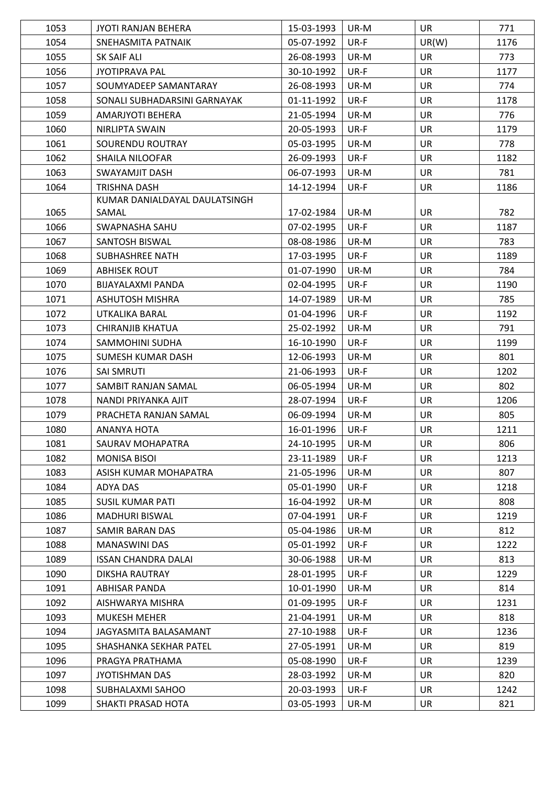| 1053 | JYOTI RANJAN BEHERA           | 15-03-1993 | UR-M | UR        | 771  |
|------|-------------------------------|------------|------|-----------|------|
| 1054 | SNEHASMITA PATNAIK            | 05-07-1992 | UR-F | UR(W)     | 1176 |
| 1055 | SK SAIF ALI                   | 26-08-1993 | UR-M | <b>UR</b> | 773  |
| 1056 | <b>JYOTIPRAVA PAL</b>         | 30-10-1992 | UR-F | <b>UR</b> | 1177 |
| 1057 | SOUMYADEEP SAMANTARAY         | 26-08-1993 | UR-M | <b>UR</b> | 774  |
| 1058 | SONALI SUBHADARSINI GARNAYAK  | 01-11-1992 | UR-F | <b>UR</b> | 1178 |
| 1059 | AMARJYOTI BEHERA              | 21-05-1994 | UR-M | <b>UR</b> | 776  |
| 1060 | NIRLIPTA SWAIN                | 20-05-1993 | UR-F | <b>UR</b> | 1179 |
| 1061 | SOURENDU ROUTRAY              | 05-03-1995 | UR-M | <b>UR</b> | 778  |
| 1062 | SHAILA NILOOFAR               | 26-09-1993 | UR-F | <b>UR</b> | 1182 |
| 1063 | SWAYAMJIT DASH                | 06-07-1993 | UR-M | <b>UR</b> | 781  |
| 1064 | TRISHNA DASH                  | 14-12-1994 | UR-F | <b>UR</b> | 1186 |
|      | KUMAR DANIALDAYAL DAULATSINGH |            |      |           |      |
| 1065 | SAMAL                         | 17-02-1984 | UR-M | <b>UR</b> | 782  |
| 1066 | SWAPNASHA SAHU                | 07-02-1995 | UR-F | <b>UR</b> | 1187 |
| 1067 | SANTOSH BISWAL                | 08-08-1986 | UR-M | <b>UR</b> | 783  |
| 1068 | SUBHASHREE NATH               | 17-03-1995 | UR-F | <b>UR</b> | 1189 |
| 1069 | <b>ABHISEK ROUT</b>           | 01-07-1990 | UR-M | <b>UR</b> | 784  |
| 1070 | BIJAYALAXMI PANDA             | 02-04-1995 | UR-F | <b>UR</b> | 1190 |
| 1071 | <b>ASHUTOSH MISHRA</b>        | 14-07-1989 | UR-M | <b>UR</b> | 785  |
| 1072 | UTKALIKA BARAL                | 01-04-1996 | UR-F | <b>UR</b> | 1192 |
| 1073 | CHIRANJIB KHATUA              | 25-02-1992 | UR-M | <b>UR</b> | 791  |
| 1074 | SAMMOHINI SUDHA               | 16-10-1990 | UR-F | <b>UR</b> | 1199 |
| 1075 | <b>SUMESH KUMAR DASH</b>      | 12-06-1993 | UR-M | <b>UR</b> | 801  |
| 1076 | <b>SAI SMRUTI</b>             | 21-06-1993 | UR-F | <b>UR</b> | 1202 |
| 1077 | SAMBIT RANJAN SAMAL           | 06-05-1994 | UR-M | <b>UR</b> | 802  |
| 1078 | NANDI PRIYANKA AJIT           | 28-07-1994 | UR-F | <b>UR</b> | 1206 |
| 1079 | PRACHETA RANJAN SAMAL         | 06-09-1994 | UR-M | <b>UR</b> | 805  |
| 1080 | ANANYA HOTA                   | 16-01-1996 | UR-F | <b>UR</b> | 1211 |
| 1081 | SAURAV MOHAPATRA              | 24-10-1995 | UR-M | <b>UR</b> | 806  |
| 1082 | <b>MONISA BISOI</b>           | 23-11-1989 | UR-F | UR        | 1213 |
| 1083 | ASISH KUMAR MOHAPATRA         | 21-05-1996 | UR-M | UR        | 807  |
| 1084 | ADYA DAS                      | 05-01-1990 | UR-F | UR        | 1218 |
| 1085 | <b>SUSIL KUMAR PATI</b>       | 16-04-1992 | UR-M | <b>UR</b> | 808  |
| 1086 | <b>MADHURI BISWAL</b>         | 07-04-1991 | UR-F | <b>UR</b> | 1219 |
| 1087 | <b>SAMIR BARAN DAS</b>        | 05-04-1986 | UR-M | <b>UR</b> | 812  |
| 1088 | <b>MANASWINI DAS</b>          | 05-01-1992 | UR-F | <b>UR</b> | 1222 |
| 1089 | <b>ISSAN CHANDRA DALAI</b>    | 30-06-1988 | UR-M | UR        | 813  |
| 1090 | DIKSHA RAUTRAY                | 28-01-1995 | UR-F | <b>UR</b> | 1229 |
| 1091 | ABHISAR PANDA                 | 10-01-1990 | UR-M | UR        | 814  |
| 1092 | AISHWARYA MISHRA              | 01-09-1995 | UR-F | <b>UR</b> | 1231 |
| 1093 | <b>MUKESH MEHER</b>           | 21-04-1991 | UR-M | <b>UR</b> | 818  |
| 1094 | JAGYASMITA BALASAMANT         | 27-10-1988 | UR-F | UR        | 1236 |
| 1095 | SHASHANKA SEKHAR PATEL        | 27-05-1991 | UR-M | <b>UR</b> | 819  |
| 1096 | PRAGYA PRATHAMA               | 05-08-1990 | UR-F | UR        | 1239 |
| 1097 | <b>JYOTISHMAN DAS</b>         | 28-03-1992 | UR-M | <b>UR</b> | 820  |
| 1098 | SUBHALAXMI SAHOO              | 20-03-1993 | UR-F | UR        | 1242 |
| 1099 | SHAKTI PRASAD HOTA            | 03-05-1993 | UR-M | UR        | 821  |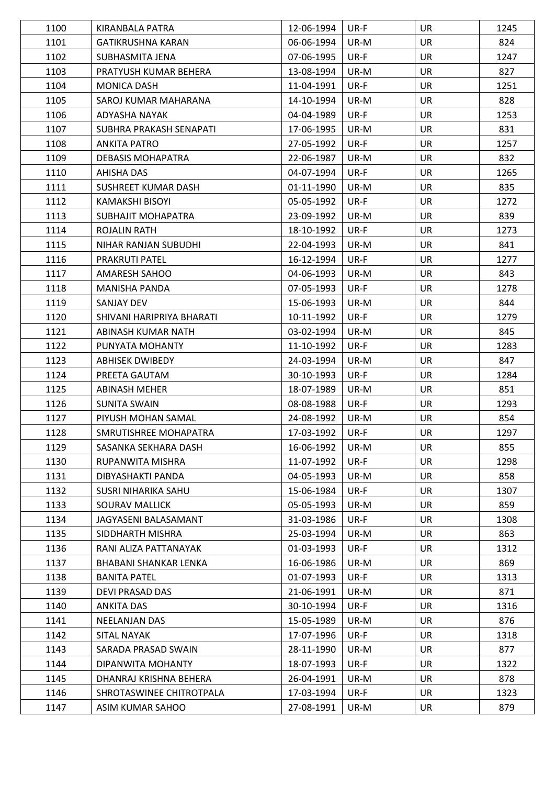| 1100 | KIRANBALA PATRA           | 12-06-1994 | UR-F   | <b>UR</b> | 1245 |
|------|---------------------------|------------|--------|-----------|------|
| 1101 | <b>GATIKRUSHNA KARAN</b>  | 06-06-1994 | UR-M   | <b>UR</b> | 824  |
| 1102 | SUBHASMITA JENA           | 07-06-1995 | UR-F   | <b>UR</b> | 1247 |
| 1103 | PRATYUSH KUMAR BEHERA     | 13-08-1994 | UR-M   | <b>UR</b> | 827  |
| 1104 | <b>MONICA DASH</b>        | 11-04-1991 | UR-F   | <b>UR</b> | 1251 |
| 1105 | SAROJ KUMAR MAHARANA      | 14-10-1994 | UR-M   | <b>UR</b> | 828  |
| 1106 | ADYASHA NAYAK             | 04-04-1989 | UR-F   | <b>UR</b> | 1253 |
| 1107 | SUBHRA PRAKASH SENAPATI   | 17-06-1995 | UR-M   | <b>UR</b> | 831  |
| 1108 | <b>ANKITA PATRO</b>       | 27-05-1992 | UR-F   | <b>UR</b> | 1257 |
| 1109 | <b>DEBASIS MOHAPATRA</b>  | 22-06-1987 | UR-M   | <b>UR</b> | 832  |
| 1110 | AHISHA DAS                | 04-07-1994 | UR-F   | <b>UR</b> | 1265 |
| 1111 | SUSHREET KUMAR DASH       | 01-11-1990 | UR-M   | <b>UR</b> | 835  |
| 1112 | <b>KAMAKSHI BISOYI</b>    | 05-05-1992 | UR-F   | <b>UR</b> | 1272 |
| 1113 | SUBHAJIT MOHAPATRA        | 23-09-1992 | UR-M   | <b>UR</b> | 839  |
| 1114 | ROJALIN RATH              | 18-10-1992 | UR-F   | <b>UR</b> | 1273 |
| 1115 | NIHAR RANJAN SUBUDHI      | 22-04-1993 | UR-M   | <b>UR</b> | 841  |
| 1116 | <b>PRAKRUTI PATEL</b>     | 16-12-1994 | UR-F   | <b>UR</b> | 1277 |
| 1117 | AMARESH SAHOO             | 04-06-1993 | UR-M   | <b>UR</b> | 843  |
| 1118 | <b>MANISHA PANDA</b>      | 07-05-1993 | UR-F   | <b>UR</b> | 1278 |
| 1119 | SANJAY DEV                | 15-06-1993 | UR-M   | <b>UR</b> | 844  |
| 1120 | SHIVANI HARIPRIYA BHARATI | 10-11-1992 | UR-F   | <b>UR</b> | 1279 |
| 1121 | ABINASH KUMAR NATH        | 03-02-1994 | UR-M   | <b>UR</b> | 845  |
| 1122 | PUNYATA MOHANTY           | 11-10-1992 | UR-F   | <b>UR</b> | 1283 |
| 1123 | <b>ABHISEK DWIBEDY</b>    | 24-03-1994 | UR-M   | <b>UR</b> | 847  |
| 1124 | PREETA GAUTAM             | 30-10-1993 | UR-F   | <b>UR</b> | 1284 |
| 1125 | <b>ABINASH MEHER</b>      | 18-07-1989 | UR-M   | <b>UR</b> | 851  |
| 1126 | SUNITA SWAIN              | 08-08-1988 | $UR-F$ | <b>UR</b> | 1293 |
| 1127 | PIYUSH MOHAN SAMAL        | 24-08-1992 | UR-M   | <b>UR</b> | 854  |
| 1128 | SMRUTISHREE MOHAPATRA     | 17-03-1992 | UR-F   | <b>UR</b> | 1297 |
| 1129 | SASANKA SEKHARA DASH      | 16-06-1992 | UR-M   | <b>UR</b> | 855  |
| 1130 | RUPANWITA MISHRA          | 11-07-1992 | UR-F   | <b>UR</b> | 1298 |
| 1131 | DIBYASHAKTI PANDA         | 04-05-1993 | UR-M   | UR.       | 858  |
| 1132 | SUSRI NIHARIKA SAHU       | 15-06-1984 | UR-F   | <b>UR</b> | 1307 |
| 1133 | SOURAV MALLICK            | 05-05-1993 | UR-M   | UR        | 859  |
| 1134 | JAGYASENI BALASAMANT      | 31-03-1986 | UR-F   | <b>UR</b> | 1308 |
| 1135 | SIDDHARTH MISHRA          | 25-03-1994 | UR-M   | <b>UR</b> | 863  |
| 1136 | RANI ALIZA PATTANAYAK     | 01-03-1993 | UR-F   | <b>UR</b> | 1312 |
| 1137 | BHABANI SHANKAR LENKA     | 16-06-1986 | UR-M   | <b>UR</b> | 869  |
| 1138 | <b>BANITA PATEL</b>       | 01-07-1993 | UR-F   | <b>UR</b> | 1313 |
| 1139 | DEVI PRASAD DAS           | 21-06-1991 | UR-M   | <b>UR</b> | 871  |
| 1140 | <b>ANKITA DAS</b>         | 30-10-1994 | UR-F   | UR        | 1316 |
| 1141 | NEELANJAN DAS             | 15-05-1989 | UR-M   | <b>UR</b> | 876  |
| 1142 | <b>SITAL NAYAK</b>        | 17-07-1996 | UR-F   | <b>UR</b> | 1318 |
| 1143 | SARADA PRASAD SWAIN       | 28-11-1990 | UR-M   | UR        | 877  |
| 1144 | DIPANWITA MOHANTY         | 18-07-1993 | UR-F   | <b>UR</b> | 1322 |
| 1145 | DHANRAJ KRISHNA BEHERA    | 26-04-1991 | UR-M   | UR        | 878  |
| 1146 | SHROTASWINEE CHITROTPALA  | 17-03-1994 | UR-F   | <b>UR</b> | 1323 |
| 1147 | ASIM KUMAR SAHOO          | 27-08-1991 | UR-M   | UR        | 879  |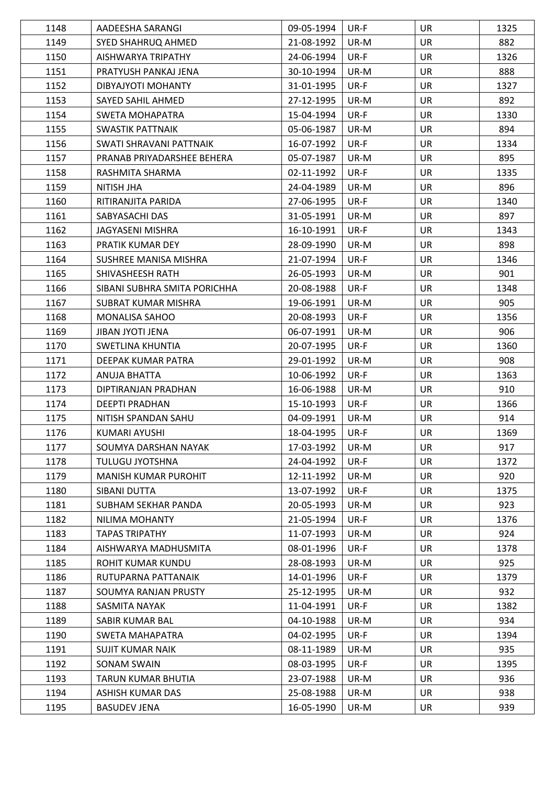| 1148 | AADEESHA SARANGI             | 09-05-1994 | UR-F | <b>UR</b> | 1325 |
|------|------------------------------|------------|------|-----------|------|
| 1149 | SYED SHAHRUQ AHMED           | 21-08-1992 | UR-M | <b>UR</b> | 882  |
| 1150 | AISHWARYA TRIPATHY           | 24-06-1994 | UR-F | <b>UR</b> | 1326 |
| 1151 | PRATYUSH PANKAJ JENA         | 30-10-1994 | UR-M | <b>UR</b> | 888  |
| 1152 | DIBYAJYOTI MOHANTY           | 31-01-1995 | UR-F | <b>UR</b> | 1327 |
| 1153 | SAYED SAHIL AHMED            | 27-12-1995 | UR-M | <b>UR</b> | 892  |
| 1154 | SWETA MOHAPATRA              | 15-04-1994 | UR-F | <b>UR</b> | 1330 |
| 1155 | SWASTIK PATTNAIK             | 05-06-1987 | UR-M | <b>UR</b> | 894  |
| 1156 | SWATI SHRAVANI PATTNAIK      | 16-07-1992 | UR-F | <b>UR</b> | 1334 |
| 1157 | PRANAB PRIYADARSHEE BEHERA   | 05-07-1987 | UR-M | <b>UR</b> | 895  |
| 1158 | RASHMITA SHARMA              | 02-11-1992 | UR-F | <b>UR</b> | 1335 |
| 1159 | NITISH JHA                   | 24-04-1989 | UR-M | <b>UR</b> | 896  |
| 1160 | RITIRANJITA PARIDA           | 27-06-1995 | UR-F | <b>UR</b> | 1340 |
| 1161 | SABYASACHI DAS               | 31-05-1991 | UR-M | <b>UR</b> | 897  |
| 1162 | <b>JAGYASENI MISHRA</b>      | 16-10-1991 | UR-F | <b>UR</b> | 1343 |
| 1163 | PRATIK KUMAR DEY             | 28-09-1990 | UR-M | <b>UR</b> | 898  |
| 1164 | SUSHREE MANISA MISHRA        | 21-07-1994 | UR-F | <b>UR</b> | 1346 |
| 1165 | SHIVASHEESH RATH             | 26-05-1993 | UR-M | <b>UR</b> | 901  |
| 1166 | SIBANI SUBHRA SMITA PORICHHA | 20-08-1988 | UR-F | <b>UR</b> | 1348 |
| 1167 | SUBRAT KUMAR MISHRA          | 19-06-1991 | UR-M | <b>UR</b> | 905  |
| 1168 | MONALISA SAHOO               | 20-08-1993 | UR-F | <b>UR</b> | 1356 |
| 1169 | <b>JIBAN JYOTI JENA</b>      | 06-07-1991 | UR-M | <b>UR</b> | 906  |
| 1170 | SWETLINA KHUNTIA             | 20-07-1995 | UR-F | <b>UR</b> | 1360 |
| 1171 | DEEPAK KUMAR PATRA           | 29-01-1992 | UR-M | <b>UR</b> | 908  |
| 1172 | ANUJA BHATTA                 | 10-06-1992 | UR-F | <b>UR</b> | 1363 |
| 1173 | DIPTIRANJAN PRADHAN          | 16-06-1988 | UR-M | <b>UR</b> | 910  |
| 1174 | <b>DEEPTI PRADHAN</b>        | 15-10-1993 | UR-F | <b>UR</b> | 1366 |
| 1175 | NITISH SPANDAN SAHU          | 04-09-1991 | UR-M | UR        | 914  |
| 1176 | KUMARI AYUSHI                | 18-04-1995 | UR-F | UR        | 1369 |
| 1177 | SOUMYA DARSHAN NAYAK         | 17-03-1992 | UR-M | <b>UR</b> | 917  |
| 1178 | <b>TULUGU JYOTSHNA</b>       | 24-04-1992 | UR-F | <b>UR</b> | 1372 |
| 1179 | <b>MANISH KUMAR PUROHIT</b>  | 12-11-1992 | UR-M | <b>UR</b> | 920  |
| 1180 | SIBANI DUTTA                 | 13-07-1992 | UR-F | <b>UR</b> | 1375 |
| 1181 | SUBHAM SEKHAR PANDA          | 20-05-1993 | UR-M | UR        | 923  |
| 1182 | NILIMA MOHANTY               | 21-05-1994 | UR-F | UR        | 1376 |
| 1183 | <b>TAPAS TRIPATHY</b>        | 11-07-1993 | UR-M | UR        | 924  |
| 1184 | AISHWARYA MADHUSMITA         | 08-01-1996 | UR-F | <b>UR</b> | 1378 |
| 1185 | ROHIT KUMAR KUNDU            | 28-08-1993 | UR-M | UR        | 925  |
| 1186 | RUTUPARNA PATTANAIK          | 14-01-1996 | UR-F | <b>UR</b> | 1379 |
| 1187 | SOUMYA RANJAN PRUSTY         | 25-12-1995 | UR-M | UR        | 932  |
| 1188 | SASMITA NAYAK                | 11-04-1991 | UR-F | UR        | 1382 |
| 1189 | SABIR KUMAR BAL              | 04-10-1988 | UR-M | <b>UR</b> | 934  |
| 1190 | SWETA MAHAPATRA              | 04-02-1995 | UR-F | UR        | 1394 |
| 1191 | SUJIT KUMAR NAIK             | 08-11-1989 | UR-M | <b>UR</b> | 935  |
| 1192 | <b>SONAM SWAIN</b>           | 08-03-1995 | UR-F | <b>UR</b> | 1395 |
| 1193 | TARUN KUMAR BHUTIA           | 23-07-1988 | UR-M | UR        | 936  |
| 1194 | ASHISH KUMAR DAS             | 25-08-1988 | UR-M | UR        | 938  |
| 1195 | <b>BASUDEV JENA</b>          | 16-05-1990 | UR-M | UR        | 939  |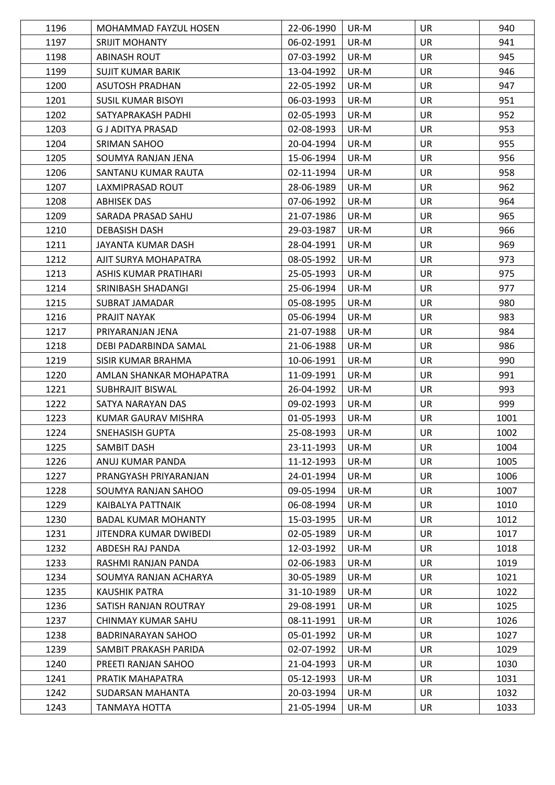| 1196 | MOHAMMAD FAYZUL HOSEN      | 22-06-1990 | UR-M | <b>UR</b> | 940  |
|------|----------------------------|------------|------|-----------|------|
| 1197 | <b>SRIJIT MOHANTY</b>      | 06-02-1991 | UR-M | <b>UR</b> | 941  |
| 1198 | <b>ABINASH ROUT</b>        | 07-03-1992 | UR-M | <b>UR</b> | 945  |
| 1199 | SUJIT KUMAR BARIK          | 13-04-1992 | UR-M | UR        | 946  |
| 1200 | <b>ASUTOSH PRADHAN</b>     | 22-05-1992 | UR-M | <b>UR</b> | 947  |
| 1201 | <b>SUSIL KUMAR BISOYI</b>  | 06-03-1993 | UR-M | <b>UR</b> | 951  |
| 1202 | SATYAPRAKASH PADHI         | 02-05-1993 | UR-M | <b>UR</b> | 952  |
| 1203 | G J ADITYA PRASAD          | 02-08-1993 | UR-M | <b>UR</b> | 953  |
| 1204 | SRIMAN SAHOO               | 20-04-1994 | UR-M | UR        | 955  |
| 1205 | SOUMYA RANJAN JENA         | 15-06-1994 | UR-M | <b>UR</b> | 956  |
| 1206 | SANTANU KUMAR RAUTA        | 02-11-1994 | UR-M | <b>UR</b> | 958  |
| 1207 | LAXMIPRASAD ROUT           | 28-06-1989 | UR-M | <b>UR</b> | 962  |
| 1208 | ABHISEK DAS                | 07-06-1992 | UR-M | <b>UR</b> | 964  |
| 1209 | SARADA PRASAD SAHU         | 21-07-1986 | UR-M | <b>UR</b> | 965  |
| 1210 | <b>DEBASISH DASH</b>       | 29-03-1987 | UR-M | <b>UR</b> | 966  |
| 1211 | JAYANTA KUMAR DASH         | 28-04-1991 | UR-M | <b>UR</b> | 969  |
| 1212 | AJIT SURYA MOHAPATRA       | 08-05-1992 | UR-M | <b>UR</b> | 973  |
| 1213 | ASHIS KUMAR PRATIHARI      | 25-05-1993 | UR-M | <b>UR</b> | 975  |
| 1214 | SRINIBASH SHADANGI         | 25-06-1994 | UR-M | <b>UR</b> | 977  |
| 1215 | SUBRAT JAMADAR             | 05-08-1995 | UR-M | <b>UR</b> | 980  |
| 1216 | PRAJIT NAYAK               | 05-06-1994 | UR-M | <b>UR</b> | 983  |
| 1217 | PRIYARANJAN JENA           | 21-07-1988 | UR-M | UR        | 984  |
| 1218 | DEBI PADARBINDA SAMAL      | 21-06-1988 | UR-M | <b>UR</b> | 986  |
| 1219 | SISIR KUMAR BRAHMA         | 10-06-1991 | UR-M | <b>UR</b> | 990  |
| 1220 | AMLAN SHANKAR MOHAPATRA    | 11-09-1991 | UR-M | <b>UR</b> | 991  |
| 1221 | <b>SUBHRAJIT BISWAL</b>    | 26-04-1992 | UR-M | <b>UR</b> | 993  |
| 1222 | SATYA NARAYAN DAS          | 09-02-1993 | UR-M | <b>UR</b> | 999  |
| 1223 | KUMAR GAURAV MISHRA        | 01-05-1993 | UR-M | <b>UR</b> | 1001 |
| 1224 | SNEHASISH GUPTA            | 25-08-1993 | UR-M | <b>UR</b> | 1002 |
| 1225 | <b>SAMBIT DASH</b>         | 23-11-1993 | UR-M | <b>UR</b> | 1004 |
| 1226 | ANUJ KUMAR PANDA           | 11-12-1993 | UR-M | <b>UR</b> | 1005 |
| 1227 | PRANGYASH PRIYARANJAN      | 24-01-1994 | UR-M | UR        | 1006 |
| 1228 | SOUMYA RANJAN SAHOO        | 09-05-1994 | UR-M | <b>UR</b> | 1007 |
| 1229 | KAIBALYA PATTNAIK          | 06-08-1994 | UR-M | <b>UR</b> | 1010 |
| 1230 | <b>BADAL KUMAR MOHANTY</b> | 15-03-1995 | UR-M | <b>UR</b> | 1012 |
| 1231 | JITENDRA KUMAR DWIBEDI     | 02-05-1989 | UR-M | <b>UR</b> | 1017 |
| 1232 | ABDESH RAJ PANDA           | 12-03-1992 | UR-M | <b>UR</b> | 1018 |
| 1233 | RASHMI RANJAN PANDA        | 02-06-1983 | UR-M | <b>UR</b> | 1019 |
| 1234 | SOUMYA RANJAN ACHARYA      | 30-05-1989 | UR-M | <b>UR</b> | 1021 |
| 1235 | KAUSHIK PATRA              | 31-10-1989 | UR-M | <b>UR</b> | 1022 |
| 1236 | SATISH RANJAN ROUTRAY      | 29-08-1991 | UR-M | UR        | 1025 |
| 1237 | CHINMAY KUMAR SAHU         | 08-11-1991 | UR-M | <b>UR</b> | 1026 |
| 1238 | <b>BADRINARAYAN SAHOO</b>  | 05-01-1992 | UR-M | <b>UR</b> | 1027 |
| 1239 | SAMBIT PRAKASH PARIDA      | 02-07-1992 | UR-M | UR        | 1029 |
| 1240 | PREETI RANJAN SAHOO        | 21-04-1993 | UR-M | <b>UR</b> | 1030 |
| 1241 | PRATIK MAHAPATRA           | 05-12-1993 | UR-M | <b>UR</b> | 1031 |
| 1242 | SUDARSAN MAHANTA           | 20-03-1994 | UR-M | <b>UR</b> | 1032 |
| 1243 | <b>TANMAYA HOTTA</b>       | 21-05-1994 | UR-M | UR        | 1033 |
|      |                            |            |      |           |      |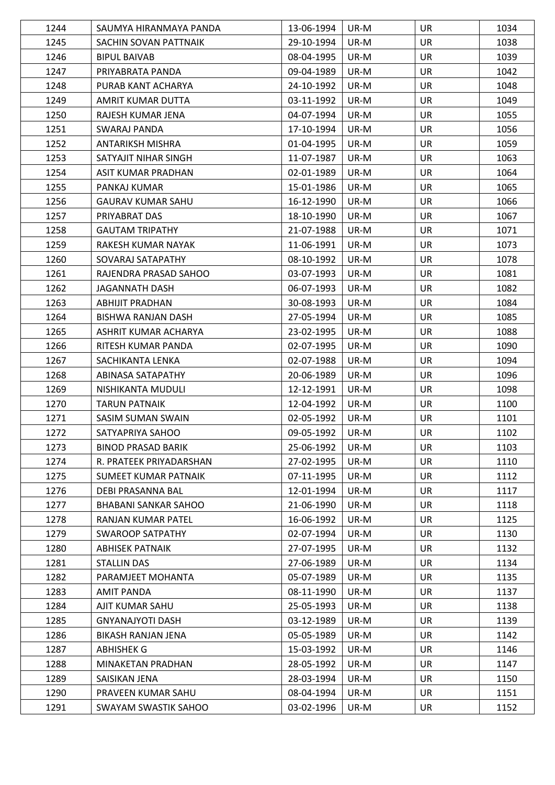| 1244 | SAUMYA HIRANMAYA PANDA    | 13-06-1994 | UR-M | <b>UR</b> | 1034 |
|------|---------------------------|------------|------|-----------|------|
| 1245 | SACHIN SOVAN PATTNAIK     | 29-10-1994 | UR-M | <b>UR</b> | 1038 |
| 1246 | <b>BIPUL BAIVAB</b>       | 08-04-1995 | UR-M | <b>UR</b> | 1039 |
| 1247 | PRIYABRATA PANDA          | 09-04-1989 | UR-M | <b>UR</b> | 1042 |
| 1248 | PURAB KANT ACHARYA        | 24-10-1992 | UR-M | <b>UR</b> | 1048 |
| 1249 | AMRIT KUMAR DUTTA         | 03-11-1992 | UR-M | <b>UR</b> | 1049 |
| 1250 | RAJESH KUMAR JENA         | 04-07-1994 | UR-M | <b>UR</b> | 1055 |
| 1251 | SWARAJ PANDA              | 17-10-1994 | UR-M | <b>UR</b> | 1056 |
| 1252 | <b>ANTARIKSH MISHRA</b>   | 01-04-1995 | UR-M | <b>UR</b> | 1059 |
| 1253 | SATYAJIT NIHAR SINGH      | 11-07-1987 | UR-M | <b>UR</b> | 1063 |
| 1254 | ASIT KUMAR PRADHAN        | 02-01-1989 | UR-M | <b>UR</b> | 1064 |
| 1255 | PANKAJ KUMAR              | 15-01-1986 | UR-M | <b>UR</b> | 1065 |
| 1256 | <b>GAURAV KUMAR SAHU</b>  | 16-12-1990 | UR-M | <b>UR</b> | 1066 |
| 1257 | PRIYABRAT DAS             | 18-10-1990 | UR-M | <b>UR</b> | 1067 |
| 1258 | <b>GAUTAM TRIPATHY</b>    | 21-07-1988 | UR-M | <b>UR</b> | 1071 |
| 1259 | RAKESH KUMAR NAYAK        | 11-06-1991 | UR-M | <b>UR</b> | 1073 |
| 1260 | SOVARAJ SATAPATHY         | 08-10-1992 | UR-M | <b>UR</b> | 1078 |
| 1261 | RAJENDRA PRASAD SAHOO     | 03-07-1993 | UR-M | <b>UR</b> | 1081 |
| 1262 | <b>JAGANNATH DASH</b>     | 06-07-1993 | UR-M | <b>UR</b> | 1082 |
| 1263 | ABHIJIT PRADHAN           | 30-08-1993 | UR-M | <b>UR</b> | 1084 |
| 1264 | BISHWA RANJAN DASH        | 27-05-1994 | UR-M | <b>UR</b> | 1085 |
| 1265 | ASHRIT KUMAR ACHARYA      | 23-02-1995 | UR-M | <b>UR</b> | 1088 |
| 1266 | RITESH KUMAR PANDA        | 02-07-1995 | UR-M | <b>UR</b> | 1090 |
| 1267 | SACHIKANTA LENKA          | 02-07-1988 | UR-M | <b>UR</b> | 1094 |
| 1268 | ABINASA SATAPATHY         | 20-06-1989 | UR-M | <b>UR</b> | 1096 |
| 1269 | NISHIKANTA MUDULI         | 12-12-1991 | UR-M | <b>UR</b> | 1098 |
| 1270 | <b>TARUN PATNAIK</b>      | 12-04-1992 | UR-M | <b>UR</b> | 1100 |
| 1271 | SASIM SUMAN SWAIN         | 02-05-1992 | UR-M | <b>UR</b> | 1101 |
| 1272 | SATYAPRIYA SAHOO          | 09-05-1992 | UR-M | <b>UR</b> | 1102 |
| 1273 | <b>BINOD PRASAD BARIK</b> | 25-06-1992 | UR-M | <b>UR</b> | 1103 |
| 1274 | R. PRATEEK PRIYADARSHAN   | 27-02-1995 | UR-M | <b>UR</b> | 1110 |
| 1275 | SUMEET KUMAR PATNAIK      | 07-11-1995 | UR-M | UR        | 1112 |
| 1276 | <b>DEBI PRASANNA BAL</b>  | 12-01-1994 | UR-M | <b>UR</b> | 1117 |
| 1277 | BHABANI SANKAR SAHOO      | 21-06-1990 | UR-M | <b>UR</b> | 1118 |
| 1278 | RANJAN KUMAR PATEL        | 16-06-1992 | UR-M | <b>UR</b> | 1125 |
| 1279 | <b>SWAROOP SATPATHY</b>   | 02-07-1994 | UR-M | <b>UR</b> | 1130 |
| 1280 | <b>ABHISEK PATNAIK</b>    | 27-07-1995 | UR-M | <b>UR</b> | 1132 |
| 1281 | <b>STALLIN DAS</b>        | 27-06-1989 | UR-M | <b>UR</b> | 1134 |
| 1282 | PARAMJEET MOHANTA         | 05-07-1989 | UR-M | <b>UR</b> | 1135 |
| 1283 | <b>AMIT PANDA</b>         | 08-11-1990 | UR-M | <b>UR</b> | 1137 |
| 1284 | AJIT KUMAR SAHU           | 25-05-1993 | UR-M | UR        | 1138 |
| 1285 | <b>GNYANAJYOTI DASH</b>   | 03-12-1989 | UR-M | <b>UR</b> | 1139 |
| 1286 | BIKASH RANJAN JENA        | 05-05-1989 | UR-M | <b>UR</b> | 1142 |
| 1287 | ABHISHEK G                | 15-03-1992 | UR-M | UR        | 1146 |
| 1288 | MINAKETAN PRADHAN         | 28-05-1992 | UR-M | <b>UR</b> | 1147 |
| 1289 | SAISIKAN JENA             | 28-03-1994 | UR-M | <b>UR</b> | 1150 |
| 1290 | PRAVEEN KUMAR SAHU        | 08-04-1994 | UR-M | <b>UR</b> | 1151 |
|      | SWAYAM SWASTIK SAHOO      | 03-02-1996 | UR-M | UR        |      |
| 1291 |                           |            |      |           | 1152 |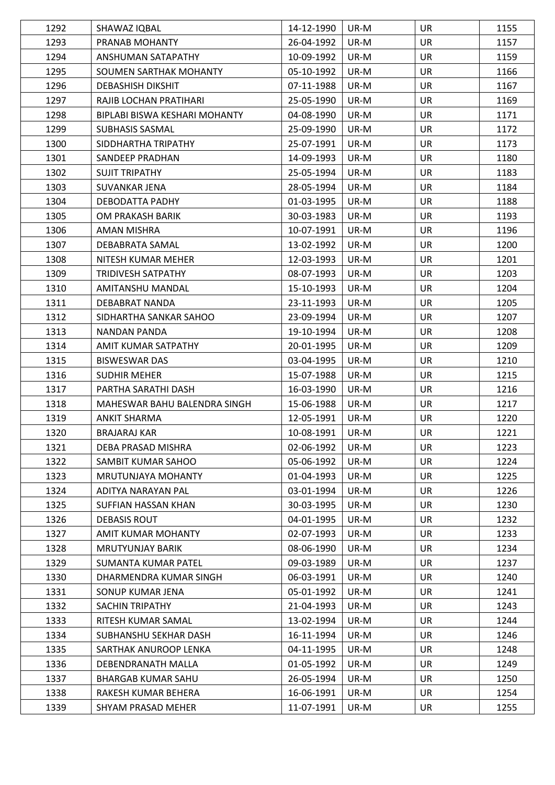| 1292 | SHAWAZ IQBAL                  | 14-12-1990 | UR-M | <b>UR</b> | 1155 |
|------|-------------------------------|------------|------|-----------|------|
| 1293 | PRANAB MOHANTY                | 26-04-1992 | UR-M | <b>UR</b> | 1157 |
| 1294 | ANSHUMAN SATAPATHY            | 10-09-1992 | UR-M | <b>UR</b> | 1159 |
| 1295 | SOUMEN SARTHAK MOHANTY        | 05-10-1992 | UR-M | <b>UR</b> | 1166 |
| 1296 | <b>DEBASHISH DIKSHIT</b>      | 07-11-1988 | UR-M | <b>UR</b> | 1167 |
| 1297 | RAJIB LOCHAN PRATIHARI        | 25-05-1990 | UR-M | <b>UR</b> | 1169 |
| 1298 | BIPLABI BISWA KESHARI MOHANTY | 04-08-1990 | UR-M | <b>UR</b> | 1171 |
| 1299 | <b>SUBHASIS SASMAL</b>        | 25-09-1990 | UR-M | <b>UR</b> | 1172 |
| 1300 | SIDDHARTHA TRIPATHY           | 25-07-1991 | UR-M | <b>UR</b> | 1173 |
| 1301 | SANDEEP PRADHAN               | 14-09-1993 | UR-M | <b>UR</b> | 1180 |
| 1302 | <b>SUJIT TRIPATHY</b>         | 25-05-1994 | UR-M | <b>UR</b> | 1183 |
| 1303 | SUVANKAR JENA                 | 28-05-1994 | UR-M | <b>UR</b> | 1184 |
| 1304 | DEBODATTA PADHY               | 01-03-1995 | UR-M | <b>UR</b> | 1188 |
| 1305 | OM PRAKASH BARIK              | 30-03-1983 | UR-M | <b>UR</b> | 1193 |
| 1306 | AMAN MISHRA                   | 10-07-1991 | UR-M | <b>UR</b> | 1196 |
| 1307 | DEBABRATA SAMAL               | 13-02-1992 | UR-M | <b>UR</b> | 1200 |
| 1308 | NITESH KUMAR MEHER            | 12-03-1993 | UR-M | <b>UR</b> | 1201 |
| 1309 | <b>TRIDIVESH SATPATHY</b>     | 08-07-1993 | UR-M | <b>UR</b> | 1203 |
| 1310 | AMITANSHU MANDAL              | 15-10-1993 | UR-M | <b>UR</b> | 1204 |
| 1311 | DEBABRAT NANDA                | 23-11-1993 | UR-M | <b>UR</b> | 1205 |
| 1312 | SIDHARTHA SANKAR SAHOO        | 23-09-1994 | UR-M | <b>UR</b> | 1207 |
| 1313 | NANDAN PANDA                  | 19-10-1994 | UR-M | <b>UR</b> | 1208 |
| 1314 | AMIT KUMAR SATPATHY           | 20-01-1995 | UR-M | <b>UR</b> | 1209 |
| 1315 | <b>BISWESWAR DAS</b>          | 03-04-1995 | UR-M | UR        | 1210 |
| 1316 | <b>SUDHIR MEHER</b>           | 15-07-1988 | UR-M | <b>UR</b> | 1215 |
| 1317 | PARTHA SARATHI DASH           | 16-03-1990 | UR-M | <b>UR</b> | 1216 |
| 1318 | MAHESWAR BAHU BALENDRA SINGH  | 15-06-1988 | UR-M | <b>UR</b> | 1217 |
| 1319 | ANKIT SHARMA                  | 12-05-1991 | UR-M | <b>UR</b> | 1220 |
| 1320 | <b>BRAJARAJ KAR</b>           | 10-08-1991 | UR-M | <b>UR</b> | 1221 |
| 1321 | DEBA PRASAD MISHRA            | 02-06-1992 | UR-M | UR        | 1223 |
| 1322 | SAMBIT KUMAR SAHOO            | 05-06-1992 | UR-M | UR        | 1224 |
| 1323 | <b>MRUTUNJAYA MOHANTY</b>     | 01-04-1993 | UR-M | UR        | 1225 |
| 1324 | ADITYA NARAYAN PAL            | 03-01-1994 | UR-M | UR        | 1226 |
| 1325 | SUFFIAN HASSAN KHAN           | 30-03-1995 | UR-M | UR        | 1230 |
| 1326 | DEBASIS ROUT                  | 04-01-1995 | UR-M | UR        | 1232 |
| 1327 | AMIT KUMAR MOHANTY            | 02-07-1993 | UR-M | UR        | 1233 |
| 1328 | <b>MRUTYUNJAY BARIK</b>       | 08-06-1990 | UR-M | UR        | 1234 |
| 1329 | SUMANTA KUMAR PATEL           | 09-03-1989 | UR-M | <b>UR</b> | 1237 |
| 1330 | DHARMENDRA KUMAR SINGH        | 06-03-1991 | UR-M | UR        | 1240 |
| 1331 | SONUP KUMAR JENA              | 05-01-1992 | UR-M | <b>UR</b> | 1241 |
| 1332 | <b>SACHIN TRIPATHY</b>        | 21-04-1993 | UR-M | UR        | 1243 |
| 1333 | RITESH KUMAR SAMAL            | 13-02-1994 | UR-M | UR        | 1244 |
| 1334 | SUBHANSHU SEKHAR DASH         | 16-11-1994 | UR-M | UR        | 1246 |
| 1335 | SARTHAK ANUROOP LENKA         | 04-11-1995 | UR-M | UR        | 1248 |
| 1336 | DEBENDRANATH MALLA            | 01-05-1992 | UR-M | UR        | 1249 |
| 1337 | <b>BHARGAB KUMAR SAHU</b>     | 26-05-1994 | UR-M | UR        | 1250 |
| 1338 | RAKESH KUMAR BEHERA           | 16-06-1991 | UR-M | UR        | 1254 |
| 1339 | SHYAM PRASAD MEHER            | 11-07-1991 | UR-M | UR        | 1255 |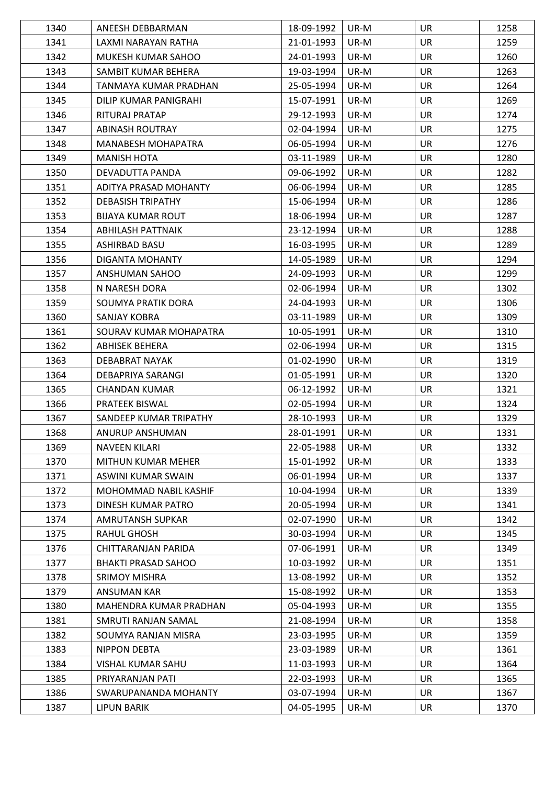| 1340         | ANEESH DEBBARMAN                      | 18-09-1992               | UR-M         | <b>UR</b>       | 1258         |
|--------------|---------------------------------------|--------------------------|--------------|-----------------|--------------|
| 1341         | LAXMI NARAYAN RATHA                   | 21-01-1993               | UR-M         | <b>UR</b>       | 1259         |
| 1342         | MUKESH KUMAR SAHOO                    | 24-01-1993               | UR-M         | <b>UR</b>       | 1260         |
| 1343         | SAMBIT KUMAR BEHERA                   | 19-03-1994               | UR-M         | <b>UR</b>       | 1263         |
| 1344         | TANMAYA KUMAR PRADHAN                 | 25-05-1994               | UR-M         | <b>UR</b>       | 1264         |
| 1345         | DILIP KUMAR PANIGRAHI                 | 15-07-1991               | UR-M         | <b>UR</b>       | 1269         |
| 1346         | RITURAJ PRATAP                        | 29-12-1993               | UR-M         | <b>UR</b>       | 1274         |
| 1347         | <b>ABINASH ROUTRAY</b>                | 02-04-1994               | UR-M         | <b>UR</b>       | 1275         |
| 1348         | <b>MANABESH MOHAPATRA</b>             | 06-05-1994               | UR-M         | <b>UR</b>       | 1276         |
| 1349         | <b>MANISH HOTA</b>                    | 03-11-1989               | UR-M         | <b>UR</b>       | 1280         |
| 1350         | DEVADUTTA PANDA                       | 09-06-1992               | UR-M         | <b>UR</b>       | 1282         |
| 1351         | ADITYA PRASAD MOHANTY                 | 06-06-1994               | UR-M         | <b>UR</b>       | 1285         |
| 1352         | <b>DEBASISH TRIPATHY</b>              | 15-06-1994               | UR-M         | <b>UR</b>       | 1286         |
| 1353         | <b>BIJAYA KUMAR ROUT</b>              | 18-06-1994               | UR-M         | <b>UR</b>       | 1287         |
| 1354         | ABHILASH PATTNAIK                     | 23-12-1994               | UR-M         | <b>UR</b>       | 1288         |
| 1355         | ASHIRBAD BASU                         | 16-03-1995               | UR-M         | UR              | 1289         |
| 1356         | DIGANTA MOHANTY                       | 14-05-1989               | UR-M         | <b>UR</b>       | 1294         |
| 1357         | ANSHUMAN SAHOO                        | 24-09-1993               | UR-M         | <b>UR</b>       | 1299         |
| 1358         | N NARESH DORA                         | 02-06-1994               | UR-M         | <b>UR</b>       | 1302         |
| 1359         | SOUMYA PRATIK DORA                    | 24-04-1993               | UR-M         | <b>UR</b>       | 1306         |
| 1360         | SANJAY KOBRA                          | 03-11-1989               | UR-M         | <b>UR</b>       | 1309         |
| 1361         | SOURAV KUMAR MOHAPATRA                | 10-05-1991               | UR-M         | <b>UR</b>       | 1310         |
| 1362         | <b>ABHISEK BEHERA</b>                 | 02-06-1994               | UR-M         | <b>UR</b>       | 1315         |
| 1363         | DEBABRAT NAYAK                        | 01-02-1990               | UR-M         | <b>UR</b>       | 1319         |
| 1364         | DEBAPRIYA SARANGI                     | 01-05-1991               | UR-M         | <b>UR</b>       | 1320         |
| 1365         | <b>CHANDAN KUMAR</b>                  | 06-12-1992               | UR-M         | UR              | 1321         |
| 1366         | <b>PRATEEK BISWAL</b>                 | 02-05-1994               | UR-M         | <b>UR</b>       | 1324         |
| 1367         | SANDEEP KUMAR TRIPATHY                | 28-10-1993               | UR-M         | UR              | 1329         |
| 1368         | ANURUP ANSHUMAN                       | 28-01-1991               | UR-M         | <b>UR</b>       | 1331         |
| 1369         | <b>NAVEEN KILARI</b>                  | 22-05-1988               | UR-M         | UR              | 1332         |
| 1370         | MITHUN KUMAR MEHER                    | 15-01-1992               | UR-M         | <b>UR</b>       | 1333         |
| 1371         | ASWINI KUMAR SWAIN                    | 06-01-1994               | UR-M         | <b>UR</b>       | 1337         |
| 1372         | MOHOMMAD NABIL KASHIF                 | 10-04-1994               | UR-M         | <b>UR</b>       | 1339         |
| 1373         | DINESH KUMAR PATRO                    | 20-05-1994               | UR-M         | UR              | 1341         |
| 1374         | AMRUTANSH SUPKAR                      | 02-07-1990               | UR-M         | UR              | 1342         |
| 1375         | <b>RAHUL GHOSH</b>                    | 30-03-1994               | UR-M         | UR              | 1345         |
| 1376         | CHITTARANJAN PARIDA                   | 07-06-1991               | UR-M         | <b>UR</b>       | 1349         |
| 1377         | <b>BHAKTI PRASAD SAHOO</b>            | 10-03-1992               | UR-M         | UR              | 1351         |
| 1378         | <b>SRIMOY MISHRA</b>                  | 13-08-1992               | UR-M         | <b>UR</b>       | 1352         |
| 1379         | ANSUMAN KAR                           | 15-08-1992               | UR-M         | <b>UR</b>       | 1353         |
| 1380         | MAHENDRA KUMAR PRADHAN                | 05-04-1993               | UR-M         | UR              | 1355         |
| 1381         | SMRUTI RANJAN SAMAL                   | 21-08-1994               | UR-M         | <b>UR</b>       | 1358         |
| 1382         | SOUMYA RANJAN MISRA                   | 23-03-1995               | UR-M         | UR              | 1359         |
| 1383         | NIPPON DEBTA                          | 23-03-1989               | UR-M         | <b>UR</b>       | 1361         |
| 1384         |                                       |                          |              |                 |              |
|              |                                       |                          |              |                 |              |
|              | VISHAL KUMAR SAHU<br>PRIYARANJAN PATI | 11-03-1993               | UR-M<br>UR-M | <b>UR</b><br>UR | 1364         |
| 1385<br>1386 | SWARUPANANDA MOHANTY                  | 22-03-1993<br>03-07-1994 | UR-M         | UR              | 1365<br>1367 |